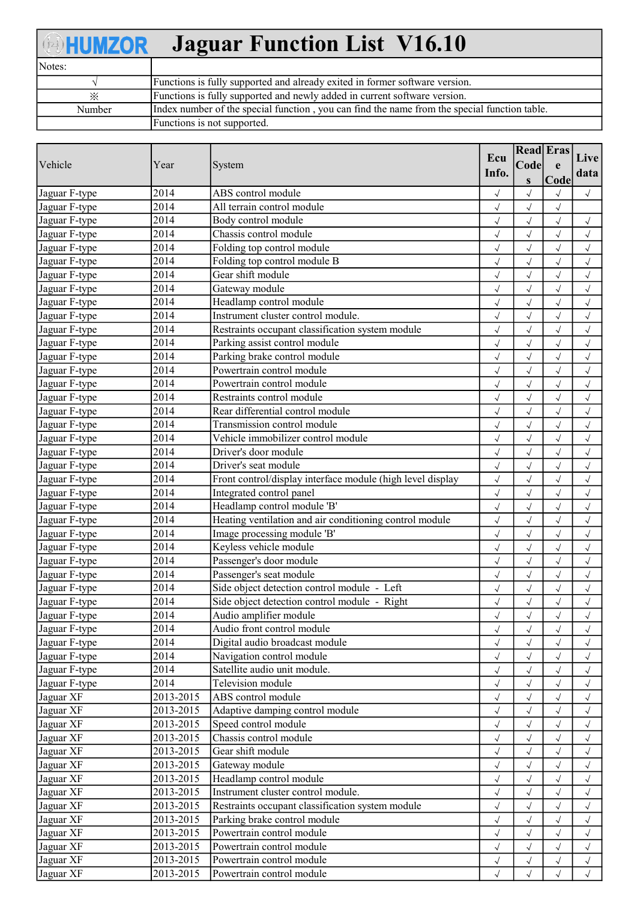| <b>BHUMZOR</b> | <b>Jaguar Function List V16.10</b>                                                           |
|----------------|----------------------------------------------------------------------------------------------|
| Notes:         |                                                                                              |
|                | Functions is fully supported and already exited in former software version.                  |
| $\times$       | Functions is fully supported and newly added in current software version.                    |
| Number         | Index number of the special function, you can find the name from the special function table. |
|                | Functions is not supported.                                                                  |

| Vehicle       | Year              | System                                                        | Ecu<br>Info.           | <b>Read Eras</b><br>Code<br>S | e<br>Code                | Live<br>data           |
|---------------|-------------------|---------------------------------------------------------------|------------------------|-------------------------------|--------------------------|------------------------|
| Jaguar F-type | 2014              | ABS control module                                            | $\sqrt{ }$             | $\sqrt{ }$                    | $\sqrt{ }$               | $\sqrt{}$              |
| Jaguar F-type | $\overline{2014}$ | All terrain control module                                    | $\sqrt{2}$             | $\sqrt{2}$                    | $\sqrt{2}$               |                        |
| Jaguar F-type | 2014              | Body control module                                           | $\sqrt{}$              | $\sqrt{2}$                    | $\checkmark$             | $\sqrt{}$              |
| Jaguar F-type | 2014              | Chassis control module                                        | $\sqrt{ }$             | $\sqrt{}$                     | $\sqrt{}$                | $\sqrt{}$              |
| Jaguar F-type | 2014              | Folding top control module                                    | $\checkmark$           | $\sqrt{2}$                    | $\checkmark$             | $\sqrt{}$              |
| Jaguar F-type | 2014              | Folding top control module B                                  | $\checkmark$           | $\sqrt{ }$                    | $\checkmark$             | $\sqrt{2}$             |
| Jaguar F-type | 2014              | Gear shift module                                             | $\sqrt{ }$             | $\sqrt{ }$                    | $\sqrt{ }$               | $\sqrt{}$              |
| Jaguar F-type | 2014              | Gateway module                                                | $\checkmark$           | $\checkmark$                  | $\sqrt{ }$               | $\sqrt{}$              |
| Jaguar F-type | 2014              | Headlamp control module                                       | $\sqrt{2}$             | $\sqrt{2}$                    | $\sqrt{}$                | $\checkmark$           |
| Jaguar F-type | 2014              | Instrument cluster control module.                            | $\sqrt{2}$             | $\sqrt{2}$                    | $\sqrt{2}$               | $\sqrt{}$              |
| Jaguar F-type | 2014              | Restraints occupant classification system module              | $\sqrt{}$              | $\sqrt{2}$                    | $\checkmark$             | $\sqrt{}$              |
| Jaguar F-type | 2014              | Parking assist control module                                 | $\sqrt{ }$             | $\sqrt{ }$                    | $\sqrt{}$                | $\sqrt{}$              |
| Jaguar F-type | 2014              | Parking brake control module                                  | $\checkmark$           | $\checkmark$                  | $\sqrt{}$                | $\sqrt{}$              |
| Jaguar F-type | 2014              | Powertrain control module                                     | $\sqrt{ }$             | $\checkmark$                  | $\sqrt{}$                | $\sqrt{}$              |
| Jaguar F-type | 2014              | Powertrain control module                                     | $\checkmark$           | $\checkmark$                  | $\sqrt{ }$               | $\sqrt{}$              |
| Jaguar F-type | 2014              | Restraints control module                                     | $\sqrt{ }$             | $\checkmark$                  | $\sqrt{ }$               | $\sqrt{}$              |
| Jaguar F-type | 2014              | Rear differential control module                              | $\sqrt{ }$             | $\sqrt{2}$                    | $\sqrt{ }$               | $\sqrt{}$              |
| Jaguar F-type | 2014              | Transmission control module                                   | $\checkmark$           | $\sqrt{2}$                    | $\sqrt{2}$               | $\sqrt{}$              |
| Jaguar F-type | 2014              | Vehicle immobilizer control module                            | $\sqrt{2}$             | $\sqrt{2}$                    | $\sqrt{}$                | $\sqrt{2}$             |
| Jaguar F-type | 2014              | Driver's door module                                          | $\sqrt{ }$             | $\sqrt{ }$                    | $\checkmark$             | $\sqrt{}$              |
| Jaguar F-type | 2014              | Driver's seat module                                          | $\sqrt{ }$             | $\sqrt{ }$                    | $\sqrt{ }$               | $\checkmark$           |
| Jaguar F-type | 2014              | Front control/display interface module (high level display    | $\checkmark$           | $\sqrt{ }$                    | $\sqrt{ }$               | $\sqrt{}$              |
| Jaguar F-type | 2014              | Integrated control panel                                      | $\checkmark$           | $\sqrt{2}$                    | $\checkmark$             | $\checkmark$           |
| Jaguar F-type | 2014              | Headlamp control module 'B'                                   | $\checkmark$           | $\checkmark$                  | $\sqrt{ }$               | $\sqrt{ }$             |
| Jaguar F-type | 2014              | Heating ventilation and air conditioning control module       | $\checkmark$           | $\sqrt{ }$                    | $\sqrt{ }$               | $\sqrt{}$              |
| Jaguar F-type | 2014              | Image processing module 'B'                                   | $\checkmark$           | $\sqrt{ }$                    | $\sqrt{2}$               | $\sqrt{}$              |
| Jaguar F-type | 2014              | Keyless vehicle module                                        | $\sqrt{2}$             | $\sqrt{2}$                    | $\sqrt{}$                | $\sqrt{}$              |
| Jaguar F-type | 2014              | Passenger's door module                                       | $\sqrt{ }$             | $\checkmark$                  | $\checkmark$             | $\sqrt{}$              |
| Jaguar F-type | 2014              | Passenger's seat module                                       | $\sqrt{ }$             | $\sqrt{ }$                    | $\sqrt{}$                | $\sqrt{}$              |
| Jaguar F-type | 2014              | Side object detection control module - Left                   | $\sqrt{ }$             | $\sqrt{ }$                    | $\sqrt{ }$               | $\checkmark$           |
| Jaguar F-type | $\overline{2014}$ | Side object detection control module - Right                  | $\checkmark$           | $\sqrt{2}$                    | $\sqrt{}$                | $\sqrt{}$              |
| Jaguar F-type | 2014              | Audio amplifier module                                        | $\sqrt{2}$             | $\sqrt{ }$                    | $\sqrt{ }$               |                        |
| Jaguar F-type | 2014              | Audio front control module                                    |                        | $\sqrt{}$                     | $\sqrt{ }$               |                        |
| Jaguar F-type | 2014              | Digital audio broadcast module                                | $\sqrt{}$<br>$\sqrt{}$ | $\checkmark$                  | $\sqrt{}$                | $\sqrt{}$<br>$\sqrt{}$ |
| Jaguar F-type | $\overline{2014}$ | Navigation control module                                     | $\sqrt{ }$             | $\sqrt{}$                     | $\sqrt{2}$               | $\checkmark$           |
| Jaguar F-type | 2014              | Satellite audio unit module.                                  |                        | $\sqrt{}$                     |                          |                        |
| Jaguar F-type | 2014              | Television module                                             | $\sqrt{ }$             | $\sqrt{}$                     | $\sqrt{}$<br>$\sqrt{ }$  | $\sqrt{}$              |
| Jaguar XF     | 2013-2015         | ABS control module                                            | $\sqrt{ }$             | $\sqrt{}$                     | $\sqrt{ }$               | $\sqrt{}$              |
| Jaguar XF     | 2013-2015         | Adaptive damping control module                               | $\sqrt{ }$             |                               | $\sqrt{ }$               | $\sqrt{}$              |
| Jaguar XF     | 2013-2015         | Speed control module                                          | $\sqrt{ }$             | $\sqrt{ }$<br>$\sqrt{ }$      | $\sqrt{ }$               | $\sqrt{}$              |
| Jaguar XF     | 2013-2015         | Chassis control module                                        | $\sqrt{ }$             |                               |                          | $\sqrt{}$              |
| Jaguar XF     | 2013-2015         | Gear shift module                                             | $\sqrt{ }$             | $\sqrt{ }$<br>$\sqrt{}$       | $\sqrt{ }$<br>$\sqrt{ }$ | $\sqrt{}$              |
| Jaguar XF     | 2013-2015         | Gateway module                                                | $\sqrt{}$              |                               |                          | $\sqrt{}$              |
|               |                   |                                                               | $\sqrt{}$              | $\sqrt{}$                     |                          | $\sqrt{}$              |
| Jaguar XF     | 2013-2015         | Headlamp control module<br>Instrument cluster control module. | $\sqrt{}$              | $\sqrt{}$                     |                          | $\sqrt{}$              |
| Jaguar XF     | 2013-2015         |                                                               | $\sqrt{ }$             | $\sqrt{}$                     | $\checkmark$             | $\sqrt{}$              |
| Jaguar XF     | 2013-2015         | Restraints occupant classification system module              | $\sqrt{}$              | $\sqrt{}$                     | $\sqrt{ }$               | $\checkmark$           |
| Jaguar XF     | 2013-2015         | Parking brake control module                                  | $\sqrt{ }$             | $\sqrt{ }$                    | $\sqrt{ }$               | $\checkmark$           |
| Jaguar XF     | 2013-2015         | Powertrain control module                                     | $\checkmark$           | $\checkmark$                  | $\sqrt{ }$               | $\sqrt{}$              |
| Jaguar XF     | 2013-2015         | Powertrain control module                                     | $\sqrt{ }$             | $\sqrt{ }$                    | $\sqrt{ }$               | $\sqrt{ }$             |
| Jaguar XF     | 2013-2015         | Powertrain control module                                     | $\sqrt{}$              | $\sqrt{}$                     | $\sqrt{ }$               | $\sqrt{ }$             |
| Jaguar XF     | 2013-2015         | Powertrain control module                                     |                        |                               |                          |                        |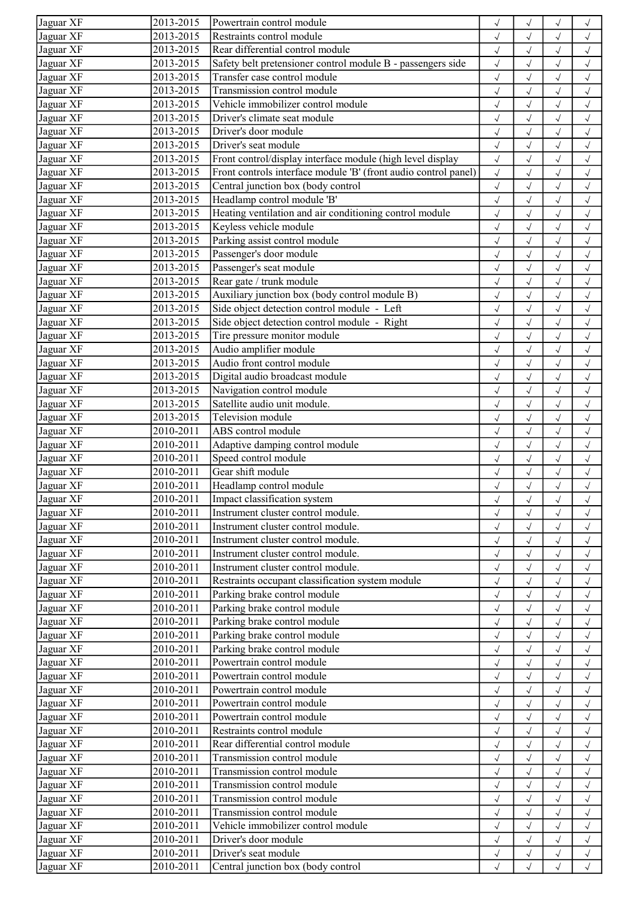| Jaguar XF | 2013-2015 | Powertrain control module                                       | $\sqrt{}$    | $\sqrt{}$    |              | $\checkmark$         |
|-----------|-----------|-----------------------------------------------------------------|--------------|--------------|--------------|----------------------|
| Jaguar XF | 2013-2015 | Restraints control module                                       | $\sqrt{ }$   | $\checkmark$ | $\sqrt{}$    | $\checkmark$         |
| Jaguar XF | 2013-2015 | Rear differential control module                                | $\sqrt{ }$   | $\sqrt{}$    | $\sqrt{}$    | $\checkmark$         |
| Jaguar XF | 2013-2015 | Safety belt pretensioner control module B - passengers side     | $\checkmark$ | $\checkmark$ | $\sqrt{ }$   | $\sqrt{2}$           |
| Jaguar XF | 2013-2015 | Transfer case control module                                    | $\sqrt{ }$   | $\checkmark$ | $\sqrt{ }$   | $\checkmark$         |
| Jaguar XF | 2013-2015 | Transmission control module                                     | $\sqrt{ }$   | $\checkmark$ | $\checkmark$ | $\checkmark$         |
| Jaguar XF | 2013-2015 | Vehicle immobilizer control module                              | $\sqrt{ }$   | $\checkmark$ | $\sqrt{ }$   | $\checkmark$         |
| Jaguar XF | 2013-2015 | Driver's climate seat module                                    | $\sqrt{2}$   | $\checkmark$ |              | $\sqrt{2}$           |
| Jaguar XF | 2013-2015 | Driver's door module                                            | $\sqrt{2}$   |              |              | $\checkmark$         |
| Jaguar XF | 2013-2015 | Driver's seat module                                            | $\sqrt{}$    | $\checkmark$ | $\sqrt{ }$   | $\sqrt{ }$           |
| Jaguar XF | 2013-2015 | Front control/display interface module (high level display      |              |              |              |                      |
|           |           | Front controls interface module 'B' (front audio control panel) | $\sqrt{ }$   | $\checkmark$ | $\sqrt{}$    | $\sqrt{ }$           |
| Jaguar XF | 2013-2015 |                                                                 | $\sqrt{ }$   | $\checkmark$ | $\sqrt{ }$   | $\checkmark$         |
| Jaguar XF | 2013-2015 | Central junction box (body control                              | $\sqrt{ }$   | $\checkmark$ | $\sqrt{}$    | $\sqrt{2}$           |
| Jaguar XF | 2013-2015 | Headlamp control module 'B'                                     | $\sqrt{ }$   | $\sqrt{}$    | $\sqrt{ }$   | $\checkmark$         |
| Jaguar XF | 2013-2015 | Heating ventilation and air conditioning control module         | $\sqrt{ }$   | $\sqrt{}$    | $\checkmark$ | $\checkmark$         |
| Jaguar XF | 2013-2015 | Keyless vehicle module                                          | $\sqrt{ }$   | $\checkmark$ | $\sqrt{2}$   | $\checkmark$         |
| Jaguar XF | 2013-2015 | Parking assist control module                                   | $\sqrt{2}$   | $\sqrt{}$    |              | $\sqrt{2}$           |
| Jaguar XF | 2013-2015 | Passenger's door module                                         | $\sqrt{}$    | $\sqrt{}$    | $\sqrt{}$    | $\checkmark$         |
| Jaguar XF | 2013-2015 | Passenger's seat module                                         | $\sqrt{ }$   | $\sqrt{}$    | $\sqrt{ }$   | $\sqrt{}$            |
| Jaguar XF | 2013-2015 | Rear gate / trunk module                                        | $\sqrt{ }$   | $\checkmark$ |              | $\checkmark$         |
| Jaguar XF | 2013-2015 | Auxiliary junction box (body control module B)                  | $\sqrt{ }$   | $\checkmark$ | $\checkmark$ | $\checkmark$         |
| Jaguar XF | 2013-2015 | Side object detection control module - Left                     | $\sqrt{ }$   | $\sqrt{}$    | $\sqrt{ }$   | $\sqrt{ }$           |
| Jaguar XF | 2013-2015 | Side object detection control module - Right                    | $\sqrt{ }$   | $\sqrt{}$    | $\sqrt{ }$   | $\sqrt{ }$           |
| Jaguar XF | 2013-2015 | Tire pressure monitor module                                    | $\sqrt{ }$   | $\sqrt{2}$   | $\sqrt{2}$   | $\checkmark$         |
| Jaguar XF | 2013-2015 | Audio amplifier module                                          | $\sqrt{2}$   | $\checkmark$ |              | $\sqrt{2}$           |
| Jaguar XF | 2013-2015 | Audio front control module                                      | $\sqrt{}$    | $\sqrt{}$    | $\sqrt{ }$   | $\checkmark$         |
| Jaguar XF | 2013-2015 | Digital audio broadcast module                                  | $\sqrt{}$    | $\checkmark$ | $\sqrt{ }$   | $\sqrt{ }$           |
| Jaguar XF | 2013-2015 | Navigation control module                                       | $\sqrt{ }$   | $\checkmark$ | $\sqrt{}$    | $\sqrt{ }$           |
| Jaguar XF | 2013-2015 | Satellite audio unit module.                                    | $\checkmark$ | $\sqrt{2}$   | $\sqrt{2}$   | $\sqrt{2}$           |
| Jaguar XF | 2013-2015 | Television module                                               |              |              |              |                      |
|           |           |                                                                 | $\sqrt{ }$   | $\checkmark$ | $\sqrt{ }$   | $\checkmark$         |
| Jaguar XF | 2010-2011 | ABS control module                                              | $\sqrt{2}$   | $\sqrt{}$    | $\checkmark$ | $\sqrt{ }$           |
| Jaguar XF | 2010-2011 | Adaptive damping control module                                 | $\sqrt{ }$   | $\checkmark$ | $\sqrt{}$    | $\checkmark$         |
| Jaguar XF | 2010-2011 | Speed control module                                            | $\sqrt{2}$   | $\checkmark$ |              | $\sqrt{2}$           |
| Jaguar XF | 2010-2011 | Gear shift module                                               | $\sqrt{ }$   |              |              | $\checkmark$         |
| Jaguar XF | 2010-2011 | Headlamp control module                                         | $\sqrt{ }$   | $\sqrt{}$    | $\sqrt{}$    | $\checkmark$         |
| Jaguar XF | 2010-2011 | Impact classification system                                    | $\sqrt{}$    | $\sqrt{}$    | $\sqrt{}$    | $\checkmark$         |
| Jaguar XF | 2010-2011 | Instrument cluster control module.                              | $\sqrt{ }$   | $\checkmark$ |              | $\checkmark$         |
| Jaguar XF | 2010-2011 | Instrument cluster control module.                              | $\sqrt{ }$   | $\checkmark$ | $\sqrt{}$    | $\checkmark$         |
| Jaguar XF | 2010-2011 | Instrument cluster control module.                              | $\sqrt{ }$   | $\sqrt{}$    | $\sqrt{ }$   | $\sqrt{ }$           |
| Jaguar XF | 2010-2011 | Instrument cluster control module.                              | $\checkmark$ | $\checkmark$ | $\sqrt{}$    | $\checkmark$         |
| Jaguar XF | 2010-2011 | Instrument cluster control module.                              | $\sqrt{}$    | $\checkmark$ |              | $\checkmark$         |
| Jaguar XF | 2010-2011 | Restraints occupant classification system module                | $\sqrt{ }$   | $\sqrt{}$    |              | $\checkmark$         |
| Jaguar XF | 2010-2011 | Parking brake control module                                    | $\sqrt{ }$   | $\sqrt{}$    | $\sqrt{}$    | $\sqrt{}$            |
| Jaguar XF | 2010-2011 | Parking brake control module                                    | $\sqrt{ }$   | $\sqrt{ }$   | $\sqrt{ }$   | $\checkmark$         |
| Jaguar XF | 2010-2011 | Parking brake control module                                    | $\sqrt{ }$   | $\sqrt{}$    | $\sqrt{}$    | $\checkmark$         |
| Jaguar XF | 2010-2011 | Parking brake control module                                    | $\sqrt{ }$   | $\checkmark$ | $\sqrt{}$    | $\sqrt{ }$           |
| Jaguar XF | 2010-2011 | Parking brake control module                                    | $\sqrt{ }$   | $\checkmark$ | $\sqrt{ }$   | $\sqrt{ }$           |
| Jaguar XF | 2010-2011 | Powertrain control module                                       | $\sqrt{ }$   | $\sqrt{}$    | $\sqrt{}$    | $\sqrt{ }$           |
| Jaguar XF | 2010-2011 | Powertrain control module                                       | $\sqrt{ }$   | $\sqrt{}$    | $\sqrt{}$    | $\sqrt{ }$           |
| Jaguar XF | 2010-2011 | Powertrain control module                                       | $\sqrt{2}$   | $\sqrt{}$    |              | $\checkmark$         |
| Jaguar XF | 2010-2011 | Powertrain control module                                       | $\sqrt{}$    | $\sqrt{}$    | $\sqrt{}$    | $\checkmark$         |
| Jaguar XF | 2010-2011 | Powertrain control module                                       |              | $\sqrt{}$    | $\sqrt{ }$   |                      |
| Jaguar XF | 2010-2011 | Restraints control module                                       | $\sqrt{ }$   |              |              | $\sqrt{ }$           |
|           | 2010-2011 | Rear differential control module                                | $\sqrt{ }$   | $\sqrt{}$    | $\sqrt{ }$   | $\checkmark$         |
| Jaguar XF |           |                                                                 | $\sqrt{ }$   | $\checkmark$ | $\sqrt{ }$   | $\sqrt{ }$           |
| Jaguar XF | 2010-2011 | Transmission control module                                     | $\sqrt{ }$   | $\sqrt{}$    | $\sqrt{ }$   | $\checkmark$         |
| Jaguar XF | 2010-2011 | Transmission control module                                     | $\sqrt{ }$   | $\sqrt{}$    | $\sqrt{ }$   | $\sqrt{ }$           |
| Jaguar XF | 2010-2011 | Transmission control module                                     | $\sqrt{ }$   | $\sqrt{}$    | $\sqrt{}$    | $\checkmark$         |
| Jaguar XF | 2010-2011 | Transmission control module                                     | $\sqrt{2}$   | $\checkmark$ | $\sqrt{ }$   | $\sqrt{2}$           |
| Jaguar XF | 2010-2011 | Transmission control module                                     | $\sqrt{}$    | $\sqrt{}$    |              | $\checkmark$         |
| Jaguar XF | 2010-2011 | Vehicle immobilizer control module                              | $\sqrt{ }$   | $\sqrt{}$    | $\sqrt{ }$   | $\checkmark$         |
| Jaguar XF | 2010-2011 | Driver's door module                                            | $\sqrt{ }$   | $\sqrt{}$    | $\sqrt{}$    | $\checkmark$         |
| Jaguar XF | 2010-2011 | Driver's seat module                                            | $\sqrt{ }$   | $\checkmark$ |              | $\sqrt{\phantom{a}}$ |
| Jaguar XF | 2010-2011 | Central junction box (body control                              | $\sqrt{ }$   | $\sqrt{}$    | $\sqrt{}$    | $\sqrt{}$            |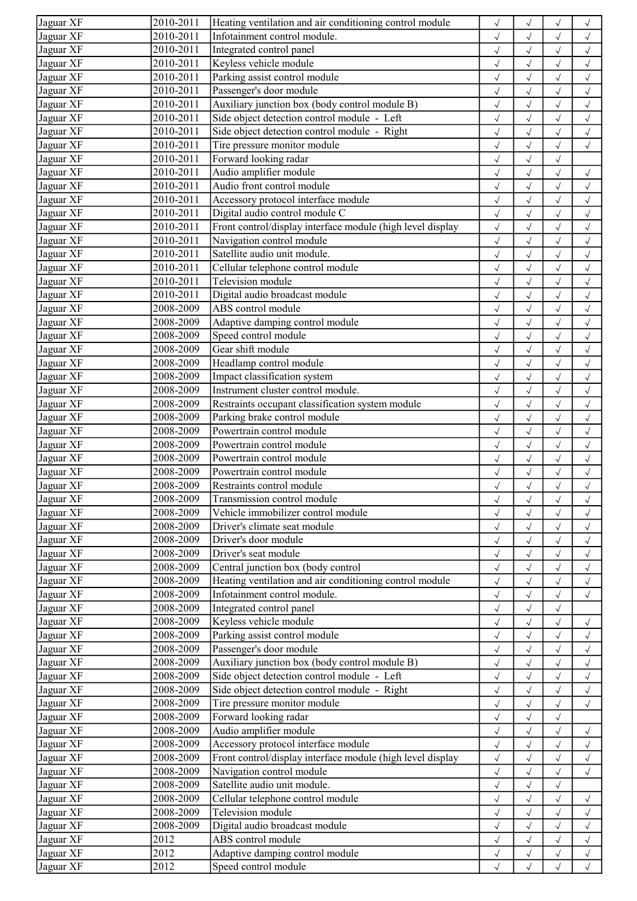| Jaguar XF | 2010-2011 | Heating ventilation and air conditioning control module    | $\sqrt{ }$           | $\checkmark$ |              | $\checkmark$ |
|-----------|-----------|------------------------------------------------------------|----------------------|--------------|--------------|--------------|
| Jaguar XF | 2010-2011 | Infotainment control module.                               | $\sqrt{ }$           | $\checkmark$ | $\sqrt{}$    | $\checkmark$ |
| Jaguar XF | 2010-2011 | Integrated control panel                                   | $\sqrt{ }$           | $\sqrt{}$    | $\sqrt{}$    | $\checkmark$ |
| Jaguar XF | 2010-2011 | Keyless vehicle module                                     | $\sqrt{ }$           | $\checkmark$ | $\sqrt{ }$   | $\checkmark$ |
| Jaguar XF | 2010-2011 | Parking assist control module                              | $\checkmark$         | $\checkmark$ | $\sqrt{}$    | $\sqrt{2}$   |
| Jaguar XF | 2010-2011 | Passenger's door module                                    | $\sqrt{ }$           | $\checkmark$ | $\sqrt{ }$   | $\sqrt{ }$   |
| Jaguar XF | 2010-2011 | Auxiliary junction box (body control module B)             | $\checkmark$         | $\sqrt{}$    | $\sqrt{ }$   | $\sqrt{ }$   |
| Jaguar XF | 2010-2011 | Side object detection control module - Left                | $\checkmark$         | $\sqrt{}$    | $\sqrt{}$    | $\checkmark$ |
| Jaguar XF | 2010-2011 | Side object detection control module - Right               | $\sqrt{\phantom{a}}$ | $\checkmark$ |              | $\sqrt{2}$   |
| Jaguar XF | 2010-2011 | Tire pressure monitor module                               | $\sqrt{}$            | $\sqrt{}$    | $\sqrt{}$    | $\checkmark$ |
| Jaguar XF | 2010-2011 | Forward looking radar                                      | $\sqrt{ }$           | $\sqrt{}$    | $\sqrt{ }$   |              |
| Jaguar XF | 2010-2011 | Audio amplifier module                                     | $\sqrt{ }$           | $\checkmark$ | $\checkmark$ | $\checkmark$ |
| Jaguar XF | 2010-2011 | Audio front control module                                 | $\checkmark$         | $\sqrt{2}$   | $\sqrt{ }$   | $\sqrt{2}$   |
| Jaguar XF | 2010-2011 | Accessory protocol interface module                        | $\sqrt{ }$           | $\checkmark$ | $\sqrt{ }$   | $\checkmark$ |
| Jaguar XF | 2010-2011 | Digital audio control module C                             | $\checkmark$         | $\checkmark$ | $\checkmark$ | $\checkmark$ |
| Jaguar XF | 2010-2011 | Front control/display interface module (high level display | $\sqrt{ }$           | $\checkmark$ | $\sqrt{ }$   | $\checkmark$ |
| Jaguar XF | 2010-2011 | Navigation control module                                  | $\sqrt{2}$           | $\sqrt{2}$   |              | $\sqrt{2}$   |
| Jaguar XF | 2010-2011 | Satellite audio unit module.                               | $\sqrt{ }$           | $\sqrt{}$    |              | $\checkmark$ |
| Jaguar XF | 2010-2011 | Cellular telephone control module                          | $\sqrt{ }$           | $\sqrt{}$    | $\sqrt{}$    | $\sqrt{ }$   |
| Jaguar XF | 2010-2011 | Television module                                          | $\sqrt{ }$           | $\sqrt{}$    | $\sqrt{}$    | $\checkmark$ |
| Jaguar XF | 2010-2011 | Digital audio broadcast module                             | $\sqrt{ }$           | $\checkmark$ | $\checkmark$ | $\sqrt{2}$   |
| Jaguar XF | 2008-2009 | ABS control module                                         | $\sqrt{ }$           | $\checkmark$ | $\sqrt{ }$   | $\checkmark$ |
| Jaguar XF | 2008-2009 | Adaptive damping control module                            | $\sqrt{ }$           | $\checkmark$ | $\sqrt{ }$   | $\checkmark$ |
| Jaguar XF | 2008-2009 | Speed control module                                       | $\sqrt{\phantom{a}}$ | $\checkmark$ |              | $\checkmark$ |
| Jaguar XF | 2008-2009 | Gear shift module                                          | $\sqrt{2}$           | $\checkmark$ | $\checkmark$ | $\sqrt{2}$   |
| Jaguar XF | 2008-2009 | Headlamp control module                                    | $\sqrt{}$            | $\sqrt{}$    |              | $\sqrt{}$    |
| Jaguar XF | 2008-2009 | Impact classification system                               | $\sqrt{}$            | $\checkmark$ | $\sqrt{}$    | $\checkmark$ |
| Jaguar XF | 2008-2009 | Instrument cluster control module.                         | $\sqrt{ }$           | $\checkmark$ | $\sqrt{}$    | $\checkmark$ |
| Jaguar XF | 2008-2009 | Restraints occupant classification system module           | $\sqrt{ }$           | $\checkmark$ | $\sqrt{}$    | $\checkmark$ |
| Jaguar XF | 2008-2009 | Parking brake control module                               | $\sqrt{ }$           | $\sqrt{2}$   | $\checkmark$ | $\sqrt{2}$   |
| Jaguar XF | 2008-2009 | Powertrain control module                                  | $\sqrt{ }$           | $\sqrt{}$    | $\sqrt{ }$   | $\sqrt{ }$   |
| Jaguar XF | 2008-2009 | Powertrain control module                                  | $\sqrt{ }$           | $\checkmark$ | $\sqrt{}$    | $\checkmark$ |
| Jaguar XF | 2008-2009 | Powertrain control module                                  | $\sqrt{ }$           | $\checkmark$ | $\sqrt{2}$   | $\checkmark$ |
| Jaguar XF | 2008-2009 | Powertrain control module                                  | $\sqrt{ }$           | $\checkmark$ |              | $\checkmark$ |
| Jaguar XF | 2008-2009 | Restraints control module                                  | $\sqrt{}$            | $\checkmark$ | $\sqrt{ }$   | $\checkmark$ |
| Jaguar XF | 2008-2009 | Transmission control module                                | $\sqrt{}$            | $\checkmark$ | $\sqrt{}$    | $\sqrt{}$    |
| Jaguar XF | 2008-2009 | Vehicle immobilizer control module                         | $\sqrt{ }$           | $\sqrt{}$    |              | $\checkmark$ |
| Jaguar XF | 2008-2009 | Driver's climate seat module                               | $\checkmark$         | $\sqrt{ }$   | $\sqrt{ }$   | $\checkmark$ |
| Jaguar XF | 2008-2009 | Driver's door module                                       | $\sqrt{ }$           | $\sqrt{}$    | $\sqrt{ }$   | $\sqrt{}$    |
| Jaguar XF | 2008-2009 | Driver's seat module                                       | $\sqrt{ }$           | $\sqrt{}$    | $\sqrt{ }$   | $\sqrt{ }$   |
| Jaguar XF | 2008-2009 | Central junction box (body control                         | $\sqrt{ }$           | $\checkmark$ |              | $\checkmark$ |
| Jaguar XF | 2008-2009 | Heating ventilation and air conditioning control module    | $\sqrt{}$            | $\checkmark$ |              | $\sqrt{2}$   |
| Jaguar XF | 2008-2009 | Infotainment control module.                               | $\sqrt{}$            | $\sqrt{}$    |              | $\checkmark$ |
| Jaguar XF | 2008-2009 | Integrated control panel                                   | $\sqrt{ }$           | $\sqrt{}$    | $\sqrt{}$    |              |
| Jaguar XF | 2008-2009 | Keyless vehicle module                                     | $\sqrt{ }$           | $\sqrt{}$    | $\sqrt{}$    | $\checkmark$ |
| Jaguar XF | 2008-2009 | Parking assist control module                              | $\sqrt{ }$           | $\checkmark$ | $\sqrt{2}$   | $\sqrt{2}$   |
| Jaguar XF | 2008-2009 | Passenger's door module                                    | $\sqrt{ }$           | $\sqrt{}$    |              | $\checkmark$ |
| Jaguar XF | 2008-2009 | Auxiliary junction box (body control module B)             | $\sqrt{ }$           | $\sqrt{}$    | $\sqrt{ }$   | $\sqrt{ }$   |
| Jaguar XF | 2008-2009 | Side object detection control module - Left                | $\sqrt{ }$           | $\sqrt{}$    |              | $\checkmark$ |
| Jaguar XF | 2008-2009 | Side object detection control module - Right               | $\sqrt{}$            | $\checkmark$ |              | $\sqrt{2}$   |
| Jaguar XF | 2008-2009 | Tire pressure monitor module                               | $\sqrt{ }$           | $\sqrt{}$    |              | $\checkmark$ |
| Jaguar XF | 2008-2009 | Forward looking radar                                      | $\sqrt{ }$           | $\sqrt{}$    | $\sqrt{ }$   |              |
| Jaguar XF | 2008-2009 | Audio amplifier module                                     | $\sqrt{ }$           | $\sqrt{}$    | $\sqrt{}$    | $\checkmark$ |
| Jaguar XF | 2008-2009 | Accessory protocol interface module                        | $\sqrt{ }$           | $\sqrt{}$    | $\sqrt{ }$   | $\sqrt{ }$   |
| Jaguar XF | 2008-2009 | Front control/display interface module (high level display | $\sqrt{ }$           | $\checkmark$ | $\sqrt{}$    | $\checkmark$ |
| Jaguar XF | 2008-2009 | Navigation control module                                  | $\sqrt{ }$           | $\checkmark$ | $\sqrt{ }$   | $\checkmark$ |
| Jaguar XF | 2008-2009 | Satellite audio unit module.                               | $\sqrt{ }$           | $\sqrt{}$    | $\sqrt{}$    |              |
| Jaguar XF | 2008-2009 | Cellular telephone control module                          | $\sqrt{}$            | $\sqrt{}$    | $\sqrt{}$    | $\sqrt{}$    |
| Jaguar XF | 2008-2009 | Television module                                          | $\sqrt{ }$           | $\sqrt{}$    |              | $\checkmark$ |
| Jaguar XF | 2008-2009 | Digital audio broadcast module                             | $\sqrt{ }$           | $\sqrt{}$    | $\sqrt{}$    | $\checkmark$ |
| Jaguar XF | 2012      | ABS control module                                         | $\sqrt{}$            | $\sqrt{ }$   | $\sqrt{ }$   | $\sqrt{}$    |
| Jaguar XF | 2012      | Adaptive damping control module                            | $\sqrt{ }$           | $\sqrt{}$    |              | $\sqrt{}$    |
| Jaguar XF | 2012      | Speed control module                                       | $\sqrt{ }$           | $\sqrt{}$    | $\sqrt{}$    | $\sqrt{2}$   |
|           |           |                                                            |                      |              |              |              |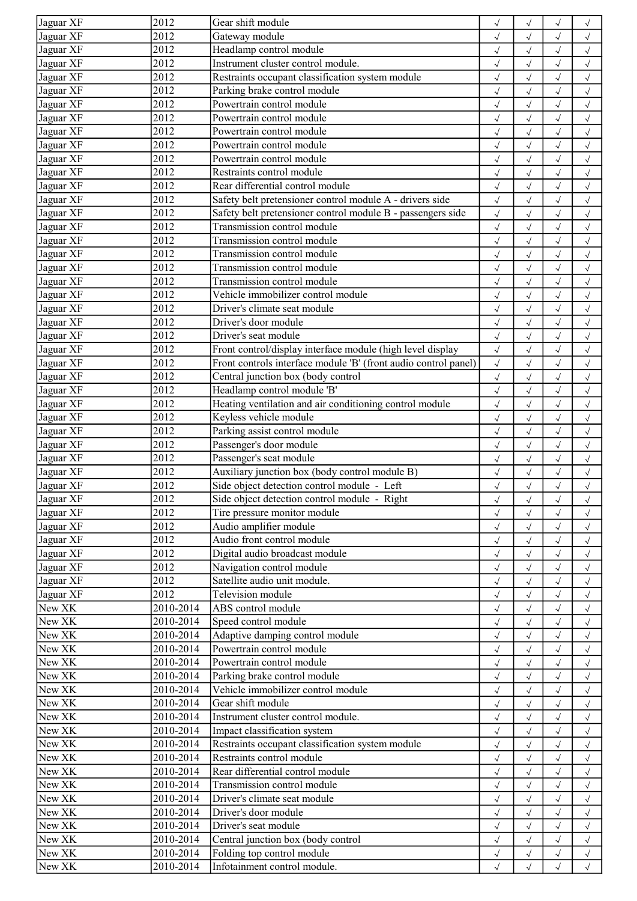| Jaguar XF | 2012                    | Gear shift module                                               | $\sqrt{ }$   | $\checkmark$ |              | $\checkmark$ |
|-----------|-------------------------|-----------------------------------------------------------------|--------------|--------------|--------------|--------------|
| Jaguar XF | 2012                    | Gateway module                                                  | $\sqrt{ }$   | $\sqrt{}$    | $\sqrt{}$    | $\sqrt{}$    |
| Jaguar XF | 2012                    | Headlamp control module                                         | $\sqrt{ }$   | $\sqrt{}$    | $\sqrt{ }$   | $\sqrt{ }$   |
| Jaguar XF | 2012                    | Instrument cluster control module.                              | $\sqrt{ }$   | $\sqrt{}$    | $\sqrt{}$    | $\checkmark$ |
| Jaguar XF | 2012                    | Restraints occupant classification system module                | $\checkmark$ | $\checkmark$ | $\sqrt{}$    | $\sqrt{ }$   |
| Jaguar XF | 2012                    | Parking brake control module                                    | $\sqrt{ }$   | $\sqrt{}$    | $\sqrt{ }$   | $\sqrt{}$    |
| Jaguar XF | 2012                    | Powertrain control module                                       | $\sqrt{ }$   | $\sqrt{}$    | $\sqrt{ }$   | $\sqrt{ }$   |
| Jaguar XF | 2012                    | Powertrain control module                                       | $\sqrt{ }$   | $\sqrt{2}$   | $\sqrt{2}$   | $\sqrt{ }$   |
| Jaguar XF | 2012                    | Powertrain control module                                       | $\sqrt{2}$   | $\checkmark$ |              | $\sqrt{2}$   |
| Jaguar XF | 2012                    | Powertrain control module                                       | $\sqrt{}$    | $\checkmark$ | $\sqrt{}$    | $\checkmark$ |
| Jaguar XF | 2012                    | Powertrain control module                                       | $\sqrt{ }$   | $\sqrt{}$    | $\sqrt{ }$   | $\checkmark$ |
| Jaguar XF | 2012                    | Restraints control module                                       | $\sqrt{ }$   | $\sqrt{}$    | $\sqrt{}$    | $\sqrt{ }$   |
| Jaguar XF | 2012                    | Rear differential control module                                | $\sqrt{2}$   | $\sqrt{2}$   | $\sqrt{2}$   | $\sqrt{2}$   |
| Jaguar XF | 2012                    | Safety belt pretensioner control module A - drivers side        | $\sqrt{ }$   | $\checkmark$ | $\sqrt{ }$   | $\checkmark$ |
| Jaguar XF | 2012                    | Safety belt pretensioner control module B - passengers side     | $\checkmark$ | $\checkmark$ | $\checkmark$ | $\checkmark$ |
| Jaguar XF | 2012                    | Transmission control module                                     | $\sqrt{ }$   | $\checkmark$ | $\sqrt{ }$   | $\checkmark$ |
| Jaguar XF | 2012                    | Transmission control module                                     | $\sqrt{2}$   | $\checkmark$ |              | $\sqrt{2}$   |
| Jaguar XF | 2012                    | Transmission control module                                     | $\sqrt{ }$   | $\sqrt{}$    |              | $\checkmark$ |
| Jaguar XF | 2012                    | Transmission control module                                     | $\sqrt{ }$   | $\sqrt{}$    | $\sqrt{ }$   | $\checkmark$ |
| Jaguar XF | 2012                    | Transmission control module                                     | $\sqrt{ }$   | $\sqrt{}$    | $\sqrt{}$    | $\checkmark$ |
| Jaguar XF | 2012                    | Vehicle immobilizer control module                              | $\checkmark$ | $\checkmark$ | $\sqrt{2}$   | $\sqrt{2}$   |
| Jaguar XF | 2012                    | Driver's climate seat module                                    |              | $\checkmark$ |              |              |
| Jaguar XF | 2012                    | Driver's door module                                            | $\sqrt{ }$   |              | $\sqrt{ }$   | $\checkmark$ |
| Jaguar XF | 2012                    | Driver's seat module                                            | $\sqrt{2}$   | $\checkmark$ | $\checkmark$ | $\checkmark$ |
|           |                         |                                                                 | $\sqrt{ }$   | $\checkmark$ | $\sqrt{ }$   | $\checkmark$ |
| Jaguar XF | 2012                    | Front control/display interface module (high level display      | $\checkmark$ | $\checkmark$ | $\sqrt{}$    | $\sqrt{}$    |
| Jaguar XF | 2012                    | Front controls interface module 'B' (front audio control panel) | $\sqrt{ }$   | $\sqrt{2}$   |              | $\sqrt{}$    |
| Jaguar XF | 2012                    | Central junction box (body control                              | $\sqrt{ }$   | $\sqrt{}$    | $\sqrt{}$    | $\checkmark$ |
| Jaguar XF | 2012                    | Headlamp control module 'B'                                     | $\sqrt{ }$   | $\sqrt{}$    | $\sqrt{ }$   | $\checkmark$ |
| Jaguar XF | 2012                    | Heating ventilation and air conditioning control module         | $\sqrt{ }$   | $\checkmark$ | $\sqrt{}$    | $\checkmark$ |
| Jaguar XF | 2012                    | Keyless vehicle module                                          | $\checkmark$ | $\checkmark$ | $\checkmark$ | $\checkmark$ |
| Jaguar XF | 2012                    | Parking assist control module                                   | $\sqrt{ }$   | $\sqrt{}$    | $\sqrt{ }$   | $\sqrt{ }$   |
| Jaguar XF | 2012                    | Passenger's door module                                         | $\sqrt{ }$   | $\sqrt{}$    | $\sqrt{ }$   | $\checkmark$ |
| Jaguar XF | 2012                    | Passenger's seat module                                         | $\sqrt{ }$   | $\checkmark$ | $\sqrt{}$    | $\checkmark$ |
| Jaguar XF | 2012                    | Auxiliary junction box (body control module B)                  | $\sqrt{2}$   | $\sqrt{2}$   |              | $\checkmark$ |
| Jaguar XF | 2012                    | Side object detection control module - Left                     | $\sqrt{ }$   | $\checkmark$ | $\sqrt{}$    | $\checkmark$ |
| Jaguar XF | 2012                    | Side object detection control module - Right                    | $\sqrt{}$    | $\sqrt{ }$   | $\sqrt{}$    | $\sqrt{}$    |
| Jaguar XF | 2012                    | Tire pressure monitor module                                    | $\sqrt{ }$   | $\sqrt{}$    |              | $\sqrt{ }$   |
| Jaguar XF | 2012                    | Audio amplifier module                                          | $\sqrt{ }$   | $\sqrt{ }$   | $\sqrt{ }$   | $\sqrt{ }$   |
| Jaguar XF | 2012                    | Audio front control module                                      | $\sqrt{ }$   | $\sqrt{}$    | $\sqrt{ }$   | $\sqrt{ }$   |
| Jaguar XF | 2012                    | Digital audio broadcast module                                  | $\sqrt{ }$   | $\sqrt{}$    | $\sqrt{ }$   | $\sqrt{ }$   |
| Jaguar XF | 2012                    | Navigation control module                                       | $\sqrt{ }$   | $\sqrt{}$    |              | $\checkmark$ |
| Jaguar XF | 2012                    | Satellite audio unit module.                                    |              | $\checkmark$ |              | $\sqrt{2}$   |
| Jaguar XF | 2012                    | Television module                                               | $\sqrt{ }$   | $\sqrt{}$    |              | $\checkmark$ |
| New XK    | 2010-2014               | ABS control module                                              | $\sqrt{ }$   | $\sqrt{}$    |              | $\checkmark$ |
| New XK    | 2010-2014               | Speed control module                                            | $\sqrt{ }$   | $\sqrt{}$    |              | $\checkmark$ |
| New XK    | 2010-2014               | Adaptive damping control module                                 | $\sqrt{ }$   | $\checkmark$ |              | $\sqrt{2}$   |
| New XK    | 2010-2014               | Powertrain control module                                       | $\sqrt{ }$   | $\sqrt{}$    |              | $\sqrt{}$    |
| New XK    | 2010-2014               | Powertrain control module                                       | $\sqrt{ }$   | $\sqrt{}$    | $\sqrt{ }$   | $\sqrt{ }$   |
| New XK    | 2010-2014               | Parking brake control module                                    | $\sqrt{ }$   | $\sqrt{}$    |              | $\checkmark$ |
| New XK    | 2010-2014               | Vehicle immobilizer control module                              | $\sqrt{ }$   | $\checkmark$ |              | $\checkmark$ |
| New XK    | 2010-2014               | Gear shift module                                               | $\sqrt{2}$   |              |              | $\checkmark$ |
| New XK    | 2010-2014               | Instrument cluster control module.                              | $\sqrt{ }$   | $\sqrt{}$    | $\sqrt{ }$   | $\checkmark$ |
| New XK    | 2010-2014               | Impact classification system                                    | $\sqrt{}$    | $\sqrt{}$    | $\sqrt{}$    | $\checkmark$ |
| New XK    | 2010-2014               | Restraints occupant classification system module                | $\checkmark$ | $\sqrt{}$    | $\sqrt{}$    | $\checkmark$ |
| New XK    | $\overline{2010}$ -2014 | Restraints control module                                       | $\checkmark$ | $\sqrt{}$    | $\sqrt{}$    | $\checkmark$ |
| New XK    | 2010-2014               | Rear differential control module                                | $\sqrt{ }$   | $\checkmark$ | $\sqrt{ }$   | $\checkmark$ |
| New XK    | 2010-2014               | Transmission control module                                     | $\sqrt{ }$   | $\sqrt{}$    | $\sqrt{}$    | $\checkmark$ |
| New XK    | 2010-2014               | Driver's climate seat module                                    | $\sqrt{}$    | $\checkmark$ |              | $\checkmark$ |
| New XK    | 2010-2014               | Driver's door module                                            | $\sqrt{ }$   | $\sqrt{}$    |              | $\checkmark$ |
| New XK    | 2010-2014               | Driver's seat module                                            | $\sqrt{ }$   | $\sqrt{}$    | $\sqrt{}$    | $\checkmark$ |
| New XK    | 2010-2014               | Central junction box (body control                              | $\sqrt{ }$   | $\sqrt{ }$   | $\sqrt{ }$   | $\sqrt{ }$   |
| New XK    | 2010-2014               | Folding top control module                                      | $\sqrt{ }$   | $\sqrt{}$    |              | $\sqrt{ }$   |
| New XK    | 2010-2014               | Infotainment control module.                                    | $\sqrt{ }$   | $\sqrt{}$    | $\sqrt{}$    | $\checkmark$ |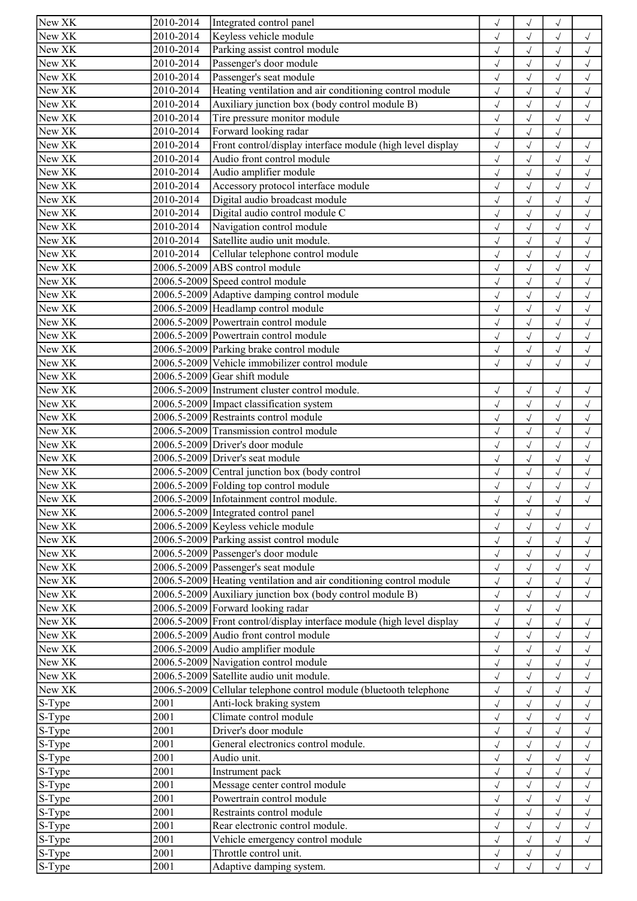| New XK | 2010-2014               | Integrated control panel                                                                   | $\sqrt{}$                 | $\checkmark$ |              |                      |
|--------|-------------------------|--------------------------------------------------------------------------------------------|---------------------------|--------------|--------------|----------------------|
| New XK | 2010-2014               | Keyless vehicle module                                                                     | $\checkmark$              | $\sqrt{}$    | $\sqrt{}$    | $\sqrt{ }$           |
| New XK | 2010-2014               | Parking assist control module                                                              | $\checkmark$              | $\sqrt{ }$   | $\sqrt{ }$   | $\sqrt{ }$           |
| New XK | 2010-2014               | Passenger's door module                                                                    | $\checkmark$              | $\sqrt{}$    | $\sqrt{}$    | $\sqrt{ }$           |
| New XK | 2010-2014               | Passenger's seat module                                                                    | $\checkmark$              | $\checkmark$ | $\sqrt{2}$   | $\checkmark$         |
| New XK | 2010-2014               | Heating ventilation and air conditioning control module                                    | $\sqrt{}$                 | $\sqrt{}$    | $\sqrt{ }$   | $\sqrt{ }$           |
| New XK | 2010-2014               | Auxiliary junction box (body control module B)                                             | $\sqrt{}$                 | $\sqrt{}$    | $\sqrt{ }$   | $\sqrt{ }$           |
| New XK | 2010-2014               | Tire pressure monitor module                                                               | $\sqrt{}$                 | $\sqrt{2}$   | $\sqrt{}$    | $\checkmark$         |
| New XK | $\overline{2010}$ -2014 | Forward looking radar                                                                      | $\sqrt{2}$                | $\checkmark$ | $\sqrt{}$    |                      |
| New XK | 2010-2014               | Front control/display interface module (high level display                                 | $\checkmark$              | $\sqrt{}$    | $\sqrt{}$    | $\sqrt{}$            |
| New XK | 2010-2014               | Audio front control module                                                                 | $\checkmark$              | $\sqrt{}$    | $\sqrt{ }$   | $\sqrt{ }$           |
| New XK | 2010-2014               | Audio amplifier module                                                                     | $\checkmark$              | $\sqrt{}$    | $\sqrt{}$    | $\sqrt{ }$           |
| New XK | 2010-2014               | Accessory protocol interface module                                                        | $\sqrt{2}$                | $\checkmark$ | $\sqrt{ }$   | $\sqrt{2}$           |
| New XK | 2010-2014               | Digital audio broadcast module                                                             | $\sqrt{ }$                | $\sqrt{2}$   | $\sqrt{ }$   | $\sqrt{ }$           |
| New XK | 2010-2014               | Digital audio control module C                                                             | $\sqrt{}$                 | $\sqrt{}$    | $\sqrt{ }$   | $\sqrt{ }$           |
| New XK | 2010-2014               | Navigation control module                                                                  | $\sqrt{ }$                | $\sqrt{}$    | $\sqrt{}$    | $\sqrt{ }$           |
| New XK | 2010-2014               | Satellite audio unit module.                                                               | $\sqrt{2}$                | $\checkmark$ |              | $\sqrt{2}$           |
| New XK | 2010-2014               | Cellular telephone control module                                                          | $\checkmark$              | $\sqrt{2}$   |              | $\checkmark$         |
| New XK |                         | 2006.5-2009 ABS control module                                                             | $\sqrt{}$                 | $\checkmark$ |              | $\checkmark$         |
| New XK |                         | 2006.5-2009 Speed control module                                                           |                           | $\sqrt{}$    | $\sqrt{}$    | $\checkmark$         |
| New XK |                         | 2006.5-2009 Adaptive damping control module                                                | $\checkmark$<br>$\sqrt{}$ | $\checkmark$ | $\sqrt{}$    | $\sqrt{2}$           |
| New XK |                         | 2006.5-2009 Headlamp control module                                                        | $\checkmark$              | $\sqrt{2}$   | $\sqrt{}$    | $\checkmark$         |
| New XK |                         | 2006.5-2009 Powertrain control module                                                      | $\sqrt{}$                 | $\checkmark$ | $\sqrt{ }$   | $\checkmark$         |
| New XK |                         | 2006.5-2009 Powertrain control module                                                      |                           | $\sqrt{}$    |              |                      |
| New XK |                         |                                                                                            | $\sqrt{ }$                |              | $\sqrt{}$    | $\checkmark$         |
| New XK |                         | 2006.5-2009 Parking brake control module<br>2006.5-2009 Vehicle immobilizer control module | $\sqrt{2}$                | $\checkmark$ |              | $\checkmark$         |
|        |                         |                                                                                            | $\sqrt{}$                 | $\checkmark$ | $\sqrt{}$    | $\sqrt{}$            |
| New XK |                         | 2006.5-2009 Gear shift module                                                              |                           |              |              |                      |
| New XK |                         | 2006.5-2009 Instrument cluster control module.                                             | $\sqrt{ }$                | $\sqrt{}$    | $\sqrt{ }$   | $\checkmark$         |
| New XK |                         | 2006.5-2009 Impact classification system                                                   | $\checkmark$              | $\checkmark$ | $\sqrt{}$    | $\checkmark$         |
| New XK |                         | 2006.5-2009 Restraints control module                                                      | $\sqrt{}$                 | $\checkmark$ | $\sqrt{}$    | $\checkmark$         |
| New XK |                         | 2006.5-2009 Transmission control module                                                    | $\checkmark$              | $\sqrt{}$    | $\sqrt{ }$   | $\checkmark$         |
| New XK |                         | 2006.5-2009 Driver's door module                                                           | $\sqrt{}$                 | $\sqrt{}$    | $\sqrt{ }$   | $\checkmark$         |
| New XK |                         | 2006.5-2009 Driver's seat module                                                           | $\checkmark$              | $\sqrt{2}$   | $\sqrt{}$    | $\checkmark$         |
| New XK |                         | 2006.5-2009 Central junction box (body control                                             | $\checkmark$              | $\sqrt{2}$   |              | $\checkmark$         |
| New XK |                         | 2006.5-2009 Folding top control module                                                     | $\checkmark$              | $\checkmark$ | $\sqrt{}$    | $\sqrt{}$            |
| New XK |                         | 2006.5-2009 Infotainment control module.                                                   | $\checkmark$              | $\sqrt{ }$   | $\sqrt{}$    | $\sqrt{\phantom{a}}$ |
| New XK |                         | 2006.5-2009 Integrated control panel                                                       | $\checkmark$              | $\sqrt{}$    | $\sqrt{}$    |                      |
| New XK |                         | 2006.5-2009 Keyless vehicle module                                                         | $\checkmark$              | $\checkmark$ | $\checkmark$ | $\sqrt{ }$           |
| New XK |                         | 2006.5-2009 Parking assist control module                                                  | $\checkmark$              | $\sqrt{}$    | $\sqrt{ }$   | $\sqrt{ }$           |
| New XK |                         | 2006.5-2009 Passenger's door module                                                        | $\sqrt{}$                 | $\sqrt{}$    | $\sqrt{ }$   | $\sqrt{ }$           |
| New XK |                         | 2006.5-2009 Passenger's seat module                                                        | $\sqrt{}$                 | $\checkmark$ |              | $\checkmark$         |
| New XK |                         | 2006.5-2009 Heating ventilation and air conditioning control module                        | $\sqrt{2}$                | $\sqrt{2}$   |              | $\sqrt{2}$           |
| New XK |                         | 2006.5-2009 Auxiliary junction box (body control module B)                                 | $\checkmark$              | $\checkmark$ |              | $\checkmark$         |
| New XK |                         | 2006.5-2009 Forward looking radar                                                          | $\sqrt{}$                 | $\sqrt{}$    | $\sqrt{}$    |                      |
| New XK |                         | 2006.5-2009 Front control/display interface module (high level display                     | $\checkmark$              | $\sqrt{}$    | $\sqrt{}$    | $\sqrt{ }$           |
| New XK |                         | 2006.5-2009 Audio front control module                                                     | $\sqrt{2}$                | $\checkmark$ |              | $\checkmark$         |
| New XK |                         | 2006.5-2009 Audio amplifier module                                                         | $\sqrt{}$                 | $\sqrt{}$    |              | $\sqrt{ }$           |
| New XK |                         | 2006.5-2009 Navigation control module                                                      | $\sqrt{}$                 | $\checkmark$ | $\sqrt{ }$   | $\checkmark$         |
| New XK |                         | 2006.5-2009 Satellite audio unit module.                                                   | $\sqrt{}$                 | $\sqrt{}$    |              | $\checkmark$         |
| New XK |                         | 2006.5-2009 Cellular telephone control module (bluetooth telephone                         | $\sqrt{2}$                | $\checkmark$ |              | $\sqrt{2}$           |
| S-Type | 2001                    | Anti-lock braking system                                                                   | $\checkmark$              | $\checkmark$ |              | $\checkmark$         |
| S-Type | 2001                    | Climate control module                                                                     | $\checkmark$              | $\checkmark$ | $\sqrt{ }$   | $\sqrt{}$            |
| S-Type | 2001                    | Driver's door module                                                                       | $\checkmark$              | $\sqrt{}$    | $\sqrt{}$    | $\checkmark$         |
| S-Type | 2001                    | General electronics control module.                                                        | $\sqrt{}$                 | $\checkmark$ | $\sqrt{}$    | $\checkmark$         |
| S-Type | 2001                    | Audio unit.                                                                                | $\sqrt{}$                 | $\sqrt{}$    | $\sqrt{}$    | $\checkmark$         |
| S-Type | 2001                    | Instrument pack                                                                            | $\sqrt{}$                 | $\checkmark$ | $\sqrt{ }$   | $\checkmark$         |
| S-Type | 2001                    | Message center control module                                                              | $\sqrt{}$                 | $\sqrt{}$    | $\sqrt{}$    | $\sqrt{}$            |
| S-Type | 2001                    | Powertrain control module                                                                  | $\sqrt{}$                 | $\sqrt{}$    | $\sqrt{2}$   | $\sqrt{}$            |
| S-Type | 2001                    | Restraints control module                                                                  | $\checkmark$              | $\sqrt{}$    |              | $\checkmark$         |
| S-Type | 2001                    | Rear electronic control module.                                                            | $\sqrt{}$                 | $\sqrt{}$    | $\sqrt{ }$   | $\sqrt{ }$           |
| S-Type | 2001                    | Vehicle emergency control module                                                           | $\checkmark$              | $\sqrt{}$    | $\sqrt{ }$   | $\sqrt{ }$           |
| S-Type | 2001                    | Throttle control unit.                                                                     | $\checkmark$              | $\sqrt{}$    | $\sqrt{}$    |                      |
| S-Type | 2001                    | Adaptive damping system.                                                                   | $\sqrt{}$                 | $\sqrt{}$    | $\sqrt{}$    | $\sqrt{}$            |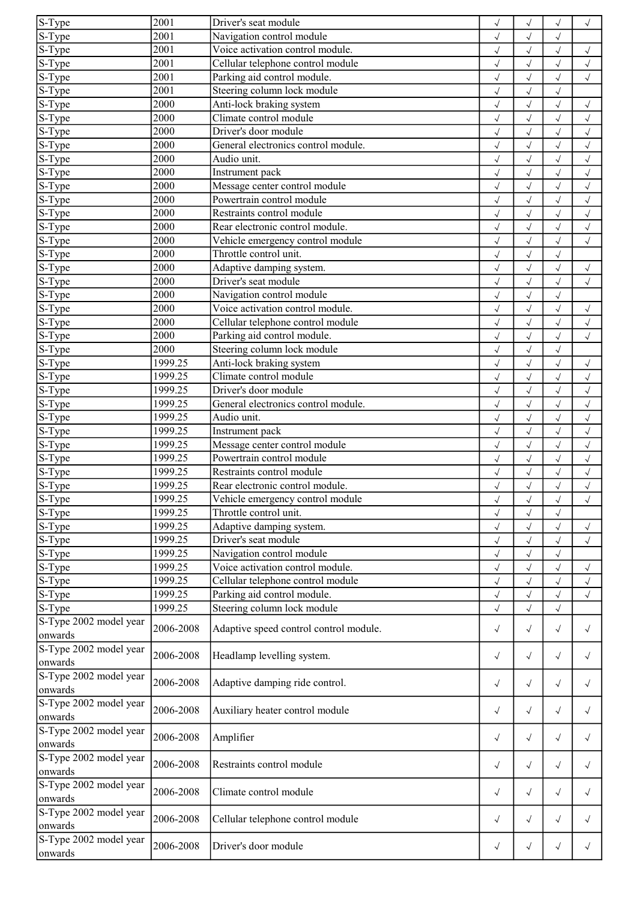| $S-Type$               | 2001      | Driver's seat module                   | $\sqrt{ }$   |                            |              | $\sqrt{}$                |
|------------------------|-----------|----------------------------------------|--------------|----------------------------|--------------|--------------------------|
| S-Type                 | 2001      | Navigation control module              | $\sqrt{ }$   | $\checkmark$               | $\sqrt{}$    |                          |
| S-Type                 | 2001      | Voice activation control module.       | $\sqrt{ }$   | $\checkmark$               | $\sqrt{ }$   | $\sqrt{ }$               |
| S-Type                 | 2001      | Cellular telephone control module      | $\sqrt{ }$   | $\checkmark$               | $\sqrt{}$    | $\sqrt{}$                |
| S-Type                 | 2001      | Parking aid control module.            | $\checkmark$ | $\checkmark$               | $\sqrt{}$    | $\checkmark$             |
| S-Type                 | 2001      | Steering column lock module            | $\sqrt{ }$   | $\checkmark$               | $\sqrt{ }$   |                          |
| S-Type                 | 2000      | Anti-lock braking system               | $\sqrt{ }$   | $\sqrt{2}$                 | $\sqrt{ }$   | $\sqrt{}$                |
| S-Type                 | 2000      | Climate control module                 | $\sqrt{ }$   | $\sqrt{2}$                 | $\sqrt{}$    | $\sqrt{ }$               |
| S-Type                 | 2000      | Driver's door module                   | $\checkmark$ | $\checkmark$               | $\sqrt{}$    | $\sqrt{2}$               |
| S-Type                 | 2000      | General electronics control module.    | $\sqrt{}$    | $\checkmark$               | $\sqrt{}$    | $\sqrt{ }$               |
| S-Type                 | 2000      | Audio unit.                            | $\sqrt{ }$   | $\checkmark$               | $\sqrt{ }$   | $\sqrt{}$                |
| S-Type                 | 2000      | Instrument pack                        | $\sqrt{ }$   | $\sqrt{2}$                 | $\sqrt{}$    | $\sqrt{}$                |
| S-Type                 | 2000      | Message center control module          | $\checkmark$ | $\sqrt{2}$                 | $\sqrt{2}$   | $\checkmark$             |
| $S-Type$               | 2000      | Powertrain control module              | $\sqrt{ }$   | $\sqrt{2}$                 | $\sqrt{}$    | $\checkmark$             |
| $S-Type$               | 2000      | Restraints control module              | $\sqrt{2}$   | $\checkmark$               | $\checkmark$ | $\sqrt{ }$               |
| S-Type                 | 2000      | Rear electronic control module.        | $\sqrt{ }$   | $\checkmark$               | $\sqrt{}$    | $\sqrt{ }$               |
| S-Type                 | 2000      | Vehicle emergency control module       | $\sqrt{}$    | $\sqrt{2}$                 | $\sqrt{}$    | $\sqrt{2}$               |
|                        | 2000      | Throttle control unit.                 |              |                            |              |                          |
| S-Type                 | 2000      |                                        | $\sqrt{ }$   | $\sqrt{2}$                 | $\sqrt{}$    |                          |
| S-Type                 |           | Adaptive damping system.               | $\sqrt{ }$   | $\checkmark$               | $\sqrt{}$    | $\sqrt{ }$               |
| S-Type                 | 2000      | Driver's seat module                   | $\sqrt{ }$   | $\sqrt{2}$                 | $\sqrt{ }$   | $\sqrt{ }$               |
| S-Type                 | 2000      | Navigation control module              | $\checkmark$ | $\checkmark$               | $\sqrt{2}$   |                          |
| S-Type                 | 2000      | Voice activation control module.       | $\sqrt{ }$   | $\sqrt{2}$                 | $\sqrt{}$    | $\sqrt{}$                |
| S-Type                 | 2000      | Cellular telephone control module      | $\sqrt{ }$   | $\checkmark$               | $\sqrt{ }$   | $\sqrt{ }$               |
| S-Type                 | 2000      | Parking aid control module.            | $\checkmark$ | $\checkmark$               | $\sqrt{}$    | $\sqrt{}$                |
| S-Type                 | 2000      | Steering column lock module            | $\sqrt{ }$   | $\checkmark$               | $\sqrt{}$    |                          |
| S-Type                 | 1999.25   | Anti-lock braking system               | $\sqrt{ }$   | $\sqrt{2}$                 | $\sqrt{}$    | $\checkmark$             |
| S-Type                 | 1999.25   | Climate control module                 | $\sqrt{}$    | $\checkmark$               | $\sqrt{}$    | $\sqrt{ }$               |
| S-Type                 | 1999.25   | Driver's door module                   | $\sqrt{ }$   | $\checkmark$               | $\sqrt{}$    | $\sqrt{}$                |
| S-Type                 | 1999.25   | General electronics control module.    | $\sqrt{ }$   | $\checkmark$               | $\sqrt{}$    | $\sqrt{}$                |
| $S-Type$               | 1999.25   | Audio unit.                            | $\sqrt{ }$   | $\checkmark$               | $\sqrt{}$    | $\checkmark$             |
| S-Type                 | 1999.25   | Instrument pack                        | $\sqrt{ }$   | $\checkmark$               | $\sqrt{2}$   | $\sqrt{}$                |
| S-Type                 | 1999.25   | Message center control module          | $\sqrt{ }$   | $\sqrt{2}$                 | $\sqrt{ }$   | $\sqrt{ }$               |
| S-Type                 | 1999.25   | Powertrain control module              | $\sqrt{ }$   | $\sqrt{2}$                 | $\sqrt{}$    | $\checkmark$             |
| S-Type                 | 1999.25   | Restraints control module              | $\sqrt{ }$   | $\checkmark$               |              | $\checkmark$             |
| S-Type                 | 1999.25   | Rear electronic control module.        | $\sqrt{}$    | $\checkmark$               | $\sqrt{}$    | $\sqrt{}$                |
| $S-Type$               | 1999.25   | Vehicle emergency control module       | $\sqrt{}$    | $\sqrt{}$                  | $\sqrt{ }$   | $\sqrt{ }$               |
| S-Type                 | 1999.25   | Throttle control unit.                 | $\sqrt{ }$   | $\checkmark$               | $\sqrt{}$    |                          |
| S-Type                 | 1999.25   | Adaptive damping system.               | $\sqrt{ }$   | $\checkmark$               | $\sqrt{ }$   | $\sqrt{ }$               |
| S-Type                 | 1999.25   | Driver's seat module                   | $\sqrt{ }$   | $\checkmark$               | $\sqrt{ }$   | $\sqrt{}$                |
| S-Type                 | 1999.25   | Navigation control module              | $\sqrt{ }$   | $\sqrt{2}$                 | $\sqrt{ }$   |                          |
|                        | 1999.25   | Voice activation control module.       |              |                            |              |                          |
| S-Type<br>S-Type       | 1999.25   | Cellular telephone control module      | $\sqrt{ }$   | $\checkmark$<br>$\sqrt{2}$ | $\sqrt{}$    | $\sqrt{ }$<br>$\sqrt{2}$ |
|                        |           | Parking aid control module.            |              |                            |              |                          |
| S-Type                 | 1999.25   |                                        | $\sqrt{}$    | $\checkmark$               | $\sqrt{}$    | $\checkmark$             |
| S-Type                 | 1999.25   | Steering column lock module            | $\sqrt{ }$   | $\sqrt{}$                  | $\sqrt{}$    |                          |
| S-Type 2002 model year | 2006-2008 | Adaptive speed control control module. | $\sqrt{ }$   | $\sqrt{}$                  | $\sqrt{ }$   | $\sqrt{}$                |
| onwards                |           |                                        |              |                            |              |                          |
| S-Type 2002 model year | 2006-2008 | Headlamp levelling system.             | $\sqrt{ }$   | $\sqrt{ }$                 | $\sqrt{ }$   | $\sqrt{ }$               |
| onwards                |           |                                        |              |                            |              |                          |
| S-Type 2002 model year | 2006-2008 | Adaptive damping ride control.         | $\sqrt{ }$   | $\sqrt{ }$                 | $\sqrt{ }$   | $\sqrt{ }$               |
| onwards                |           |                                        |              |                            |              |                          |
| S-Type 2002 model year | 2006-2008 | Auxiliary heater control module        | $\sqrt{ }$   | $\sqrt{ }$                 | $\sqrt{ }$   | $\sqrt{}$                |
| onwards                |           |                                        |              |                            |              |                          |
| S-Type 2002 model year | 2006-2008 |                                        |              |                            |              |                          |
| onwards                |           | Amplifier                              | $\sqrt{ }$   | $\sqrt{ }$                 | $\sqrt{ }$   | $\sqrt{}$                |
| S-Type 2002 model year |           |                                        |              |                            |              |                          |
| onwards                | 2006-2008 | Restraints control module              | $\sqrt{ }$   | $\sqrt{ }$                 | $\sqrt{ }$   | $\sqrt{ }$               |
| S-Type 2002 model year |           |                                        |              |                            |              |                          |
| onwards                | 2006-2008 | Climate control module                 | $\sqrt{ }$   | $\sqrt{ }$                 | $\sqrt{ }$   | $\sqrt{}$                |
| S-Type 2002 model year |           |                                        |              |                            |              |                          |
| onwards                | 2006-2008 | Cellular telephone control module      | $\sqrt{}$    | $\sqrt{ }$                 | $\sqrt{ }$   | $\sqrt{}$                |
| S-Type 2002 model year |           |                                        |              |                            |              |                          |
| onwards                | 2006-2008 | Driver's door module                   | $\sqrt{}$    | $\sqrt{ }$                 | $\sqrt{ }$   | $\sqrt{ }$               |
|                        |           |                                        |              |                            |              |                          |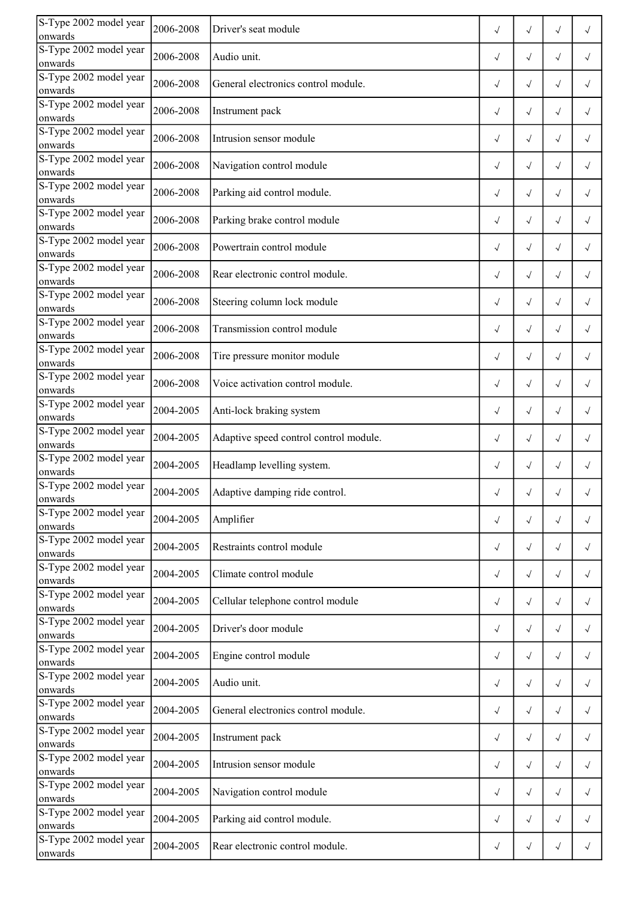| S-Type 2002 model year<br>onwards | 2006-2008 | Driver's seat module                   | $\sqrt{ }$ | $\sqrt{ }$   | $\sqrt{}$  | $\sqrt{}$  |
|-----------------------------------|-----------|----------------------------------------|------------|--------------|------------|------------|
| S-Type 2002 model year<br>onwards | 2006-2008 | Audio unit.                            | $\sqrt{ }$ | $\sqrt{ }$   | $\sqrt{ }$ | $\sqrt{ }$ |
| S-Type 2002 model year<br>onwards | 2006-2008 | General electronics control module.    | $\sqrt{ }$ | $\sqrt{ }$   | $\sqrt{ }$ | $\sqrt{ }$ |
| S-Type 2002 model year<br>onwards | 2006-2008 | Instrument pack                        | $\sqrt{ }$ | $\sqrt{ }$   | $\sqrt{ }$ | $\sqrt{ }$ |
| S-Type 2002 model year<br>onwards | 2006-2008 | Intrusion sensor module                | $\sqrt{ }$ | $\sqrt{ }$   | $\sqrt{}$  | $\sqrt{}$  |
| S-Type 2002 model year<br>onwards | 2006-2008 | Navigation control module              | $\sqrt{ }$ | $\checkmark$ | $\sqrt{ }$ | $\sqrt{ }$ |
| S-Type 2002 model year<br>onwards | 2006-2008 | Parking aid control module.            | $\sqrt{ }$ | $\sqrt{ }$   | $\sqrt{}$  | $\sqrt{ }$ |
| S-Type 2002 model year<br>onwards | 2006-2008 | Parking brake control module           | $\sqrt{ }$ | $\checkmark$ | $\sqrt{ }$ | $\sqrt{ }$ |
| S-Type 2002 model year<br>onwards | 2006-2008 | Powertrain control module              | $\sqrt{ }$ | $\sqrt{}$    | $\sqrt{ }$ | $\sqrt{}$  |
| S-Type 2002 model year<br>onwards | 2006-2008 | Rear electronic control module.        | $\sqrt{ }$ | $\checkmark$ | $\sqrt{ }$ | $\sqrt{ }$ |
| S-Type 2002 model year<br>onwards | 2006-2008 | Steering column lock module            | $\sqrt{ }$ | $\checkmark$ | $\sqrt{}$  | $\sqrt{ }$ |
| S-Type 2002 model year<br>onwards | 2006-2008 | Transmission control module            | $\sqrt{ }$ | $\checkmark$ | $\sqrt{ }$ | $\sqrt{ }$ |
| S-Type 2002 model year<br>onwards | 2006-2008 | Tire pressure monitor module           | $\sqrt{}$  | $\sqrt{}$    | $\sqrt{}$  | $\sqrt{}$  |
| S-Type 2002 model year<br>onwards | 2006-2008 | Voice activation control module.       | $\sqrt{ }$ | $\checkmark$ | $\sqrt{ }$ | $\sqrt{ }$ |
| S-Type 2002 model year<br>onwards | 2004-2005 | Anti-lock braking system               | $\sqrt{ }$ | $\sqrt{ }$   | $\sqrt{ }$ | $\sqrt{ }$ |
| S-Type 2002 model year<br>onwards | 2004-2005 | Adaptive speed control control module. | $\sqrt{ }$ | $\sqrt{ }$   | $\sqrt{ }$ | $\sqrt{ }$ |
| S-Type 2002 model year<br>onwards | 2004-2005 | Headlamp levelling system.             | $\sqrt{ }$ | $\sqrt{ }$   | $\sqrt{ }$ | $\sqrt{ }$ |
| S-Type 2002 model year<br>onwards | 2004-2005 | Adaptive damping ride control.         | $\sqrt{}$  | $\sqrt{}$    |            |            |
| S-Type 2002 model year<br>onwards | 2004-2005 | Amplifier                              | $\sqrt{ }$ | $\checkmark$ | $\sqrt{ }$ | $\sqrt{ }$ |
| S-Type 2002 model year<br>onwards | 2004-2005 | Restraints control module              | $\sqrt{ }$ | $\sqrt{ }$   | $\sqrt{ }$ | $\sqrt{ }$ |
| S-Type 2002 model year<br>onwards | 2004-2005 | Climate control module                 | $\sqrt{ }$ | $\sqrt{ }$   | $\sqrt{ }$ | $\sqrt{ }$ |
| S-Type 2002 model year<br>onwards | 2004-2005 | Cellular telephone control module      | $\sqrt{ }$ | $\sqrt{ }$   | $\sqrt{ }$ | $\sqrt{ }$ |
| S-Type 2002 model year<br>onwards | 2004-2005 | Driver's door module                   | $\sqrt{ }$ | $\sqrt{ }$   | $\sqrt{}$  | $\sqrt{ }$ |
| S-Type 2002 model year<br>onwards | 2004-2005 | Engine control module                  | $\sqrt{ }$ | $\sqrt{ }$   | $\sqrt{ }$ | $\sqrt{ }$ |
| S-Type 2002 model year<br>onwards | 2004-2005 | Audio unit.                            | $\sqrt{}$  | $\sqrt{ }$   | $\sqrt{ }$ | $\sqrt{}$  |
| S-Type 2002 model year<br>onwards | 2004-2005 | General electronics control module.    | $\sqrt{}$  | $\sqrt{ }$   | $\sqrt{ }$ | $\sqrt{ }$ |
| S-Type 2002 model year<br>onwards | 2004-2005 | Instrument pack                        | $\sqrt{ }$ | $\sqrt{ }$   | $\sqrt{ }$ | $\sqrt{}$  |
| S-Type 2002 model year<br>onwards | 2004-2005 | Intrusion sensor module                | $\sqrt{ }$ | $\sqrt{ }$   | $\sqrt{ }$ | $\sqrt{ }$ |
| S-Type 2002 model year<br>onwards | 2004-2005 | Navigation control module              | $\sqrt{ }$ | $\sqrt{ }$   | $\sqrt{ }$ | $\sqrt{ }$ |
| S-Type 2002 model year<br>onwards | 2004-2005 | Parking aid control module.            | $\sqrt{}$  | $\sqrt{ }$   | $\sqrt{ }$ | $\sqrt{ }$ |
| S-Type 2002 model year<br>onwards | 2004-2005 | Rear electronic control module.        | $\sqrt{}$  | $\sqrt{ }$   | $\sqrt{ }$ | $\sqrt{ }$ |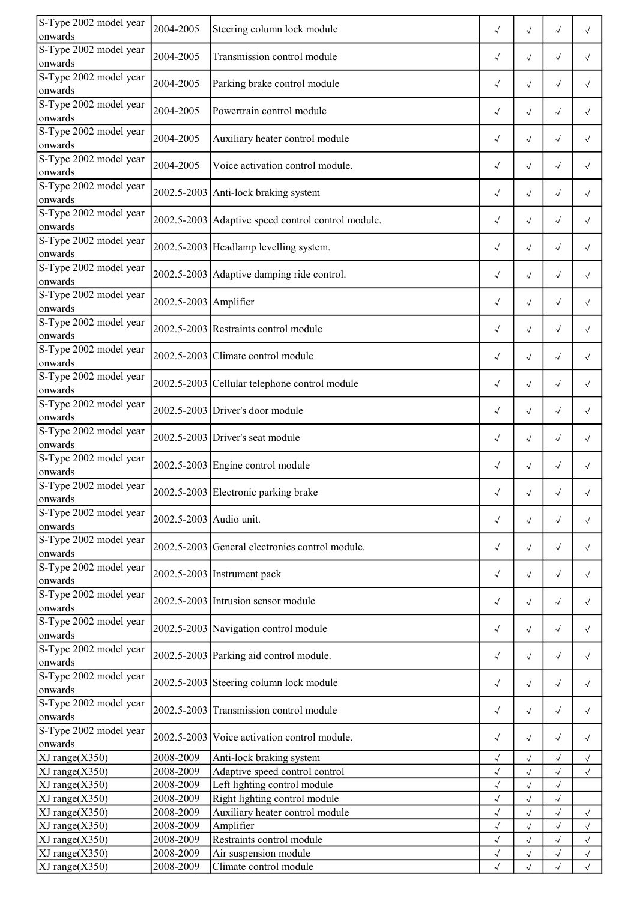| S-Type 2002 model year<br>onwards | 2004-2005               | Steering column lock module                        | $\sqrt{}$    | $\sqrt{}$    | $\sqrt{}$  | $\sqrt{}$    |
|-----------------------------------|-------------------------|----------------------------------------------------|--------------|--------------|------------|--------------|
| S-Type 2002 model year<br>onwards | 2004-2005               | Transmission control module                        | $\sqrt{ }$   | $\sqrt{}$    | $\sqrt{}$  | $\sqrt{}$    |
| S-Type 2002 model year<br>onwards | 2004-2005               | Parking brake control module                       | $\sqrt{ }$   | $\sqrt{}$    | $\sqrt{ }$ | $\sqrt{ }$   |
| S-Type 2002 model year<br>onwards | 2004-2005               | Powertrain control module                          | $\sqrt{ }$   | $\sqrt{}$    | $\sqrt{ }$ | $\sqrt{}$    |
| S-Type 2002 model year<br>onwards | 2004-2005               | Auxiliary heater control module                    | $\sqrt{ }$   | $\sqrt{}$    | $\sqrt{ }$ | $\checkmark$ |
| S-Type 2002 model year<br>onwards | 2004-2005               | Voice activation control module.                   | $\sqrt{ }$   | $\sqrt{}$    | $\sqrt{}$  | $\sqrt{}$    |
| S-Type 2002 model year<br>onwards |                         | 2002.5-2003 Anti-lock braking system               | $\sqrt{ }$   | $\sqrt{}$    | $\sqrt{ }$ | $\sqrt{ }$   |
| S-Type 2002 model year<br>onwards |                         | 2002.5-2003 Adaptive speed control control module. | $\sqrt{ }$   | $\sqrt{}$    | $\sqrt{ }$ | $\sqrt{ }$   |
| S-Type 2002 model year<br>onwards |                         | 2002.5-2003 Headlamp levelling system.             | $\sqrt{}$    | $\sqrt{}$    | $\sqrt{ }$ | $\checkmark$ |
| S-Type 2002 model year<br>onwards |                         | 2002.5-2003 Adaptive damping ride control.         | $\sqrt{ }$   | $\sqrt{}$    | $\sqrt{ }$ | $\sqrt{}$    |
| S-Type 2002 model year<br>onwards | 2002.5-2003 Amplifier   |                                                    | $\sqrt{ }$   | $\sqrt{}$    | $\sqrt{}$  | $\sqrt{}$    |
| S-Type 2002 model year<br>onwards |                         | 2002.5-2003 Restraints control module              | $\sqrt{ }$   | $\sqrt{}$    | $\sqrt{ }$ | $\sqrt{}$    |
| S-Type 2002 model year<br>onwards |                         | 2002.5-2003 Climate control module                 | $\sqrt{ }$   | $\sqrt{}$    | $\sqrt{ }$ | $\sqrt{}$    |
| S-Type 2002 model year<br>onwards |                         | 2002.5-2003 Cellular telephone control module      | $\sqrt{ }$   | $\sqrt{}$    | $\sqrt{ }$ | $\sqrt{ }$   |
| S-Type 2002 model year<br>onwards |                         | 2002.5-2003 Driver's door module                   | $\sqrt{ }$   | $\sqrt{}$    | $\sqrt{ }$ | $\sqrt{ }$   |
| S-Type 2002 model year<br>onwards |                         | $2002.5 - 2003$ Driver's seat module               | $\sqrt{ }$   | $\sqrt{}$    | $\sqrt{ }$ | $\sqrt{}$    |
| S-Type 2002 model year<br>onwards |                         | 2002.5-2003 Engine control module                  | $\sqrt{ }$   | $\sqrt{}$    | $\sqrt{ }$ | $\sqrt{ }$   |
| S-Type 2002 model year<br>onwards |                         | 2002.5-2003 Electronic parking brake               | $\sqrt{}$    | $\sqrt{}$    |            |              |
| S-Type 2002 model year<br>onwards | 2002.5-2003 Audio unit. |                                                    | $\sqrt{ }$   | $\sqrt{ }$   | $\sqrt{ }$ | $\sqrt{}$    |
| S-Type 2002 model year<br>onwards |                         | 2002.5-2003 General electronics control module.    | $\sqrt{ }$   | $\sqrt{ }$   | $\sqrt{ }$ | $\sqrt{}$    |
| S-Type 2002 model year<br>onwards |                         | 2002.5-2003 Instrument pack                        | $\sqrt{ }$   | $\sqrt{ }$   | $\sqrt{ }$ | $\sqrt{ }$   |
| S-Type 2002 model year<br>onwards |                         | 2002.5-2003 Intrusion sensor module                | $\sqrt{ }$   | $\sqrt{ }$   | $\sqrt{ }$ | $\sqrt{ }$   |
| S-Type 2002 model year<br>onwards |                         | 2002.5-2003 Navigation control module              | $\sqrt{ }$   | $\sqrt{}$    | $\sqrt{ }$ | $\sqrt{ }$   |
| S-Type 2002 model year<br>onwards |                         | 2002.5-2003 Parking aid control module.            | $\sqrt{ }$   | $\sqrt{}$    | $\sqrt{ }$ | $\sqrt{ }$   |
| S-Type 2002 model year<br>onwards |                         | 2002.5-2003 Steering column lock module            | $\sqrt{ }$   | $\sqrt{ }$   | $\sqrt{ }$ | $\sqrt{ }$   |
| S-Type 2002 model year<br>onwards |                         | 2002.5-2003 Transmission control module            | $\sqrt{ }$   | $\sqrt{ }$   | $\sqrt{ }$ | $\sqrt{ }$   |
| S-Type 2002 model year<br>onwards |                         | 2002.5-2003 Voice activation control module.       | $\sqrt{ }$   | $\sqrt{}$    | $\sqrt{ }$ | $\sqrt{ }$   |
| $XJ$ range $(X350)$               | 2008-2009               | Anti-lock braking system                           | $\sqrt{ }$   | $\sqrt{}$    | $\sqrt{ }$ | $\sqrt{}$    |
| $XJ$ range $(X350)$               | 2008-2009               | Adaptive speed control control                     | $\sqrt{ }$   | $\sqrt{}$    | $\sqrt{ }$ | $\sqrt{ }$   |
| $XJ$ range $(X350)$               | 2008-2009               | Left lighting control module                       | $\sqrt{}$    | $\sqrt{}$    | $\sqrt{ }$ |              |
| $XJ$ range $(X350)$               | 2008-2009               | Right lighting control module                      |              | $\checkmark$ | $\sqrt{}$  |              |
| $XJ$ range $(X350)$               | 2008-2009               | Auxiliary heater control module                    | $\checkmark$ | $\checkmark$ |            | $\checkmark$ |
| $XJ$ range $(X350)$               | 2008-2009               | Amplifier                                          | $\sqrt{ }$   | $\sqrt{ }$   | $\sqrt{ }$ | $\sqrt{}$    |
| $XJ$ range $(X350)$               | 2008-2009               | Restraints control module                          | $\sqrt{}$    | $\sqrt{}$    | $\sqrt{ }$ | $\sqrt{ }$   |
| $XJ$ range $(X350)$               | 2008-2009               | Air suspension module                              | $\sqrt{ }$   | $\checkmark$ | $\sqrt{ }$ | $\checkmark$ |
| $XJ$ range $(X350)$               | 2008-2009               | Climate control module                             | $\sqrt{ }$   | $\sqrt{ }$   | $\sqrt{ }$ | $\sqrt{ }$   |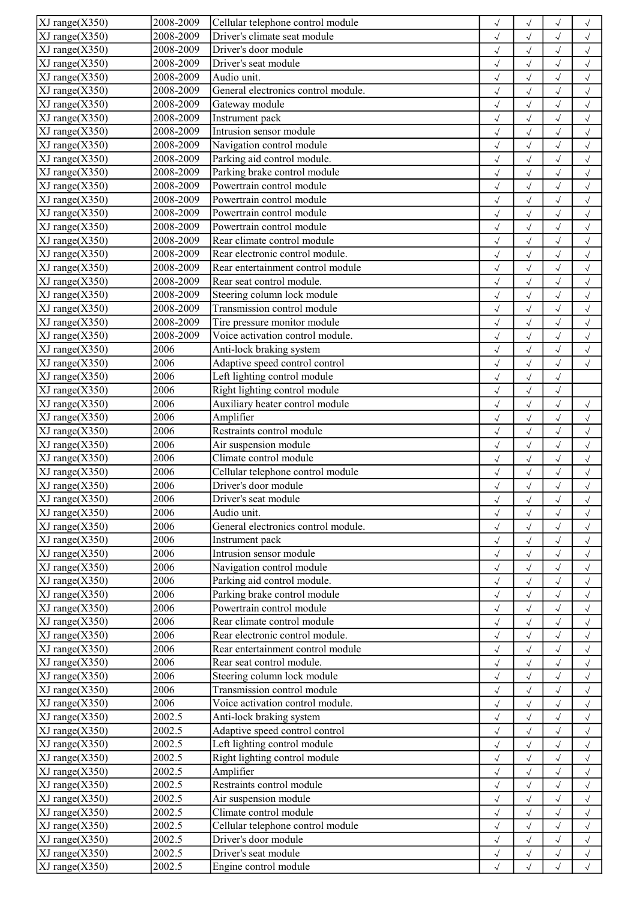| $XJ$ range $(X350)$                        | 2008-2009    | Cellular telephone control module   | $\checkmark$ | $\sqrt{ }$   |              | $\checkmark$ |
|--------------------------------------------|--------------|-------------------------------------|--------------|--------------|--------------|--------------|
| $XJ$ range $(X350)$                        | 2008-2009    | Driver's climate seat module        | $\checkmark$ | $\checkmark$ | $\sqrt{}$    | $\sqrt{}$    |
| $XJ$ range $(X350)$                        | 2008-2009    | Driver's door module                | $\checkmark$ | $\sqrt{}$    | $\sqrt{ }$   | $\sqrt{}$    |
| $XJ$ range $(X350)$                        | 2008-2009    | Driver's seat module                | $\checkmark$ | $\sqrt{2}$   | $\sqrt{}$    | $\checkmark$ |
| $XJ$ range $(X350)$                        | 2008-2009    | Audio unit.                         | $\checkmark$ | $\checkmark$ | $\sqrt{ }$   | $\sqrt{ }$   |
| $XJ$ range $(X350)$                        | 2008-2009    | General electronics control module. | $\checkmark$ | $\checkmark$ | $\sqrt{2}$   | $\sqrt{}$    |
| $XJ$ range $(X350)$                        | 2008-2009    | Gateway module                      | $\sqrt{}$    | $\sqrt{}$    | $\sqrt{ }$   | $\sqrt{ }$   |
| $XJ$ range $(X350)$                        | 2008-2009    | Instrument pack                     | $\sqrt{}$    | $\sqrt{2}$   |              | $\sqrt{ }$   |
| $XJ$ range $(X350)$                        | 2008-2009    | Intrusion sensor module             | $\sqrt{2}$   | $\checkmark$ |              | $\sqrt{2}$   |
| $XJ$ range $(X350)$                        | 2008-2009    | Navigation control module           | $\checkmark$ | $\sqrt{}$    | $\sqrt{ }$   | $\checkmark$ |
| $XJ$ range $(X350)$                        | 2008-2009    | Parking aid control module.         | $\checkmark$ | $\sqrt{}$    | $\sqrt{ }$   | $\checkmark$ |
| $XJ$ range $(X350)$                        | 2008-2009    | Parking brake control module        | $\checkmark$ | $\sqrt{2}$   | $\sqrt{}$    | $\sqrt{ }$   |
| XJ range(X350)                             | 2008-2009    | Powertrain control module           | $\sqrt{2}$   | $\checkmark$ | $\sqrt{}$    | $\sqrt{2}$   |
| $XJ$ range $(X350)$                        | 2008-2009    | Powertrain control module           | $\sqrt{ }$   | $\sqrt{2}$   | $\sqrt{2}$   | $\checkmark$ |
| $XJ$ range $(X350)$                        | 2008-2009    | Powertrain control module           | $\sqrt{}$    | $\sqrt{2}$   | $\checkmark$ | $\sqrt{ }$   |
| $XJ$ range $(X350)$                        | 2008-2009    | Powertrain control module           |              | $\sqrt{2}$   |              |              |
|                                            | 2008-2009    | Rear climate control module         | $\sqrt{ }$   |              | $\sqrt{}$    | $\checkmark$ |
| $XJ$ range $(X350)$                        |              |                                     | $\sqrt{2}$   | $\checkmark$ |              | $\sqrt{2}$   |
| $XJ$ range $(X350)$                        | 2008-2009    | Rear electronic control module.     | $\checkmark$ | $\sqrt{2}$   |              | $\checkmark$ |
| $XJ$ range $(X350)$                        | 2008-2009    | Rear entertainment control module   | $\sqrt{}$    | $\checkmark$ | $\sqrt{}$    | $\checkmark$ |
| $XJ$ range $(X350)$                        | 2008-2009    | Rear seat control module.           | $\checkmark$ | $\sqrt{}$    | $\sqrt{}$    | $\checkmark$ |
| $XJ$ range $(X350)$                        | 2008-2009    | Steering column lock module         | $\checkmark$ | $\checkmark$ | $\sqrt{2}$   | $\sqrt{2}$   |
| $XJ$ range $(X350)$                        | 2008-2009    | Transmission control module         | $\sqrt{ }$   | $\sqrt{2}$   | $\sqrt{}$    | $\sqrt{ }$   |
| $XJ$ range $(X350)$                        | 2008-2009    | Tire pressure monitor module        | $\checkmark$ | $\checkmark$ | $\sqrt{ }$   | $\checkmark$ |
| $XJ$ range $(X350)$                        | 2008-2009    | Voice activation control module.    | $\sqrt{ }$   | $\sqrt{2}$   | $\sqrt{}$    | $\checkmark$ |
| $XJ$ range $(X350)$                        | 2006         | Anti-lock braking system            | $\sqrt{2}$   | $\checkmark$ |              | $\sqrt{2}$   |
| $XJ$ range $(X350)$                        | 2006         | Adaptive speed control control      | $\sqrt{ }$   | $\checkmark$ | $\sqrt{}$    | $\checkmark$ |
| $XJ$ range $(X350)$                        | 2006         | Left lighting control module        | $\checkmark$ | $\checkmark$ | $\sqrt{ }$   |              |
| $XJ$ range $(X350)$                        | 2006         | Right lighting control module       | $\sqrt{}$    | $\checkmark$ | $\sqrt{ }$   |              |
| $XJ$ range $(X350)$                        | 2006         | Auxiliary heater control module     | $\checkmark$ | $\checkmark$ | $\sqrt{}$    | $\sqrt{ }$   |
| $XJ$ range $(X350)$                        | 2006         | Amplifier                           | $\sqrt{}$    | $\checkmark$ | $\sqrt{ }$   | $\checkmark$ |
| $XJ$ range $(X350)$                        | 2006         | Restraints control module           | $\sqrt{}$    | $\sqrt{}$    | $\sqrt{ }$   | $\sqrt{}$    |
| $XJ$ range $(X350)$                        | 2006         | Air suspension module               | $\checkmark$ | $\sqrt{}$    | $\sqrt{ }$   | $\sqrt{ }$   |
| $XJ$ range $(X350)$                        | 2006         | Climate control module              | $\sqrt{}$    | $\sqrt{2}$   | $\sqrt{2}$   | $\checkmark$ |
| $XJ$ range $(X350)$                        | 2006         | Cellular telephone control module   | $\sqrt{ }$   | $\checkmark$ |              | $\checkmark$ |
| $XJ$ range $(X350)$                        | 2006         | Driver's door module                | $\sqrt{}$    | $\checkmark$ | $\sqrt{}$    | $\checkmark$ |
| $XJ$ range $(X350)$                        | 2006         | Driver's seat module                | $\sqrt{}$    | $\checkmark$ | $\sqrt{}$    | $\checkmark$ |
| $XJ$ range $(X350)$                        | 2006         | Audio unit.                         | $\sqrt{}$    | $\checkmark$ |              | $\sqrt{ }$   |
| $XJ$ range $(X350)$                        | 2006         | General electronics control module. | $\checkmark$ | $\checkmark$ | $\sqrt{ }$   | $\sqrt{ }$   |
| $XJ$ range $(X350)$                        | 2006         | Instrument pack                     | $\checkmark$ | $\sqrt{}$    | $\sqrt{ }$   | $\sqrt{}$    |
| $XJ$ range $(X350)$                        | 2006         | Intrusion sensor module             | $\sqrt{}$    | $\sqrt{}$    | $\sqrt{ }$   | $\sqrt{ }$   |
| $XJ$ range $(X350)$                        | 2006         | Navigation control module           | $\sqrt{}$    | $\checkmark$ |              | $\sqrt{ }$   |
| $XJ$ range $(X350)$                        | 2006         | Parking aid control module.         | $\sqrt{2}$   | $\checkmark$ |              | $\sqrt{2}$   |
| $XJ$ range $(X350)$                        | 2006         | Parking brake control module        |              | $\checkmark$ |              | $\checkmark$ |
|                                            | 2006         | Powertrain control module           | $\checkmark$ |              |              |              |
| $XJ$ range $(X350)$<br>$XJ$ range $(X350)$ | 2006         | Rear climate control module         | $\sqrt{}$    | $\sqrt{}$    |              | $\checkmark$ |
| $XJ$ range $(X350)$                        | 2006         | Rear electronic control module.     | $\checkmark$ | $\sqrt{}$    | $\sqrt{}$    | $\checkmark$ |
|                                            | 2006         | Rear entertainment control module   | $\sqrt{2}$   | $\checkmark$ |              | $\sqrt{2}$   |
| $XJ$ range $(X350)$                        |              |                                     | $\sqrt{}$    | $\sqrt{}$    |              | $\checkmark$ |
| $XJ$ range $(X350)$                        | 2006         | Rear seat control module.           | $\sqrt{}$    | $\sqrt{}$    | $\sqrt{ }$   | $\sqrt{ }$   |
| $XJ$ range $(X350)$                        | 2006<br>2006 | Steering column lock module         | $\sqrt{}$    | $\sqrt{2}$   |              | $\checkmark$ |
| $XJ$ range $(X350)$                        |              | Transmission control module         | $\sqrt{2}$   | $\checkmark$ |              | $\sqrt{2}$   |
| $XJ$ range $(X350)$                        | 2006         | Voice activation control module.    | $\checkmark$ | $\sqrt{2}$   |              | $\checkmark$ |
| $XJ$ range $(X350)$                        | 2002.5       | Anti-lock braking system            | $\checkmark$ | $\checkmark$ | $\sqrt{ }$   | $\checkmark$ |
| $XJ$ range $(X350)$                        | 2002.5       | Adaptive speed control control      | $\checkmark$ | $\sqrt{}$    | $\sqrt{}$    | $\checkmark$ |
| $XJ$ range $(X350)$                        | 2002.5       | Left lighting control module        | $\sqrt{}$    | $\checkmark$ | $\sqrt{}$    | $\checkmark$ |
| $XJ$ range $(X350)$                        | 2002.5       | Right lighting control module       | $\sqrt{}$    | $\sqrt{}$    | $\sqrt{ }$   | $\checkmark$ |
| $XJ$ range $(X350)$                        | 2002.5       | Amplifier                           | $\sqrt{}$    | $\checkmark$ | $\sqrt{ }$   | $\sqrt{ }$   |
| $XJ$ range $(X350)$                        | 2002.5       | Restraints control module           | $\checkmark$ | $\sqrt{}$    | $\sqrt{ }$   | $\checkmark$ |
| $XJ$ range $(X350)$                        | 2002.5       | Air suspension module               | $\sqrt{}$    | $\sqrt{}$    | $\sqrt{2}$   | $\checkmark$ |
| $\overline{XJ}$ range $(X350)$             | 2002.5       | Climate control module              | $\checkmark$ | $\sqrt{}$    |              | $\checkmark$ |
| $XJ$ range $(X350)$                        | 2002.5       | Cellular telephone control module   | $\sqrt{}$    | $\sqrt{}$    | $\sqrt{ }$   | $\checkmark$ |
| $XJ$ range $(X350)$                        | 2002.5       | Driver's door module                | $\sqrt{}$    | $\sqrt{}$    | $\sqrt{ }$   | $\sqrt{}$    |
| $XJ$ range $(X350)$                        | 2002.5       | Driver's seat module                | $\checkmark$ | $\sqrt{}$    |              | $\sqrt{}$    |
| $XJ$ range $(X350)$                        | 2002.5       | Engine control module               | $\sqrt{}$    | $\sqrt{}$    | $\sqrt{}$    | $\sqrt{}$    |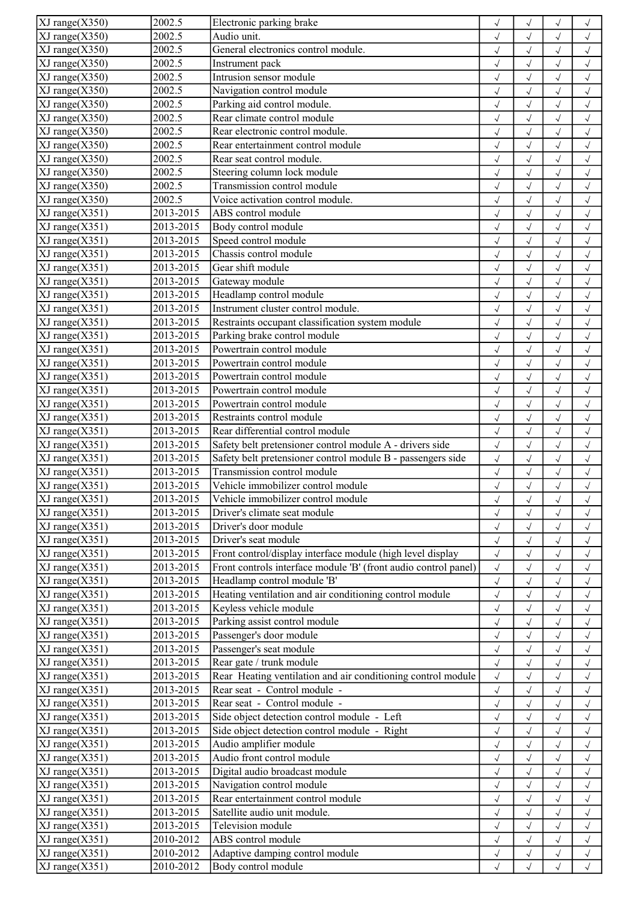| XJ range(X350)                 | 2002.5    | Electronic parking brake                                        | $\checkmark$ | $\checkmark$ |              | $\checkmark$ |
|--------------------------------|-----------|-----------------------------------------------------------------|--------------|--------------|--------------|--------------|
| $XJ$ range $(X350)$            | 2002.5    | Audio unit.                                                     | $\checkmark$ | $\sqrt{}$    | $\sqrt{}$    | $\sqrt{}$    |
| $XJ$ range $(X350)$            | 2002.5    | General electronics control module.                             | $\checkmark$ | $\sqrt{ }$   | $\sqrt{ }$   | $\sqrt{}$    |
| $XJ$ range $(X350)$            | 2002.5    | Instrument pack                                                 | $\checkmark$ | $\sqrt{2}$   | $\sqrt{}$    | $\checkmark$ |
| $XJ$ range $(X350)$            | 2002.5    | Intrusion sensor module                                         | $\sqrt{2}$   | $\checkmark$ | $\checkmark$ | $\checkmark$ |
| $XJ$ range $(X350)$            | 2002.5    | Navigation control module                                       | $\checkmark$ | $\checkmark$ | $\sqrt{ }$   | $\sqrt{}$    |
| $XJ$ range $(X350)$            | 2002.5    | Parking aid control module.                                     | $\sqrt{}$    | $\sqrt{}$    | $\sqrt{ }$   | $\sqrt{ }$   |
| $XJ$ range $(X350)$            | 2002.5    | Rear climate control module                                     | $\sqrt{}$    | $\sqrt{2}$   | $\sqrt{}$    | $\sqrt{ }$   |
| $XJ$ range $(X350)$            | 2002.5    | Rear electronic control module.                                 | $\sqrt{2}$   | $\checkmark$ | $\sqrt{}$    | $\sqrt{2}$   |
| $XJ$ range $(X350)$            | 2002.5    | Rear entertainment control module                               | $\checkmark$ | $\sqrt{}$    | $\sqrt{}$    | $\checkmark$ |
| $XJ$ range $(X350)$            | 2002.5    | Rear seat control module.                                       | $\checkmark$ | $\sqrt{ }$   | $\sqrt{ }$   | $\sqrt{}$    |
| $XJ$ range $(X350)$            | 2002.5    | Steering column lock module                                     |              | $\sqrt{2}$   | $\sqrt{}$    | $\sqrt{ }$   |
|                                | 2002.5    | Transmission control module                                     | $\checkmark$ |              |              |              |
| XJ range(X350)                 | 2002.5    | Voice activation control module.                                | $\sqrt{2}$   | $\checkmark$ | $\sqrt{ }$   | $\sqrt{2}$   |
| XJ range(X350)                 |           |                                                                 | $\sqrt{ }$   | $\sqrt{2}$   | $\sqrt{ }$   | $\checkmark$ |
| $XJ$ range $(X351)$            | 2013-2015 | ABS control module                                              | $\sqrt{}$    | $\sqrt{}$    | $\checkmark$ | $\sqrt{ }$   |
| $XJ$ range $(X351)$            | 2013-2015 | Body control module                                             | $\sqrt{ }$   | $\sqrt{2}$   | $\sqrt{}$    | $\checkmark$ |
| $XJ$ range $(X351)$            | 2013-2015 | Speed control module                                            | $\sqrt{}$    | $\checkmark$ |              | $\sqrt{2}$   |
| $XJ$ range $(X351)$            | 2013-2015 | Chassis control module                                          | $\checkmark$ | $\sqrt{2}$   |              | $\checkmark$ |
| $XJ$ range $(X351)$            | 2013-2015 | Gear shift module                                               | $\sqrt{}$    | $\checkmark$ | $\sqrt{}$    | $\sqrt{ }$   |
| $XJ$ range $(X351)$            | 2013-2015 | Gateway module                                                  | $\checkmark$ | $\sqrt{}$    | $\sqrt{}$    | $\checkmark$ |
| $XJ$ range $(X351)$            | 2013-2015 | Headlamp control module                                         | $\sqrt{}$    | $\checkmark$ | $\sqrt{ }$   | $\sqrt{2}$   |
| $XJ$ range $(X351)$            | 2013-2015 | Instrument cluster control module.                              | $\sqrt{ }$   | $\sqrt{2}$   | $\sqrt{}$    | $\sqrt{ }$   |
| XJ range(X351)                 | 2013-2015 | Restraints occupant classification system module                | $\checkmark$ | $\checkmark$ | $\checkmark$ | $\checkmark$ |
| $XJ$ range $(X351)$            | 2013-2015 | Parking brake control module                                    | $\sqrt{2}$   | $\sqrt{2}$   | $\sqrt{}$    | $\checkmark$ |
| $XJ$ range $(X351)$            | 2013-2015 | Powertrain control module                                       | $\sqrt{}$    | $\checkmark$ |              | $\sqrt{2}$   |
| $XJ$ range $(X351)$            | 2013-2015 | Powertrain control module                                       | $\checkmark$ | $\sqrt{ }$   |              | $\sqrt{}$    |
| $XJ$ range $(X351)$            | 2013-2015 | Powertrain control module                                       | $\checkmark$ | $\checkmark$ | $\sqrt{ }$   | $\checkmark$ |
| $XJ$ range $(X351)$            | 2013-2015 | Powertrain control module                                       | $\checkmark$ | $\checkmark$ | $\sqrt{ }$   | $\checkmark$ |
| $XJ$ range $(X351)$            | 2013-2015 | Powertrain control module                                       | $\checkmark$ | $\checkmark$ | $\sqrt{}$    | $\checkmark$ |
| $XJ$ range $(X351)$            | 2013-2015 | Restraints control module                                       | $\sqrt{}$    | $\checkmark$ | $\sqrt{ }$   | $\sqrt{2}$   |
| $XJ$ range $(X351)$            | 2013-2015 | Rear differential control module                                |              |              |              |              |
|                                |           |                                                                 | $\checkmark$ | $\sqrt{}$    | $\sqrt{ }$   | $\sqrt{ }$   |
| $XJ$ range $(X351)$            | 2013-2015 | Safety belt pretensioner control module A - drivers side        | $\checkmark$ | $\sqrt{}$    | $\sqrt{ }$   | $\sqrt{ }$   |
| $XJ$ range $(X351)$            | 2013-2015 | Safety belt pretensioner control module B - passengers side     | $\checkmark$ | $\sqrt{2}$   | $\sqrt{2}$   | $\sqrt{ }$   |
| $\overline{XJ}$ range $(X351)$ | 2013-2015 | Transmission control module                                     | $\sqrt{ }$   | $\checkmark$ |              | $\checkmark$ |
| $XJ$ range $(X351)$            | 2013-2015 | Vehicle immobilizer control module                              | $\sqrt{}$    | $\checkmark$ | $\sqrt{}$    | $\checkmark$ |
| $XJ$ range $(X351)$            | 2013-2015 | Vehicle immobilizer control module                              | $\checkmark$ | $\sqrt{}$    | $\sqrt{}$    | $\sqrt{}$    |
| $XJ$ range $(X351)$            | 2013-2015 | Driver's climate seat module                                    | $\checkmark$ | $\sqrt{}$    |              | $\sqrt{}$    |
| $XJ$ range $(X351)$            | 2013-2015 | Driver's door module                                            | $\checkmark$ | $\checkmark$ | $\sqrt{ }$   | $\sqrt{ }$   |
| $XJ$ range $(X351)$            | 2013-2015 | Driver's seat module                                            | $\sqrt{}$    | $\sqrt{}$    | $\sqrt{ }$   | $\sqrt{ }$   |
| $XJ$ range $(X351)$            | 2013-2015 | Front control/display interface module (high level display      | $\checkmark$ | $\sqrt{}$    | $\sqrt{ }$   | $\sqrt{ }$   |
| $XJ$ range $(X351)$            | 2013-2015 | Front controls interface module 'B' (front audio control panel) | $\sqrt{ }$   | $\checkmark$ |              | $\checkmark$ |
| $XJ$ range $(X351)$            | 2013-2015 | Headlamp control module 'B'                                     | $\sqrt{2}$   | $\checkmark$ |              | $\sqrt{2}$   |
| $XJ$ range $(X351)$            | 2013-2015 | Heating ventilation and air conditioning control module         | $\checkmark$ | $\checkmark$ |              | $\checkmark$ |
| $XJ$ range $(X351)$            | 2013-2015 | Keyless vehicle module                                          | $\sqrt{}$    | $\sqrt{}$    | $\sqrt{}$    | $\sqrt{}$    |
| $XJ$ range $(X351)$            | 2013-2015 | Parking assist control module                                   | $\checkmark$ | $\sqrt{}$    | $\sqrt{}$    | $\sqrt{}$    |
| XJ range(X351)                 | 2013-2015 | Passenger's door module                                         | $\sqrt{2}$   | $\checkmark$ |              | $\sqrt{2}$   |
| XJ range(X351)                 | 2013-2015 | Passenger's seat module                                         | $\checkmark$ | $\sqrt{}$    |              | $\sqrt{ }$   |
| XJ range(X351)                 | 2013-2015 | Rear gate / trunk module                                        | $\checkmark$ | $\checkmark$ | $\sqrt{ }$   | $\checkmark$ |
| $XJ$ range $(X351)$            | 2013-2015 | Rear Heating ventilation and air conditioning control module    | $\checkmark$ | $\sqrt{2}$   |              | $\checkmark$ |
| $XJ$ range $(X351)$            | 2013-2015 | Rear seat - Control module -                                    | $\sqrt{2}$   | $\checkmark$ |              | $\sqrt{2}$   |
| $XJ$ range $(X351)$            | 2013-2015 | Rear seat - Control module -                                    | $\checkmark$ | $\checkmark$ |              | $\sqrt{ }$   |
| $XJ$ range $(X351)$            | 2013-2015 | Side object detection control module - Left                     | $\checkmark$ | $\checkmark$ | $\sqrt{ }$   | $\sqrt{}$    |
| $XJ$ range $(X351)$            | 2013-2015 | Side object detection control module - Right                    | $\checkmark$ | $\checkmark$ | $\sqrt{}$    | $\checkmark$ |
|                                | 2013-2015 |                                                                 |              |              |              |              |
| $XJ$ range $(X351)$            |           | Audio amplifier module<br>Audio front control module            | $\sqrt{}$    | $\checkmark$ | $\sqrt{2}$   | $\checkmark$ |
| $XJ$ range $(X351)$            | 2013-2015 |                                                                 | $\sqrt{}$    | $\checkmark$ | $\sqrt{}$    | $\checkmark$ |
| $XJ$ range $(X351)$            | 2013-2015 | Digital audio broadcast module                                  | $\sqrt{}$    | $\sqrt{}$    | $\sqrt{ }$   | $\checkmark$ |
| $XJ$ range $(X351)$            | 2013-2015 | Navigation control module                                       | $\checkmark$ | $\sqrt{}$    | $\checkmark$ | $\checkmark$ |
| $XJ$ range $(X351)$            | 2013-2015 | Rear entertainment control module                               | $\sqrt{}$    | $\sqrt{}$    | $\sqrt{2}$   | $\checkmark$ |
| XJ range(X351)                 | 2013-2015 | Satellite audio unit module.                                    | $\checkmark$ | $\sqrt{}$    |              | $\checkmark$ |
| $XJ$ range $(X351)$            | 2013-2015 | Television module                                               | $\sqrt{}$    | $\sqrt{}$    | $\sqrt{ }$   | $\checkmark$ |
| $XJ$ range $(X351)$            | 2010-2012 | ABS control module                                              | $\sqrt{}$    | $\sqrt{}$    | $\sqrt{ }$   | $\sqrt{ }$   |
| $XJ$ range $(X351)$            | 2010-2012 | Adaptive damping control module                                 | $\checkmark$ | $\sqrt{}$    |              | $\sqrt{ }$   |
| $XJ$ range $(X351)$            | 2010-2012 | Body control module                                             | $\checkmark$ | $\sqrt{}$    | $\sqrt{ }$   | $\sqrt{ }$   |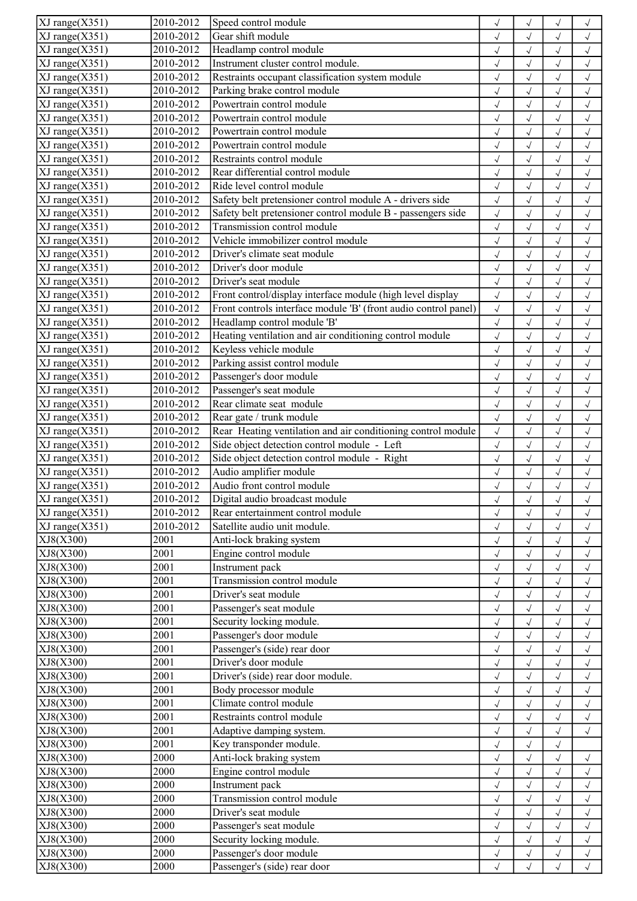| $\overline{X}$ J range(X351)                 | 2010-2012 | Speed control module                                            | $\sqrt{}$    | $\sqrt{}$                 |              | $\checkmark$ |
|----------------------------------------------|-----------|-----------------------------------------------------------------|--------------|---------------------------|--------------|--------------|
| $XJ$ range $(X351)$                          | 2010-2012 | Gear shift module                                               | $\sqrt{}$    | $\checkmark$              | $\sqrt{}$    | $\checkmark$ |
| $XJ$ range $(X351)$                          | 2010-2012 | Headlamp control module                                         | $\checkmark$ | $\sqrt{}$                 | $\checkmark$ | $\sqrt{ }$   |
| $\overline{XJ}$ range $(X351)$               | 2010-2012 | Instrument cluster control module.                              | $\sqrt{2}$   | $\checkmark$              | $\sqrt{2}$   | $\sqrt{2}$   |
| $\overline{XJ}$ range $(X351)$               | 2010-2012 | Restraints occupant classification system module                | $\checkmark$ | $\sqrt{2}$                | $\sqrt{ }$   | $\checkmark$ |
| $\overline{X}J$ range $(X351)$               | 2010-2012 | Parking brake control module                                    | $\sqrt{}$    | $\sqrt{2}$                | $\checkmark$ | $\sqrt{ }$   |
| XJ range(X351)                               | 2010-2012 | Powertrain control module                                       | $\sqrt{}$    | $\sqrt{2}$                | $\sqrt{}$    | $\sqrt{}$    |
| $XJ$ range $(X351)$                          | 2010-2012 | Powertrain control module                                       | $\sqrt{}$    | $\checkmark$              |              | $\sqrt{2}$   |
| $XJ$ range $(X351)$                          | 2010-2012 | Powertrain control module                                       | $\checkmark$ | $\checkmark$              |              | $\checkmark$ |
| $XJ$ range $(X351)$                          | 2010-2012 | Powertrain control module                                       |              | $\checkmark$              |              | $\checkmark$ |
|                                              | 2010-2012 | Restraints control module                                       | $\sqrt{}$    |                           | $\sqrt{ }$   |              |
| $XJ$ range $(X351)$                          |           |                                                                 | $\checkmark$ | $\sqrt{2}$                | $\checkmark$ | $\checkmark$ |
| XJ range(X351)                               | 2010-2012 | Rear differential control module                                | $\checkmark$ | $\checkmark$              | $\sqrt{}$    | $\checkmark$ |
| $\overline{X}$ J range $(X351)$              | 2010-2012 | Ride level control module                                       | $\checkmark$ | $\checkmark$              | $\sqrt{ }$   | $\sqrt{ }$   |
| $\overline{\text{XJ range}}(X351)$           | 2010-2012 | Safety belt pretensioner control module A - drivers side        | $\checkmark$ | $\checkmark$              | $\sqrt{ }$   | $\sqrt{ }$   |
| $\overline{\text{XJ range}}(X351)$           | 2010-2012 | Safety belt pretensioner control module B - passengers side     | $\sqrt{ }$   | $\sqrt{}$                 | $\sqrt{ }$   | $\checkmark$ |
| $\overline{\text{XJ range}}(\text{X351})$    | 2010-2012 | Transmission control module                                     | $\sqrt{}$    | $\sqrt{2}$                | $\sqrt{}$    | $\checkmark$ |
| XJ range(X351)                               | 2010-2012 | Vehicle immobilizer control module                              | $\sqrt{}$    | $\sqrt{2}$                | $\sqrt{}$    | $\checkmark$ |
| $XJ$ range $(X351)$                          | 2010-2012 | Driver's climate seat module                                    | $\sqrt{}$    | $\checkmark$              | $\sqrt{ }$   | $\sqrt{ }$   |
| $XJ$ range $(X351)$                          | 2010-2012 | Driver's door module                                            | $\checkmark$ | $\sqrt{}$                 | $\sqrt{ }$   | $\sqrt{ }$   |
| XJ range(X351)                               | 2010-2012 | Driver's seat module                                            | $\checkmark$ | $\sqrt{}$                 | $\sqrt{ }$   | $\checkmark$ |
| $\overline{X}J$ range $(\underline{X}351)$   | 2010-2012 | Front control/display interface module (high level display      | $\sqrt{2}$   | $\checkmark$              | $\checkmark$ | $\checkmark$ |
| $\overline{X}J$ range $(\underline{X}351)$   | 2010-2012 | Front controls interface module 'B' (front audio control panel) | $\sqrt{}$    | $\sqrt{}$                 | $\sqrt{ }$   | $\sqrt{ }$   |
| $\overline{XJ}$ range $(X351)$               | 2010-2012 | Headlamp control module 'B'                                     | $\sqrt{ }$   | $\sqrt{}$                 | $\sqrt{ }$   | $\sqrt{ }$   |
| $XJ$ range $(X351)$                          | 2010-2012 | Heating ventilation and air conditioning control module         | $\checkmark$ | $\checkmark$              | $\checkmark$ | $\sqrt{ }$   |
| XJ range(X351)                               | 2010-2012 | Keyless vehicle module                                          | $\sqrt{2}$   | $\checkmark$              | $\sqrt{2}$   | $\sqrt{2}$   |
| $XJ$ range $(X351)$                          | 2010-2012 | Parking assist control module                                   |              |                           |              |              |
|                                              |           |                                                                 | $\checkmark$ | $\sqrt{}$<br>$\checkmark$ | $\sqrt{ }$   | $\sqrt{}$    |
| $XJ$ range $(X351)$                          | 2010-2012 | Passenger's door module                                         | $\sqrt{}$    |                           | $\sqrt{ }$   | $\sqrt{}$    |
| XJ range(X351)                               | 2010-2012 | Passenger's seat module                                         | $\checkmark$ | $\checkmark$              | $\checkmark$ | $\sqrt{ }$   |
| $\overline{\text{XJ range}(\text{X351})}$    | 2010-2012 | Rear climate seat module                                        | $\sqrt{2}$   | $\checkmark$              | $\sqrt{2}$   | $\sqrt{2}$   |
| $\overline{\text{XJ}}$ range $(\text{X351})$ | 2010-2012 | Rear gate / trunk module                                        | $\checkmark$ | $\sqrt{2}$                | $\sqrt{ }$   | $\sqrt{ }$   |
| $XJ$ range $(X351)$                          | 2010-2012 | Rear Heating ventilation and air conditioning control module    | $\sqrt{ }$   | $\sqrt{ }$                | $\checkmark$ | $\checkmark$ |
| $XJ$ range $(X351)$                          | 2010-2012 | Side object detection control module - Left                     | $\sqrt{ }$   | $\checkmark$              | $\checkmark$ | $\checkmark$ |
| $\overline{XJ}$ range $(X351)$               | 2010-2012 | Side object detection control module - Right                    | $\sqrt{2}$   | $\checkmark$              |              | $\sqrt{2}$   |
| $XJ$ range $(X351)$                          | 2010-2012 | Audio amplifier module                                          | $\checkmark$ |                           |              | $\checkmark$ |
| XJ range(X351)                               | 2010-2012 | Audio front control module                                      | $\sqrt{}$    | $\sqrt{}$                 | $\checkmark$ | $\checkmark$ |
| $ XJ$ range $(X351)$                         | 2010-2012 | Digital audio broadcast module                                  | $\checkmark$ | $\sqrt{}$                 | $\sqrt{}$    | $\checkmark$ |
| XJ range(X351)                               | 2010-2012 | Rear entertainment control module                               | $\sqrt{}$    | $\sqrt{}$                 |              | $\checkmark$ |
| $\overline{X}J$ range $(X351)$               | 2010-2012 | Satellite audio unit module.                                    | $\sqrt{}$    | $\sqrt{}$                 | $\sqrt{ }$   | $\checkmark$ |
| XJ8(X300)                                    | 2001      | Anti-lock braking system                                        | $\sqrt{}$    | $\sqrt{}$                 | $\sqrt{ }$   | $\sqrt{ }$   |
| XJ8(X300)                                    | 2001      | Engine control module                                           | $\checkmark$ | $\sqrt{}$                 | $\checkmark$ | $\checkmark$ |
| XJ8(X300)                                    | 2001      | Instrument pack                                                 | $\sqrt{}$    | $\sqrt{2}$                |              | $\sqrt{2}$   |
| XJ8(X300)                                    | 2001      | Transmission control module                                     | $\sqrt{}$    | $\checkmark$              |              | $\checkmark$ |
| XJ8(X300)                                    | 2001      | Driver's seat module                                            | $\sqrt{}$    | $\sqrt{}$                 | $\sqrt{}$    | $\sqrt{}$    |
| XJ8(X300)                                    | 2001      | Passenger's seat module                                         | $\sqrt{}$    | $\sqrt{ }$                | $\sqrt{ }$   | $\checkmark$ |
| XJ8(X300)                                    | 2001      | Security locking module.                                        | $\sqrt{}$    | $\sqrt{}$                 | $\checkmark$ | $\checkmark$ |
| XJ8(X300)                                    | 2001      | Passenger's door module                                         | $\sqrt{}$    | $\sqrt{}$                 | $\sqrt{}$    | $\sqrt{ }$   |
| XJ8(X300)                                    | 2001      | Passenger's (side) rear door                                    |              |                           |              |              |
|                                              | 2001      | Driver's door module                                            | $\sqrt{}$    | $\sqrt{}$                 | $\sqrt{ }$   | $\sqrt{}$    |
| XJ8(X300)                                    |           |                                                                 | $\sqrt{}$    | $\sqrt{2}$                | $\sqrt{ }$   | $\sqrt{ }$   |
| XJ8(X300)                                    | 2001      | Driver's (side) rear door module.                               | $\sqrt{}$    | $\sqrt{2}$                | $\checkmark$ | $\checkmark$ |
| XJ8(X300)                                    | 2001      | Body processor module                                           | $\sqrt{}$    | $\checkmark$              | $\checkmark$ | $\sqrt{ }$   |
| XJ8(X300)                                    | 2001      | Climate control module                                          | $\checkmark$ | $\sqrt{}$                 | $\sqrt{ }$   | $\sqrt{}$    |
| XJ8(X300)                                    | 2001      | Restraints control module                                       | $\sqrt{}$    | $\sqrt{}$                 | $\sqrt{ }$   | $\sqrt{}$    |
| XJ8(X300)                                    | 2001      | Adaptive damping system.                                        | $\sqrt{ }$   | $\sqrt{}$                 | $\sqrt{ }$   | $\sqrt{ }$   |
| XJ8(X300)                                    | 2001      | Key transponder module.                                         | $\sqrt{}$    | $\sqrt{}$                 | $\sqrt{ }$   |              |
| XJ8(X300)                                    | 2000      | Anti-lock braking system                                        | $\sqrt{ }$   | $\sqrt{}$                 | $\sqrt{ }$   | $\sqrt{}$    |
| XJ8(X300)                                    | 2000      | Engine control module                                           | $\sqrt{}$    | $\sqrt{}$                 | $\sqrt{ }$   | $\sqrt{ }$   |
| XJ8(X300)                                    | 2000      | Instrument pack                                                 | $\sqrt{}$    | $\sqrt{}$                 | $\checkmark$ | $\sqrt{ }$   |
| XJ8(X300)                                    | 2000      | Transmission control module                                     | $\sqrt{2}$   | $\checkmark$              |              | $\sqrt{2}$   |
| XJ8(X300)                                    | 2000      | Driver's seat module                                            | $\sqrt{}$    | $\checkmark$              |              | $\checkmark$ |
| XJ8(X300)                                    | 2000      | Passenger's seat module                                         | $\sqrt{}$    | $\sqrt{}$                 | $\sqrt{ }$   | $\sqrt{}$    |
| XJ8(X300)                                    | 2000      | Security locking module.                                        | $\checkmark$ | $\sqrt{}$                 | $\checkmark$ | $\checkmark$ |
| XJ8(X300)                                    | 2000      | Passenger's door module                                         | $\sqrt{}$    | $\checkmark$              |              | $\checkmark$ |
| XJ8(X300)                                    | 2000      | Passenger's (side) rear door                                    | $\sqrt{ }$   | $\sqrt{}$                 | $\sqrt{ }$   | $\sqrt{}$    |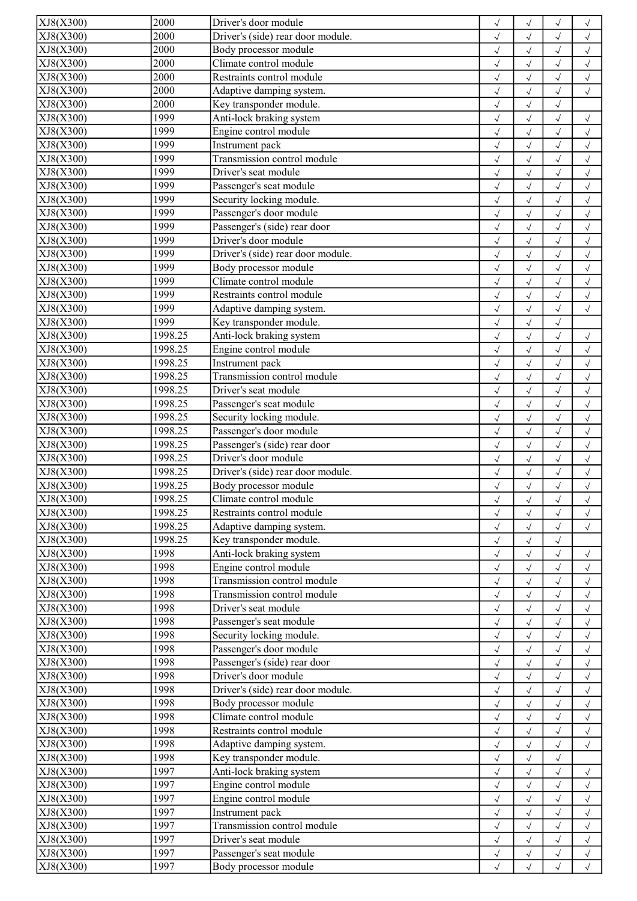| XJ8(X300) | 2000    | Driver's door module              | $\checkmark$               | $\sqrt{}$    | $\sqrt{ }$   | $\sqrt{}$               |
|-----------|---------|-----------------------------------|----------------------------|--------------|--------------|-------------------------|
| XJ8(X300) | 2000    | Driver's (side) rear door module. | $\checkmark$               | $\sqrt{}$    | $\sqrt{ }$   | $\checkmark$            |
| XJ8(X300) | 2000    | Body processor module             | $\checkmark$               | $\sqrt{}$    | $\sqrt{}$    | $\checkmark$            |
| XJ8(X300) | 2000    | Climate control module            | $\checkmark$               | $\checkmark$ | $\sqrt{ }$   | $\checkmark$            |
| XJ8(X300) | 2000    | Restraints control module         | $\checkmark$               | $\sqrt{}$    | $\sqrt{ }$   | $\sqrt{}$               |
| XJ8(X300) | 2000    | Adaptive damping system.          |                            |              |              |                         |
|           |         |                                   | $\sqrt{}$                  | $\sqrt{2}$   | $\sqrt{ }$   | $\sqrt{ }$              |
| XJ8(X300) | 2000    | Key transponder module.           | $\sqrt{ }$                 | $\sqrt{2}$   | $\sqrt{ }$   |                         |
| XJ8(X300) | 1999    | Anti-lock braking system          | $\sqrt{2}$                 | $\checkmark$ | $\sqrt{ }$   | $\checkmark$            |
| XJ8(X300) | 1999    | Engine control module             | $\checkmark$               | $\sqrt{}$    | $\sqrt{}$    | $\checkmark$            |
| XJ8(X300) | 1999    | Instrument pack                   | $\checkmark$               | $\sqrt{}$    | $\sqrt{ }$   | $\checkmark$            |
| XJ8(X300) | 1999    | Transmission control module       | $\checkmark$               | $\sqrt{}$    | $\sqrt{ }$   | $\sqrt{ }$              |
| XJ8(X300) | 1999    | Driver's seat module              | $\sqrt{2}$                 | $\sqrt{2}$   | $\sqrt{ }$   | $\sqrt{2}$              |
| XJ8(X300) | 1999    | Passenger's seat module           | $\sqrt{ }$                 | $\sqrt{2}$   | $\sqrt{ }$   | $\checkmark$            |
| XJ8(X300) | 1999    | Security locking module.          | $\sqrt{}$                  | $\sqrt{2}$   | $\sqrt{ }$   | $\sqrt{ }$              |
| XJ8(X300) | 1999    | Passenger's door module           | $\sqrt{ }$                 | $\sqrt{2}$   | $\sqrt{ }$   | $\checkmark$            |
| XJ8(X300) | 1999    | Passenger's (side) rear door      | $\sqrt{2}$                 | $\checkmark$ |              | $\sqrt{2}$              |
|           |         | Driver's door module              |                            |              |              |                         |
| XJ8(X300) | 1999    |                                   | $\sqrt{}$                  | $\sqrt{2}$   |              | $\checkmark$            |
| XJ8(X300) | 1999    | Driver's (side) rear door module. | $\sqrt{}$                  | $\checkmark$ | $\sqrt{}$    | $\checkmark$            |
| XJ8(X300) | 1999    | Body processor module             | $\checkmark$               | $\sqrt{}$    | $\sqrt{}$    | $\checkmark$            |
| XJ8(X300) | 1999    | Climate control module            | $\sqrt{ }$                 | $\checkmark$ | $\sqrt{2}$   | $\sqrt{2}$              |
| XJ8(X300) | 1999    | Restraints control module         | $\sqrt{ }$                 | $\sqrt{2}$   | $\sqrt{}$    | $\sqrt{ }$              |
| XJ8(X300) | 1999    | Adaptive damping system.          | $\sqrt{ }$                 | $\checkmark$ | $\checkmark$ | $\checkmark$            |
| XJ8(X300) | 1999    | Key transponder module.           | $\sqrt{ }$                 | $\sqrt{2}$   | $\checkmark$ |                         |
| XJ8(X300) | 1998.25 | Anti-lock braking system          | $\sqrt{2}$                 | $\checkmark$ |              | $\checkmark$            |
| XJ8(X300) | 1998.25 | Engine control module             |                            | $\checkmark$ |              |                         |
|           |         |                                   | $\sqrt{ }$                 |              |              | $\checkmark$            |
| XJ8(X300) | 1998.25 | Instrument pack                   | $\checkmark$               | $\checkmark$ | $\sqrt{ }$   | $\checkmark$            |
| XJ8(X300) | 1998.25 | Transmission control module       | $\sqrt{}$                  | $\checkmark$ | $\sqrt{ }$   | $\checkmark$            |
| XJ8(X300) | 1998.25 | Driver's seat module              | $\checkmark$               | $\checkmark$ | $\sqrt{}$    | $\checkmark$            |
| XJ8(X300) | 1998.25 | Passenger's seat module           | $\checkmark$               | $\checkmark$ | $\sqrt{ }$   | $\checkmark$            |
| XJ8(X300) | 1998.25 | Security locking module.          | $\sqrt{}$                  | $\sqrt{}$    | $\sqrt{ }$   | $\checkmark$            |
| XJ8(X300) | 1998.25 | Passenger's door module           | $\checkmark$               | $\sqrt{2}$   | $\sqrt{ }$   | $\checkmark$            |
| XJ8(X300) | 1998.25 | Passenger's (side) rear door      | $\sqrt{}$                  | $\checkmark$ | $\sqrt{2}$   | $\checkmark$            |
| XJ8(X300) | 1998.25 | Driver's door module              | $\sqrt{}$                  | $\sqrt{2}$   |              | $\sqrt{2}$              |
| XJ8(X300) | 1998.25 | Driver's (side) rear door module. |                            |              |              |                         |
|           |         |                                   | $\checkmark$               | $\sqrt{}$    | $\sqrt{}$    | $\checkmark$            |
| XJ8(X300) | 1998.25 | Body processor module             | $\checkmark$               | $\sqrt{}$    | $\sqrt{ }$   | $\sqrt{}$               |
| XJ8(X300) | 1998.25 | Climate control module            | $\checkmark$               | $\sqrt{}$    |              | $\sqrt{}$               |
| XJ8(X300) | 1998.25 | Restraints control module         | $\sqrt{2}$                 | $\sqrt{}$    | $\sqrt{2}$   | $\checkmark$            |
| XJ8(X300) | 1998.25 | Adaptive damping system.          | $\sqrt{}$                  | $\sqrt{}$    | $\sqrt{ }$   | $\sqrt{ }$              |
| XJ8(X300) | 1998.25 | Key transponder module.           | $\sqrt{}$                  | $\sqrt{}$    | $\sqrt{ }$   |                         |
| XJ8(X300) | 1998    | Anti-lock braking system          | $\sqrt{}$                  | $\checkmark$ |              | $\checkmark$            |
| XJ8(X300) | 1998    | Engine control module             | $\sqrt{2}$                 | $\sqrt{}$    |              | $\checkmark$            |
| XJ8(X300) | 1998    | Transmission control module       | $\checkmark$               | $\checkmark$ |              | $\checkmark$            |
| XJ8(X300) | 1998    | Transmission control module       | $\sqrt{}$                  | $\sqrt{}$    |              | $\sqrt{}$               |
| XJ8(X300) | 1998    | Driver's seat module              |                            | $\sqrt{}$    |              |                         |
| XJ8(X300) | 1998    | Passenger's seat module           | $\checkmark$<br>$\sqrt{2}$ | $\checkmark$ |              | $\sqrt{}$<br>$\sqrt{2}$ |
|           |         |                                   |                            |              |              |                         |
| XJ8(X300) | 1998    | Security locking module.          | $\sqrt{}$                  | $\sqrt{2}$   |              | $\checkmark$            |
| XJ8(X300) | 1998    | Passenger's door module           | $\sqrt{}$                  | $\sqrt{}$    | $\sqrt{ }$   | $\sqrt{ }$              |
| XJ8(X300) | 1998    | Passenger's (side) rear door      | $\checkmark$               | $\sqrt{2}$   |              | $\checkmark$            |
| XJ8(X300) | 1998    | Driver's door module              | $\sqrt{2}$                 | $\checkmark$ |              | $\sqrt{2}$              |
| XJ8(X300) | 1998    | Driver's (side) rear door module. | $\checkmark$               | $\checkmark$ |              | $\checkmark$            |
| XJ8(X300) | 1998    | Body processor module             | $\checkmark$               | $\sqrt{}$    | $\sqrt{ }$   | $\sqrt{}$               |
| XJ8(X300) | 1998    | Climate control module            | $\checkmark$               | $\sqrt{}$    | $\sqrt{}$    | $\checkmark$            |
| XJ8(X300) | 1998    | Restraints control module         | $\checkmark$               | $\checkmark$ | $\sqrt{2}$   | $\checkmark$            |
| XJ8(X300) | 1998    | Adaptive damping system.          | $\sqrt{}$                  | $\checkmark$ | $\sqrt{}$    | $\checkmark$            |
| XJ8(X300) | 1998    | Key transponder module.           |                            |              |              |                         |
|           |         |                                   | $\sqrt{}$                  | $\checkmark$ | $\sqrt{ }$   |                         |
| XJ8(X300) | 1997    | Anti-lock braking system          | $\checkmark$               | $\sqrt{}$    | $\sqrt{}$    | $\sqrt{}$               |
| XJ8(X300) | 1997    | Engine control module             | $\sqrt{}$                  | $\sqrt{}$    | $\sqrt{2}$   | $\checkmark$            |
| XJ8(X300) | 1997    | Engine control module             | $\checkmark$               | $\sqrt{}$    |              | $\checkmark$            |
| XJ8(X300) | 1997    | Instrument pack                   | $\sqrt{}$                  | $\sqrt{}$    | $\sqrt{}$    | $\sqrt{}$               |
| XJ8(X300) | 1997    | Transmission control module       | $\sqrt{}$                  | $\sqrt{}$    | $\sqrt{ }$   | $\sqrt{ }$              |
| XJ8(X300) | 1997    | Driver's seat module              | $\sqrt{}$                  | $\sqrt{}$    | $\sqrt{}$    | $\sqrt{ }$              |
| XJ8(X300) | 1997    | Passenger's seat module           | $\sqrt{}$                  | $\sqrt{}$    | $\sqrt{ }$   | $\checkmark$            |
| XJ8(X300) | 1997    | Body processor module             | $\sqrt{ }$                 | $\sqrt{}$    | $\sqrt{ }$   | $\sqrt{ }$              |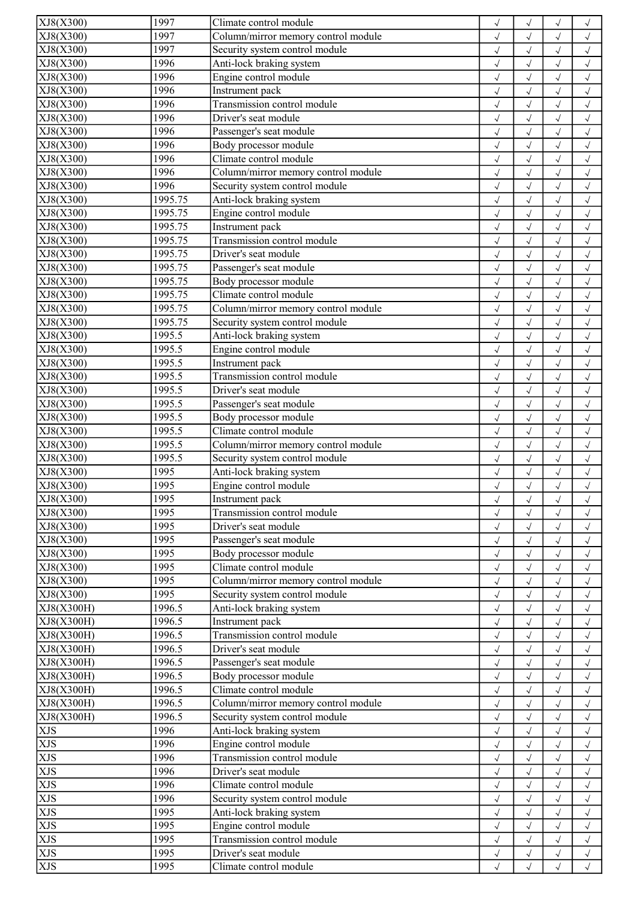| XJ8(X300)  | 1997    | Climate control module                          | $\checkmark$ | $\checkmark$ | $\sqrt{}$  | $\checkmark$ |
|------------|---------|-------------------------------------------------|--------------|--------------|------------|--------------|
| XJ8(X300)  | 1997    | Column/mirror memory control module             | $\checkmark$ | $\checkmark$ | $\sqrt{}$  | $\checkmark$ |
| XJ8(X300)  | 1997    | Security system control module                  | $\checkmark$ | $\sqrt{}$    | $\sqrt{}$  | $\sqrt{ }$   |
| XJ8(X300)  | 1996    | Anti-lock braking system                        | $\checkmark$ | $\checkmark$ | $\sqrt{ }$ | $\sqrt{2}$   |
| XJ8(X300)  | 1996    | Engine control module                           | $\sqrt{ }$   | $\sqrt{2}$   | $\sqrt{}$  | $\checkmark$ |
| XJ8(X300)  | 1996    | Instrument pack                                 | $\checkmark$ | $\sqrt{2}$   | $\sqrt{ }$ | $\sqrt{ }$   |
| XJ8(X300)  | 1996    | Transmission control module                     | $\sqrt{ }$   | $\checkmark$ | $\sqrt{ }$ | $\checkmark$ |
| XJ8(X300)  | 1996    | Driver's seat module                            | $\sqrt{2}$   | $\checkmark$ | $\sqrt{}$  | $\checkmark$ |
| XJ8(X300)  | 1996    | Passenger's seat module                         |              | $\checkmark$ |            | $\sqrt{ }$   |
|            | 1996    |                                                 | $\sqrt{ }$   |              | $\sqrt{}$  |              |
| XJ8(X300)  |         | Body processor module<br>Climate control module | $\checkmark$ | $\checkmark$ | $\sqrt{ }$ | $\checkmark$ |
| XJ8(X300)  | 1996    |                                                 | $\checkmark$ | $\sqrt{}$    | $\sqrt{}$  | $\checkmark$ |
| XJ8(X300)  | 1996    | Column/mirror memory control module             | $\checkmark$ | $\checkmark$ | $\sqrt{}$  | $\checkmark$ |
| XJ8(X300)  | 1996    | Security system control module                  | $\sqrt{ }$   | $\checkmark$ | $\sqrt{ }$ | $\checkmark$ |
| XJ8(X300)  | 1995.75 | Anti-lock braking system                        | $\checkmark$ | $\sqrt{}$    | $\sqrt{ }$ | $\checkmark$ |
| XJ8(X300)  | 1995.75 | Engine control module                           | $\checkmark$ | $\sqrt{2}$   | $\sqrt{ }$ | $\checkmark$ |
| XJ8(X300)  | 1995.75 | <b>Instrument</b> pack                          | $\checkmark$ | $\checkmark$ | $\sqrt{2}$ | $\checkmark$ |
| XJ8(X300)  | 1995.75 | Transmission control module                     | $\sqrt{2}$   | $\sqrt{2}$   | $\sqrt{}$  | $\checkmark$ |
| XJ8(X300)  | 1995.75 | Driver's seat module                            | $\checkmark$ | $\sqrt{}$    | $\sqrt{ }$ | $\checkmark$ |
| XJ8(X300)  | 1995.75 | Passenger's seat module                         | $\checkmark$ | $\sqrt{}$    | $\sqrt{ }$ | $\sqrt{ }$   |
| XJ8(X300)  | 1995.75 | Body processor module                           | $\checkmark$ | $\sqrt{}$    | $\sqrt{ }$ | $\checkmark$ |
| XJ8(X300)  | 1995.75 | Climate control module                          | $\sqrt{2}$   | $\checkmark$ | $\sqrt{ }$ | $\sqrt{ }$   |
| XJ8(X300)  | 1995.75 | Column/mirror memory control module             | $\checkmark$ | $\sqrt{ }$   | $\sqrt{ }$ | $\sqrt{ }$   |
| XJ8(X300)  | 1995.75 | Security system control module                  | $\sqrt{ }$   | $\sqrt{}$    |            |              |
|            |         |                                                 |              |              | $\sqrt{ }$ | $\sqrt{ }$   |
| XJ8(X300)  | 1995.5  | Anti-lock braking system                        | $\sqrt{ }$   | $\checkmark$ | $\sqrt{}$  | $\checkmark$ |
| XJ8(X300)  | 1995.5  | Engine control module                           | $\sqrt{2}$   | $\checkmark$ |            | $\sqrt{2}$   |
| XJ8(X300)  | 1995.5  | Instrument pack                                 | $\checkmark$ | $\sqrt{}$    | $\sqrt{}$  | $\checkmark$ |
| XJ8(X300)  | 1995.5  | Transmission control module                     | $\checkmark$ | $\checkmark$ | $\sqrt{ }$ | $\sqrt{ }$   |
| XJ8(X300)  | 1995.5  | Driver's seat module                            | $\checkmark$ | $\sqrt{2}$   | $\sqrt{}$  | $\sqrt{ }$   |
| XJ8(X300)  | 1995.5  | Passenger's seat module                         | $\sqrt{2}$   | $\sqrt{2}$   | $\sqrt{ }$ | $\sqrt{2}$   |
| XJ8(X300)  | 1995.5  | Body processor module                           | $\sqrt{ }$   | $\checkmark$ | $\sqrt{ }$ | $\checkmark$ |
| XJ8(X300)  | 1995.5  | Climate control module                          | $\sqrt{}$    | $\sqrt{}$    | $\sqrt{ }$ | $\sqrt{ }$   |
| XJ8(X300)  | 1995.5  | Column/mirror memory control module             | $\sqrt{ }$   | $\checkmark$ | $\sqrt{}$  | $\checkmark$ |
| XJ8(X300)  | 1995.5  | Security system control module                  | $\sqrt{2}$   | $\checkmark$ |            | $\sqrt{2}$   |
| XJ8(X300)  | 1995    | Anti-lock braking system                        | $\checkmark$ |              |            | $\checkmark$ |
| XJ8(X300)  | 1995    | Engine control module                           | $\sqrt{}$    | $\checkmark$ | $\sqrt{}$  | $\checkmark$ |
| XJ8(X300)  | 1995    | Instrument pack                                 |              |              |            |              |
|            | 1995    | Transmission control module                     | $\checkmark$ | $\sqrt{}$    | $\sqrt{}$  | $\sqrt{}$    |
| XJ8(X300)  |         |                                                 | $\sqrt{2}$   | $\sqrt{2}$   |            | $\sqrt{ }$   |
| XJ8(X300)  | 1995    | Driver's seat module                            | $\checkmark$ | $\sqrt{}$    | $\sqrt{ }$ | $\sqrt{ }$   |
| XJ8(X300)  | 1995    | Passenger's seat module                         | $\sqrt{}$    | $\checkmark$ | $\sqrt{ }$ | $\checkmark$ |
| XJ8(X300)  | 1995    | Body processor module                           | $\checkmark$ | $\checkmark$ | $\sqrt{}$  | $\checkmark$ |
| XJ8(X300)  | 1995    | Climate control module                          | $\sqrt{}$    | $\checkmark$ |            | $\checkmark$ |
| XJ8(X300)  | 1995    | Column/mirror memory control module             | $\checkmark$ | $\sqrt{}$    |            | $\checkmark$ |
| XJ8(X300)  | 1995    | Security system control module                  | $\sqrt{}$    | $\sqrt{}$    | $\sqrt{}$  | $\checkmark$ |
| XJ8(X300H) | 1996.5  | Anti-lock braking system                        | $\sqrt{}$    | $\sqrt{ }$   | $\sqrt{ }$ | $\sqrt{}$    |
| XJ8(X300H) | 1996.5  | Instrument pack                                 | $\sqrt{}$    | $\sqrt{}$    | $\sqrt{}$  | $\sqrt{ }$   |
| XJ8(X300H) | 1996.5  | Transmission control module                     | $\checkmark$ | $\checkmark$ | $\sqrt{}$  | $\sqrt{ }$   |
| XJ8(X300H) | 1996.5  | Driver's seat module                            | $\checkmark$ | $\sqrt{}$    | $\sqrt{ }$ | $\sqrt{ }$   |
| XJ8(X300H) | 1996.5  | Passenger's seat module                         | $\sqrt{}$    | $\sqrt{}$    | $\sqrt{ }$ | $\sqrt{ }$   |
| XJ8(X300H) | 1996.5  | Body processor module                           | $\sqrt{}$    | $\sqrt{}$    |            | $\sqrt{ }$   |
| XJ8(X300H) | 1996.5  | Climate control module                          | $\sqrt{2}$   | $\checkmark$ | $\sqrt{}$  | $\checkmark$ |
| XJ8(X300H) | 1996.5  | Column/mirror memory control module             |              |              |            |              |
|            |         |                                                 | $\checkmark$ | $\sqrt{}$    | $\sqrt{ }$ | $\sqrt{}$    |
| XJ8(X300H) | 1996.5  | Security system control module                  | $\checkmark$ | $\sqrt{ }$   | $\sqrt{ }$ | $\sqrt{}$    |
| <b>XJS</b> | 1996    | Anti-lock braking system                        | $\checkmark$ | $\sqrt{}$    | $\sqrt{}$  | $\checkmark$ |
| <b>XJS</b> | 1996    | Engine control module                           | $\sqrt{2}$   | $\sqrt{}$    | $\sqrt{ }$ | $\sqrt{ }$   |
| <b>XJS</b> | 1996    | Transmission control module                     | $\sqrt{}$    | $\sqrt{}$    | $\sqrt{ }$ | $\sqrt{ }$   |
| <b>XJS</b> | 1996    | Driver's seat module                            | $\sqrt{}$    | $\sqrt{}$    | $\sqrt{ }$ | $\sqrt{ }$   |
| <b>XJS</b> | 1996    | Climate control module                          | $\sqrt{}$    | $\sqrt{}$    | $\sqrt{}$  | $\sqrt{ }$   |
| <b>XJS</b> | 1996    | Security system control module                  | $\sqrt{}$    | $\checkmark$ |            | $\sqrt{2}$   |
| <b>XJS</b> | 1995    | Anti-lock braking system                        | $\checkmark$ | $\sqrt{}$    |            | $\checkmark$ |
| <b>XJS</b> | 1995    | Engine control module                           | $\sqrt{}$    | $\sqrt{}$    | $\sqrt{}$  | $\sqrt{}$    |
| <b>XJS</b> | 1995    | Transmission control module                     | $\checkmark$ | $\sqrt{}$    | $\sqrt{ }$ | $\sqrt{}$    |
| <b>XJS</b> | 1995    | Driver's seat module                            | $\checkmark$ | $\checkmark$ |            | $\checkmark$ |
| <b>XJS</b> | 1995    | Climate control module                          | $\checkmark$ | $\sqrt{}$    | $\sqrt{ }$ | $\sqrt{ }$   |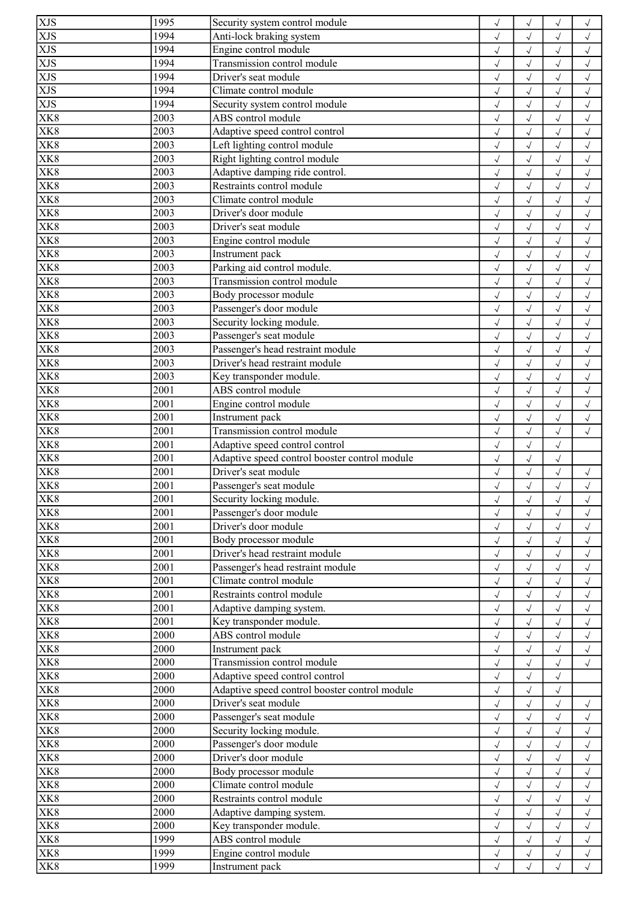| XJS                      | 1995              | Security system control module                | $\checkmark$ | $\checkmark$ |              | $\checkmark$ |
|--------------------------|-------------------|-----------------------------------------------|--------------|--------------|--------------|--------------|
| <b>XJS</b>               | 1994              | Anti-lock braking system                      | $\sqrt{}$    | $\checkmark$ | $\checkmark$ | $\sqrt{}$    |
| XJS                      | 1994              | Engine control module                         | $\checkmark$ | $\sqrt{ }$   | $\sqrt{ }$   | $\sqrt{}$    |
| XJS                      | 1994              | Transmission control module                   | $\sqrt{}$    | $\sqrt{2}$   | $\checkmark$ | $\checkmark$ |
| XJS                      | 1994              | Driver's seat module                          | $\checkmark$ | $\checkmark$ | $\sqrt{ }$   | $\checkmark$ |
| XJS                      | 1994              | Climate control module                        | $\sqrt{ }$   | $\sqrt{}$    | $\sqrt{ }$   | $\sqrt{ }$   |
| <b>XJS</b>               | 1994              | Security system control module                | $\sqrt{}$    | $\sqrt{}$    | $\sqrt{ }$   | $\sqrt{ }$   |
| $\overline{\text{X}}$ K8 | 2003              | ABS control module                            | $\sqrt{}$    | $\sqrt{2}$   |              | $\checkmark$ |
| XK8                      | 2003              | Adaptive speed control control                | $\sqrt{2}$   | $\checkmark$ |              | $\checkmark$ |
| XK8                      | 2003              | Left lighting control module                  | $\sqrt{}$    | $\checkmark$ | $\checkmark$ | $\checkmark$ |
| $\overline{\text{X}}$ K8 | 2003              | Right lighting control module                 | $\sqrt{}$    | $\sqrt{ }$   | $\sqrt{ }$   | $\checkmark$ |
| XK8                      | 2003              | Adaptive damping ride control.                |              | $\sqrt{2}$   | $\checkmark$ | $\sqrt{ }$   |
| XK <sub>8</sub>          | 2003              | Restraints control module                     | $\checkmark$ |              |              |              |
|                          |                   |                                               | $\sqrt{2}$   | $\checkmark$ | $\sqrt{2}$   | $\sqrt{2}$   |
| $\overline{\text{XK}}8$  | 2003              | Climate control module                        | $\checkmark$ | $\sqrt{2}$   | $\sqrt{ }$   | $\sqrt{ }$   |
| XK <sub>8</sub>          | 2003              | Driver's door module                          | $\sqrt{}$    | $\sqrt{ }$   | $\sqrt{ }$   | $\checkmark$ |
| XK8                      | 2003              | Driver's seat module                          | $\sqrt{}$    | $\sqrt{2}$   | $\checkmark$ | $\checkmark$ |
| XK8                      | 2003              | Engine control module                         | $\sqrt{}$    | $\sqrt{2}$   |              | $\sqrt{2}$   |
| XK8                      | 2003              | Instrument pack                               | $\checkmark$ | $\sqrt{2}$   |              | $\checkmark$ |
| XK8                      | 2003              | Parking aid control module.                   | $\sqrt{}$    | $\checkmark$ | $\sqrt{}$    | $\checkmark$ |
| XK8                      | 2003              | Transmission control module                   | $\checkmark$ | $\sqrt{}$    |              | $\checkmark$ |
| $\overline{\text{X}}$ K8 | 2003              | Body processor module                         | $\sqrt{}$    | $\checkmark$ | $\sqrt{}$    | $\sqrt{2}$   |
| XK8                      | 2003              | Passenger's door module                       | $\sqrt{}$    | $\sqrt{}$    | $\sqrt{ }$   | $\checkmark$ |
| XK <sub>8</sub>          | 2003              | Security locking module.                      | $\sqrt{}$    | $\checkmark$ | $\sqrt{ }$   | $\checkmark$ |
| XK8                      | 2003              | Passenger's seat module                       | $\sqrt{}$    | $\sqrt{2}$   | $\checkmark$ | $\checkmark$ |
| XK8                      | 2003              | Passenger's head restraint module             | $\sqrt{2}$   | $\checkmark$ |              | $\sqrt{2}$   |
| XK8                      | 2003              | Driver's head restraint module                | $\sqrt{ }$   |              |              | $\checkmark$ |
| XK8                      | 2003              | Key transponder module.                       | $\checkmark$ | $\checkmark$ | $\checkmark$ | $\checkmark$ |
| XK <sup>8</sup>          | 2001              | ABS control module                            | $\checkmark$ | $\checkmark$ | $\sqrt{ }$   | $\checkmark$ |
| $\overline{\text{X}}$ K8 | 2001              | Engine control module                         | $\checkmark$ | $\checkmark$ | $\sqrt{}$    | $\checkmark$ |
| XK8                      | 2001              | Instrument pack                               | $\sqrt{}$    | $\checkmark$ | $\sqrt{ }$   | $\checkmark$ |
| XK8                      | 2001              | Transmission control module                   |              |              |              |              |
|                          |                   |                                               | $\sqrt{ }$   | $\sqrt{}$    | $\sqrt{ }$   | $\checkmark$ |
| XK8                      | 2001              | Adaptive speed control control                | $\sqrt{}$    | $\sqrt{}$    | $\sqrt{ }$   |              |
| XK8                      | 2001              | Adaptive speed control booster control module | $\sqrt{}$    | $\sqrt{2}$   | $\sqrt{}$    |              |
| XK8                      | 2001              | Driver's seat module                          | $\sqrt{ }$   | $\checkmark$ | $\checkmark$ | $\checkmark$ |
| XK8                      | 2001              | Passenger's seat module                       | $\sqrt{}$    | $\checkmark$ | $\checkmark$ | $\checkmark$ |
| XK <sub>8</sub>          | 2001              | Security locking module.                      | $\sqrt{}$    | $\sqrt{ }$   | $\sqrt{}$    | $\sqrt{}$    |
| <b>XK8</b>               | 2001              | Passenger's door module                       | $\sqrt{ }$   | $\sqrt{}$    | $\checkmark$ | $\sqrt{}$    |
| XK <sub>8</sub>          | 2001              | Driver's door module                          | $\checkmark$ | $\sqrt{}$    | $\sqrt{ }$   | $\sqrt{ }$   |
| XK8                      | 2001              | Body processor module                         | $\sqrt{ }$   | $\sqrt{}$    | $\sqrt{ }$   | $\sqrt{}$    |
| XK8                      | 2001              | Driver's head restraint module                | $\sqrt{}$    | $\sqrt{}$    | $\sqrt{ }$   | $\sqrt{ }$   |
| XK8                      | 2001              | Passenger's head restraint module             | $\sqrt{}$    | $\sqrt{}$    | $\checkmark$ | $\checkmark$ |
| XK8                      | 2001              | Climate control module                        | $\sqrt{2}$   | $\sqrt{2}$   |              | $\sqrt{2}$   |
| XK8                      | 2001              | Restraints control module                     | $\sqrt{}$    | $\checkmark$ |              | $\checkmark$ |
| XK <sub>8</sub>          | 2001              | Adaptive damping system.                      | $\sqrt{}$    | $\sqrt{}$    |              | $\checkmark$ |
| XK8                      | 2001              | Key transponder module.                       | $\sqrt{}$    | $\sqrt{}$    | $\checkmark$ | $\checkmark$ |
| XK8                      | $\overline{2000}$ | ABS control module                            | $\sqrt{2}$   | $\checkmark$ | $\sqrt{}$    | $\sqrt{ }$   |
| XK8                      | 2000              | Instrument pack                               | $\sqrt{}$    | $\sqrt{}$    |              | $\sqrt{}$    |
| XK8                      | 2000              | Transmission control module                   | $\sqrt{}$    | $\sqrt{}$    | $\sqrt{ }$   | $\checkmark$ |
| XK <sub>8</sub>          | 2000              | Adaptive speed control control                | $\sqrt{}$    | $\sqrt{}$    | $\sqrt{ }$   |              |
| XK8                      | 2000              | Adaptive speed control booster control module | $\sqrt{2}$   | $\checkmark$ |              |              |
| XK8                      | 2000              | Driver's seat module                          | $\checkmark$ |              |              | $\checkmark$ |
| XK8                      | 2000              | Passenger's seat module                       | $\sqrt{}$    | $\sqrt{}$    | $\sqrt{ }$   | $\checkmark$ |
| <b>XK8</b>               | 2000              | Security locking module.                      |              | $\sqrt{}$    | $\sqrt{ }$   | $\checkmark$ |
| XK8                      | 2000              | Passenger's door module                       | $\checkmark$ |              | $\sqrt{ }$   |              |
|                          | 2000              | Driver's door module                          | $\sqrt{}$    | $\sqrt{}$    |              | $\checkmark$ |
| XK8                      |                   |                                               | $\sqrt{}$    | $\checkmark$ | $\sqrt{}$    | $\checkmark$ |
| XK8                      | 2000              | Body processor module                         | $\sqrt{}$    | $\sqrt{}$    | $\sqrt{ }$   | $\checkmark$ |
| XK8                      | 2000              | Climate control module                        | $\sqrt{}$    | $\sqrt{}$    | $\sqrt{ }$   | $\checkmark$ |
| XK8                      | 2000              | Restraints control module                     | $\sqrt{}$    | $\checkmark$ | $\sqrt{}$    | $\checkmark$ |
| XK8                      | 2000              | Adaptive damping system.                      | $\sqrt{}$    | $\sqrt{}$    | $\checkmark$ | $\checkmark$ |
| XK8                      | 2000              | Key transponder module.                       | $\sqrt{}$    | $\sqrt{}$    | $\sqrt{}$    | $\sqrt{}$    |
| XK8                      | 1999              | ABS control module                            | $\sqrt{}$    | $\sqrt{ }$   | $\sqrt{ }$   | $\sqrt{}$    |
| XK <sub>8</sub>          | 1999              | Engine control module                         | $\checkmark$ | $\sqrt{}$    | $\sqrt{ }$   | $\checkmark$ |
| XK8                      | 1999              | Instrument pack                               | $\sqrt{}$    | $\checkmark$ | $\sqrt{}$    | $\sqrt{}$    |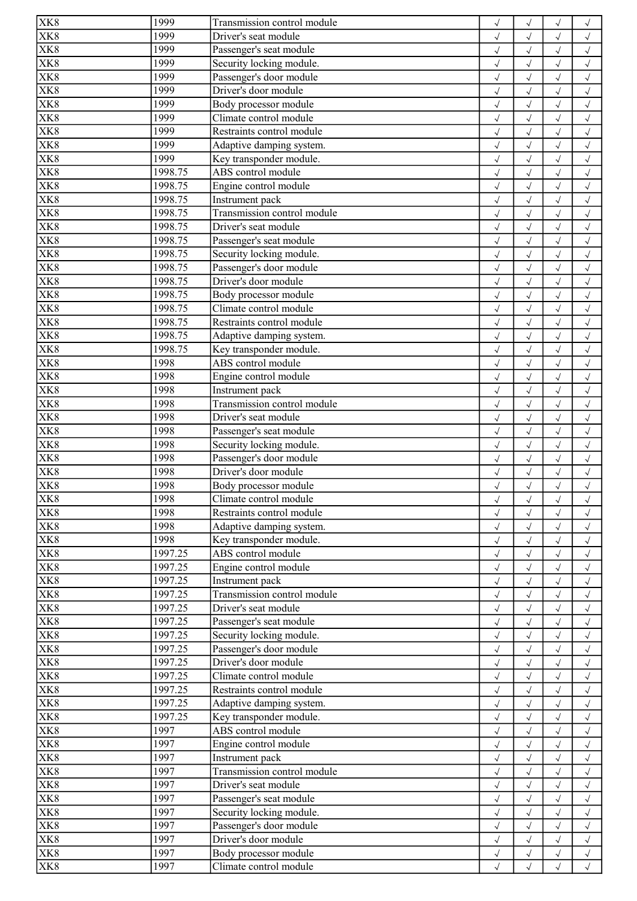| XK8                            | 1999    | Transmission control module | $\checkmark$              | $\checkmark$           | $\checkmark$             | $\checkmark$         |
|--------------------------------|---------|-----------------------------|---------------------------|------------------------|--------------------------|----------------------|
| XK8                            | 1999    | Driver's seat module        | $\sqrt{}$                 | $\checkmark$           |                          | $\checkmark$         |
| XK8                            | 1999    | Passenger's seat module     | $\checkmark$              | $\sqrt{}$              | $\checkmark$             | $\checkmark$         |
| XK <sub>8</sub>                | 1999    | Security locking module.    | $\checkmark$              | $\checkmark$           | $\sqrt{2}$               | $\sqrt{2}$           |
| $\overline{\text{X}}\text{K}8$ | 1999    | Passenger's door module     | $\sqrt{}$                 | $\sqrt{}$              | $\checkmark$             | $\checkmark$         |
| XK <sub>8</sub>                | 1999    | Driver's door module        | $\sqrt{}$                 | $\sqrt{2}$             | $\checkmark$             | $\checkmark$         |
| XK8                            | 1999    | Body processor module       | $\sqrt{}$                 | $\sqrt{2}$             |                          | $\checkmark$         |
| XK8                            | 1999    | Climate control module      | $\sqrt{2}$                | $\checkmark$           |                          | $\checkmark$         |
| XK8                            | 1999    | Restraints control module   | $\checkmark$              | $\sqrt{2}$             |                          | $\checkmark$         |
| XK8                            | 1999    | Adaptive damping system.    | $\sqrt{}$                 | $\checkmark$           | $\sqrt{ }$               | $\checkmark$         |
| XK <sub>8</sub>                | 1999    | Key transponder module.     |                           | $\sqrt{2}$             |                          |                      |
| $\overline{X}K8$               | 1998.75 | ABS control module          | $\checkmark$              |                        | $\checkmark$             | $\checkmark$         |
|                                |         |                             | $\checkmark$              | $\checkmark$           | $\sqrt{2}$               | $\checkmark$         |
| $\overline{\text{X}}$ K8       | 1998.75 | Engine control module       | $\sqrt{}$                 | $\checkmark$           | $\checkmark$             | $\sqrt{2}$           |
| XK8                            | 1998.75 | Instrument pack             | $\checkmark$              | $\checkmark$           | $\sqrt{ }$               | $\checkmark$         |
| XK8                            | 1998.75 | Transmission control module | $\sqrt{}$                 | $\sqrt{}$              | $\sqrt{ }$               | $\checkmark$         |
| XK8                            | 1998.75 | Driver's seat module        | $\sqrt{}$                 | $\sqrt{}$              | $\sqrt{}$                | $\checkmark$         |
| XK8                            | 1998.75 | Passenger's seat module     | $\sqrt{}$                 | $\sqrt{2}$             |                          | $\checkmark$         |
| XK8                            | 1998.75 | Security locking module.    | $\sqrt{}$                 | $\sqrt{ }$             | $\sqrt{ }$               | $\sqrt{}$            |
| XK8                            | 1998.75 | Passenger's door module     | $\checkmark$              | $\sqrt{}$              | $\sqrt{ }$               | $\sqrt{}$            |
| XK <sub>8</sub>                | 1998.75 | Driver's door module        | $\checkmark$              | $\sqrt{}$              | $\checkmark$             | $\checkmark$         |
| XK8                            | 1998.75 | Body processor module       | $\checkmark$              | $\checkmark$           | $\checkmark$             | $\checkmark$         |
| XK8                            | 1998.75 | Climate control module      | $\sqrt{ }$                | $\sqrt{}$              | $\sqrt{ }$               | $\sqrt{\phantom{a}}$ |
| XK8                            | 1998.75 | Restraints control module   | $\sqrt{}$                 | $\sqrt{}$              | $\sqrt{ }$               | $\sqrt{ }$           |
| $\overline{X}K8$               | 1998.75 | Adaptive damping system.    | $\checkmark$              | $\sqrt{2}$             |                          | $\checkmark$         |
| XK8                            | 1998.75 | Key transponder module.     | $\sqrt{2}$                | $\checkmark$           |                          | $\sqrt{2}$           |
| XK8                            | 1998    | ABS control module          | $\sqrt{}$                 | $\checkmark$           | $\checkmark$             | $\sqrt{}$            |
| XK <sub>8</sub>                | 1998    | Engine control module       | $\sqrt{}$                 | $\sqrt{}$              | $\sqrt{ }$               | $\checkmark$         |
| XK8                            | 1998    | Instrument pack             | $\checkmark$              | $\sqrt{2}$             | $\sqrt{ }$               | $\sqrt{ }$           |
| XK <sub>8</sub>                | 1998    | Transmission control module | $\sqrt{2}$                | $\checkmark$           | $\sqrt{2}$               | $\sqrt{2}$           |
| $\overline{\text{XK}}8$        | 1998    | Driver's seat module        |                           | $\sqrt{2}$             |                          | $\checkmark$         |
| XK8                            | 1998    |                             | $\checkmark$              |                        | $\sqrt{ }$               |                      |
| XK8                            |         | Passenger's seat module     | $\sqrt{}$                 | $\sqrt{ }$             | $\sqrt{ }$               | $\sqrt{ }$           |
|                                | 1998    | Security locking module.    | $\sqrt{}$                 | $\checkmark$           | $\checkmark$             | $\checkmark$         |
| XK8                            | 1998    | Passenger's door module     | $\sqrt{2}$                | $\checkmark$           |                          | $\sqrt{2}$           |
| XK8                            | 1998    | Driver's door module        | $\checkmark$              |                        |                          | $\sqrt{ }$           |
| XK8                            | 1998    | Body processor module       | $\sqrt{}$                 | $\sqrt{}$              | $\checkmark$             | $\checkmark$         |
| XK <sub>8</sub>                | 1998    | Climate control module      | $\checkmark$              | $\sqrt{}$              |                          | $\sqrt{}$            |
| $\overline{\text{XK8}}$        | 1998    | Restraints control module   | $\sqrt{}$                 | $\sqrt{ }$             |                          | $\sqrt{ }$           |
| XK <sub>8</sub>                | 1998    | Adaptive damping system.    | $\sqrt{}$                 | $\checkmark$           | $\sqrt{ }$               | $\sqrt{ }$           |
| XK <sub>8</sub>                | 1998    | Key transponder module.     | $\sqrt{}$                 | $\checkmark$           | $\sqrt{ }$               | $\checkmark$         |
| XK8                            | 1997.25 | ABS control module          | $\sqrt{}$                 | $\checkmark$           | $\checkmark$             | $\checkmark$         |
| XK <sub>8</sub>                | 1997.25 | Engine control module       | $\sqrt{}$                 | $\checkmark$           |                          | $\checkmark$         |
| XK8                            | 1997.25 | Instrument pack             | $\sqrt{}$                 | $\sqrt{}$              |                          | $\checkmark$         |
| XK8                            | 1997.25 | Transmission control module | $\sqrt{}$                 | $\sqrt{ }$             | $\sqrt{}$                | $\checkmark$         |
| XK <sub>8</sub>                | 1997.25 | Driver's seat module        | $\sqrt{}$                 | $\sqrt{ }$             | $\sqrt{ }$               | $\sqrt{}$            |
| $\overline{\text{X}}$ K8       | 1997.25 | Passenger's seat module     | $\sqrt{}$                 | $\sqrt{}$              | $\sqrt{2}$               | $\sqrt{ }$           |
| XK8                            | 1997.25 | Security locking module.    | $\checkmark$              | $\sqrt{}$              | $\sqrt{2}$               | $\sqrt{ }$           |
| XK8                            | 1997.25 | Passenger's door module     | $\sqrt{}$                 | $\sqrt{}$              | $\sqrt{ }$               | $\sqrt{ }$           |
| XK8                            | 1997.25 | Driver's door module        | $\sqrt{}$                 | $\sqrt{}$              | $\sqrt{ }$               | $\sqrt{ }$           |
| XK8                            | 1997.25 | Climate control module      | $\sqrt{}$                 | $\sqrt{}$              |                          | $\checkmark$         |
| XK8                            | 1997.25 | Restraints control module   | $\sqrt{}$                 | $\checkmark$           |                          | $\checkmark$         |
| XK8                            | 1997.25 | Adaptive damping system.    | $\sqrt{}$                 | $\sqrt{}$              | $\sqrt{ }$               | $\sqrt{ }$           |
| $\overline{\text{X}}\text{K}8$ | 1997.25 | Key transponder module.     | $\sqrt{}$                 | $\sqrt{}$              | $\sqrt{ }$               | $\sqrt{ }$           |
| X <u>K8</u>                    | 1997    | ABS control module          |                           |                        |                          |                      |
| XK <sub>8</sub>                | 1997    | Engine control module       | $\sqrt{}$<br>$\checkmark$ | $\sqrt{}$<br>$\sqrt{}$ | $\sqrt{ }$<br>$\sqrt{ }$ | $\sqrt{ }$           |
|                                | 1997    |                             |                           |                        |                          | $\sqrt{ }$           |
| XK8                            |         | Instrument pack             | $\sqrt{ }$                | $\sqrt{}$              | $\sqrt{ }$               | $\sqrt{ }$           |
| XK8                            | 1997    | Transmission control module | $\sqrt{}$                 | $\sqrt{}$              | $\sqrt{ }$               | $\sqrt{ }$           |
| XK8                            | 1997    | Driver's seat module        | $\sqrt{}$                 | $\sqrt{}$              | $\checkmark$             | $\checkmark$         |
| XK8                            | 1997    | Passenger's seat module     | $\sqrt{2}$                | $\checkmark$           |                          | $\sqrt{2}$           |
| XK8                            | 1997    | Security locking module.    | $\sqrt{}$                 | $\sqrt{}$              |                          | $\checkmark$         |
| XK8                            | 1997    | Passenger's door module     | $\sqrt{}$                 | $\sqrt{}$              | $\sqrt{ }$               | $\sqrt{}$            |
| XK8                            | 1997    | Driver's door module        | $\sqrt{}$                 | $\sqrt{}$              | $\checkmark$             | $\checkmark$         |
| XK8                            | 1997    | Body processor module       | $\sqrt{}$                 | $\checkmark$           | $\sqrt{}$                | $\checkmark$         |
| XK8                            | 1997    | Climate control module      | $\checkmark$              | $\sqrt{}$              | $\sqrt{ }$               | $\sqrt{}$            |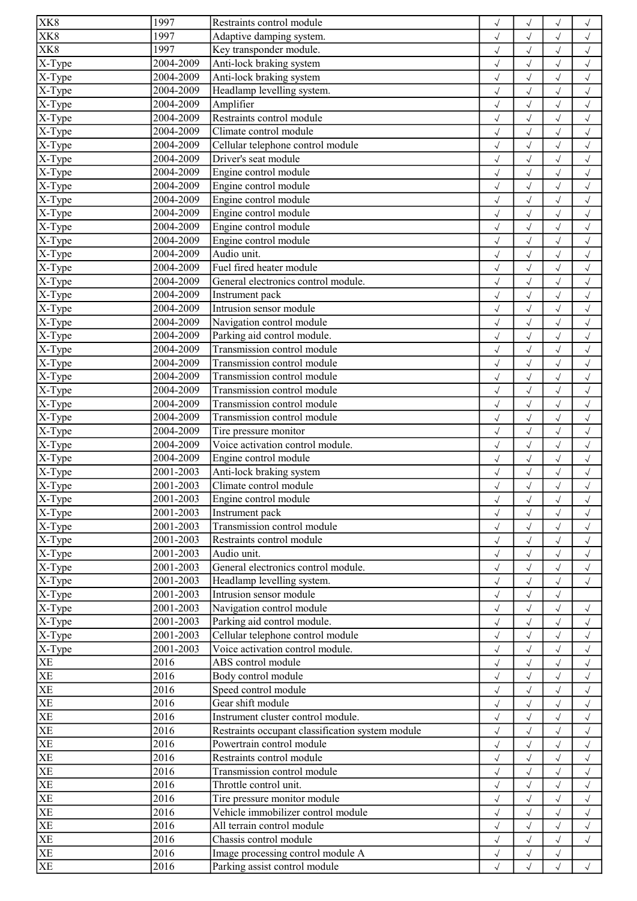| XK8                                     | 1997      | Restraints control module                        | $\checkmark$ | $\checkmark$           |                      | $\checkmark$             |
|-----------------------------------------|-----------|--------------------------------------------------|--------------|------------------------|----------------------|--------------------------|
| XK8                                     | 1997      | Adaptive damping system.                         | $\sqrt{}$    | $\sqrt{ }$             | $\checkmark$         | $\sqrt{}$                |
| XK8                                     | 1997      | Key transponder module.                          | $\checkmark$ | $\sqrt{}$              | $\sqrt{ }$           | $\sqrt{ }$               |
| $X-Type$                                | 2004-2009 | Anti-lock braking system                         | $\checkmark$ | $\sqrt{ }$             | $\checkmark$         | $\sqrt{ }$               |
| X-Type                                  | 2004-2009 | Anti-lock braking system                         | $\checkmark$ | $\checkmark$           | $\sqrt{ }$           | $\checkmark$             |
| X-Type                                  | 2004-2009 | Headlamp levelling system.                       | $\sqrt{}$    | $\sqrt{}$              | $\sqrt{ }$           | $\sqrt{ }$               |
| $X$ -Type                               | 2004-2009 | Amplifier                                        | $\sqrt{}$    | $\sqrt{ }$             | $\sqrt{ }$           | $\sqrt{ }$               |
| $X-Type$                                | 2004-2009 | Restraints control module                        | $\sqrt{}$    | $\sqrt{2}$             |                      | $\sqrt{ }$               |
| $\overline{X}$ -Type                    | 2004-2009 | Climate control module                           | $\sqrt{2}$   | $\sqrt{2}$             |                      | $\checkmark$             |
| X-Type                                  | 2004-2009 | Cellular telephone control module                | $\sqrt{}$    | $\sqrt{}$              | $\checkmark$         | $\sqrt{ }$               |
| $X-Type$                                | 2004-2009 | Driver's seat module                             | $\sqrt{}$    | $\sqrt{}$              | $\sqrt{ }$           | $\sqrt{ }$               |
| X-Type                                  | 2004-2009 | Engine control module                            | $\checkmark$ | $\sqrt{2}$             | $\sqrt{ }$           | $\checkmark$             |
| X-Type                                  | 2004-2009 | Engine control module                            | $\sqrt{2}$   | $\checkmark$           | $\sqrt{2}$           | $\sqrt{2}$               |
| X-Type                                  | 2004-2009 | Engine control module                            |              | $\checkmark$           | $\sqrt{ }$           | $\sqrt{ }$               |
| X-Type                                  | 2004-2009 | Engine control module                            | $\sqrt{ }$   | $\sqrt{}$              |                      |                          |
|                                         | 2004-2009 | Engine control module                            | $\sqrt{}$    |                        | $\sqrt{ }$           | $\sqrt{ }$               |
| X-Type                                  | 2004-2009 |                                                  | $\sqrt{}$    | $\sqrt{2}$             | $\checkmark$         | $\sqrt{ }$               |
| $\overline{X}$ -Type                    |           | Engine control module                            | $\sqrt{2}$   | $\checkmark$           |                      | $\sqrt{2}$               |
| $X-Type$                                | 2004-2009 | Audio unit.                                      | $\checkmark$ | $\sqrt{2}$             |                      | $\checkmark$             |
| X-Type                                  | 2004-2009 | Fuel fired heater module                         | $\sqrt{}$    | $\checkmark$           | $\sqrt{ }$           | $\checkmark$             |
| X-Type                                  | 2004-2009 | General electronics control module.              | $\checkmark$ | $\sqrt{2}$             | $\checkmark$         | $\sqrt{}$                |
| $\overline{X-Type}$                     | 2004-2009 | Instrument pack                                  | $\sqrt{2}$   | $\checkmark$           | $\sqrt{}$            | $\checkmark$             |
| X-Type                                  | 2004-2009 | Intrusion sensor module                          | $\checkmark$ | $\sqrt{2}$             | $\sqrt{ }$           | $\sqrt{ }$               |
| X-Type                                  | 2004-2009 | Navigation control module                        | $\sqrt{}$    | $\sqrt{}$              | $\sqrt{ }$           | $\sqrt{ }$               |
| $X-Type$                                | 2004-2009 | Parking aid control module.                      | $\sqrt{}$    | $\sqrt{2}$             | $\checkmark$         | $\checkmark$             |
| $X-Type$                                | 2004-2009 | Transmission control module                      | $\sqrt{2}$   | $\sqrt{2}$             |                      | $\checkmark$             |
| X-Type                                  | 2004-2009 | Transmission control module                      | $\sqrt{ }$   | $\sqrt{}$              |                      | $\checkmark$             |
| X-Type                                  | 2004-2009 | Transmission control module                      | $\sqrt{}$    | $\checkmark$           | $\sqrt{\phantom{a}}$ | $\checkmark$             |
| X-Type                                  | 2004-2009 | Transmission control module                      | $\checkmark$ | $\checkmark$           | $\sqrt{ }$           | $\checkmark$             |
| $X-Type$                                | 2004-2009 | Transmission control module                      | $\checkmark$ | $\checkmark$           | $\sqrt{2}$           | $\checkmark$             |
| $\overline{X}$ -Type                    | 2004-2009 | Transmission control module                      | $\sqrt{}$    | $\checkmark$           | $\sqrt{ }$           | $\sqrt{ }$               |
| $\overline{X-Type}$                     | 2004-2009 | Tire pressure monitor                            | $\sqrt{ }$   | $\sqrt{}$              | $\sqrt{ }$           | $\checkmark$             |
| $X-Type$                                | 2004-2009 | Voice activation control module.                 | $\sqrt{}$    | $\sqrt{}$              | $\sqrt{ }$           | $\sqrt{ }$               |
| $X-Type$                                | 2004-2009 | Engine control module                            | $\sqrt{}$    | $\sqrt{2}$             | $\sqrt{}$            | $\checkmark$             |
| X-Type                                  | 2001-2003 | Anti-lock braking system                         | $\sqrt{ }$   | $\checkmark$           |                      | $\checkmark$             |
| X-Type                                  | 2001-2003 | Climate control module                           | $\sqrt{}$    | $\checkmark$           | $\sqrt{ }$           | $\checkmark$             |
| $X-Type$                                | 2001-2003 | Engine control module                            | $\sqrt{}$    | $\sqrt{}$              | $\sqrt{}$            | $\checkmark$             |
| X-Type                                  | 2001-2003 | Instrument pack                                  | $\sqrt{ }$   | $\sqrt{}$              |                      | $\sqrt{ }$               |
| X-Type                                  | 2001-2003 | Transmission control module                      | $\checkmark$ | $\sqrt{ }$             | $\sqrt{ }$           | $\sqrt{ }$               |
| $\overline{X-Type}$                     | 2001-2003 | Restraints control module                        | $\sqrt{ }$   | $\sqrt{ }$             | $\sqrt{ }$           | $\sqrt{ }$               |
| X-Type                                  | 2001-2003 | Audio unit.                                      | $\sqrt{}$    | $\sqrt{}$              | $\sqrt{ }$           | $\sqrt{ }$               |
| X-Type                                  | 2001-2003 | General electronics control module.              | $\sqrt{}$    | $\sqrt{2}$             | $\checkmark$         | $\checkmark$             |
| $X-Type$                                | 2001-2003 | Headlamp levelling system.                       |              | $\sqrt{2}$             |                      | $\sqrt{2}$               |
| $X-Type$                                | 2001-2003 | Intrusion sensor module                          | $\sqrt{}$    |                        |                      |                          |
|                                         | 2001-2003 | Navigation control module                        |              |                        |                      |                          |
| $\overline{X}$ -Type<br>$\sqrt{X-Type}$ | 2001-2003 | Parking aid control module.                      | $\sqrt{}$    | $\sqrt{}$<br>$\sqrt{}$ | $\sqrt{ }$           | $\sqrt{}$                |
|                                         | 2001-2003 | Cellular telephone control module                | $\sqrt{}$    |                        |                      | $\sqrt{ }$<br>$\sqrt{ }$ |
| X-Type                                  | 2001-2003 | Voice activation control module.                 | $\sqrt{2}$   | $\checkmark$           |                      |                          |
| X-Type<br>XE                            | 2016      |                                                  | $\sqrt{}$    | $\sqrt{}$              |                      | $\checkmark$             |
| XE                                      |           | ABS control module                               | $\sqrt{}$    | $\sqrt{}$              | $\sqrt{ }$           | $\sqrt{ }$               |
|                                         | 2016      | Body control module                              | $\sqrt{}$    | $\sqrt{}$              |                      | $\checkmark$             |
| $rac{\overline{X}}{\overline{X}}$       | 2016      | Speed control module                             | $\sqrt{2}$   | $\checkmark$           |                      | $\sqrt{2}$               |
|                                         | 2016      | Gear shift module                                | $\checkmark$ |                        |                      | $\sqrt{ }$               |
| XE                                      | 2016      | Instrument cluster control module.               | $\sqrt{}$    | $\sqrt{}$              | $\sqrt{}$            | $\checkmark$             |
| XE                                      | 2016      | Restraints occupant classification system module | $\checkmark$ | $\sqrt{}$              | $\sqrt{ }$           | $\checkmark$             |
| XE                                      | 2016      | Powertrain control module                        | $\sqrt{}$    | $\sqrt{}$              | $\checkmark$         | $\sqrt{ }$               |
| $\overline{\text{XE}}$                  | 2016      | Restraints control module                        | $\sqrt{}$    | $\sqrt{}$              | $\sqrt{}$            | $\checkmark$             |
| XE                                      | 2016      | Transmission control module                      | $\sqrt{}$    | $\checkmark$           | $\sqrt{ }$           | $\sqrt{ }$               |
| XE                                      | 2016      | Throttle control unit.                           | $\sqrt{}$    | $\sqrt{}$              | $\sqrt{ }$           | $\checkmark$             |
| $\overline{XE}$                         | 2016      | Tire pressure monitor module                     | $\sqrt{}$    | $\checkmark$           | $\sqrt{}$            | $\checkmark$             |
| $\overline{\text{XE}}$                  | 2016      | Vehicle immobilizer control module               | $\sqrt{}$    | $\sqrt{}$              |                      | $\checkmark$             |
| XE                                      | 2016      | All terrain control module                       | $\sqrt{}$    | $\sqrt{ }$             | $\sqrt{}$            | $\sqrt{}$                |
| XE                                      | 2016      | Chassis control module                           | $\sqrt{}$    | $\sqrt{ }$             | $\sqrt{ }$           | $\sqrt{}$                |
| XE                                      | 2016      | Image processing control module A                | $\checkmark$ | $\sqrt{}$              | $\sqrt{ }$           |                          |
| <b>XE</b>                               | 2016      | Parking assist control module                    | $\sqrt{}$    | $\sqrt{}$              | $\sqrt{2}$           | $\sqrt{ }$               |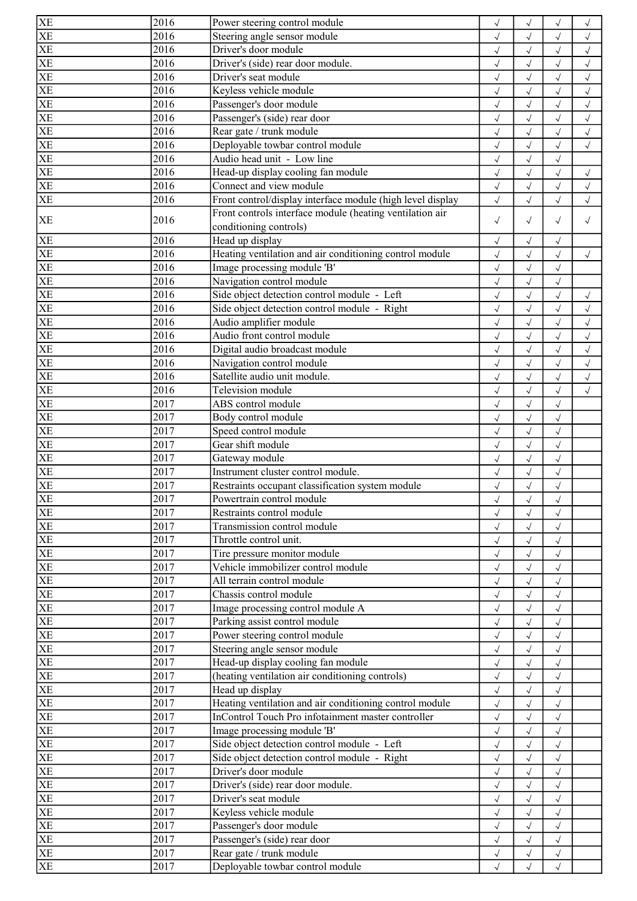| XE                                       | 2016              | Power steering control module                              | $\sqrt{}$                  | $\checkmark$               |                          | $\checkmark$               |
|------------------------------------------|-------------------|------------------------------------------------------------|----------------------------|----------------------------|--------------------------|----------------------------|
| XE                                       | 2016              | Steering angle sensor module                               | $\sqrt{ }$                 | $\checkmark$               | $\sqrt{}$                | $\checkmark$               |
| $\overline{XE}$                          | 2016              | Driver's door module                                       | $\sqrt{ }$                 | $\sqrt{}$                  | $\sqrt{ }$               | $\sqrt{ }$                 |
| $\overline{XE}$                          | 2016              | Driver's (side) rear door module.                          | $\checkmark$               | $\checkmark$               |                          | $\sqrt{2}$                 |
| $\overline{XE}$                          | 2016              | Driver's seat module                                       | $\sqrt{ }$                 | $\sqrt{}$                  | $\sqrt{ }$               | $\checkmark$               |
| XE                                       | 2016              | Keyless vehicle module                                     | $\sqrt{ }$                 | $\sqrt{ }$                 | $\sqrt{ }$               | $\sqrt{ }$                 |
| XE                                       | 2016              | Passenger's door module                                    | $\checkmark$               | $\checkmark$               | $\checkmark$             | $\checkmark$               |
|                                          | 2016              | Passenger's (side) rear door                               | $\sqrt{2}$                 | $\checkmark$               |                          | $\sqrt{2}$                 |
| $rac{\overline{X}}{\overline{X}}$        | 2016              | Rear gate / trunk module                                   | $\checkmark$               | $\sqrt{ }$                 |                          | $\sqrt{ }$                 |
| XE                                       | 2016              | Deployable towbar control module                           | $\sqrt{}$                  | $\checkmark$               | $\sqrt{ }$               | $\checkmark$               |
| XE                                       | 2016              | Audio head unit - Low line                                 | $\sqrt{ }$                 | $\sqrt{}$                  | $\sqrt{ }$               |                            |
| $\overline{\text{XE}}$                   | 2016              | Head-up display cooling fan module                         | $\sqrt{ }$                 | $\checkmark$               | $\sqrt{ }$               | $\sqrt{ }$                 |
| XE                                       | 2016              | Connect and view module                                    | $\checkmark$               | $\checkmark$               | $\sqrt{ }$               | $\sqrt{ }$                 |
| <b>XE</b>                                | 2016              | Front control/display interface module (high level display | $\sqrt{ }$                 | $\checkmark$               | $\sqrt{ }$               | $\sqrt{}$                  |
|                                          |                   | Front controls interface module (heating ventilation air   |                            |                            |                          |                            |
| <b>XE</b>                                | 2016              | conditioning controls)                                     | $\sqrt{}$                  | $\sqrt{}$                  | $\sqrt{ }$               | $\sqrt{}$                  |
| XE                                       | 2016              | Head up display                                            | $\sqrt{ }$                 | $\checkmark$               | $\checkmark$             |                            |
| XE                                       | 2016              | Heating ventilation and air conditioning control module    | $\sqrt{}$                  | $\sqrt{}$                  | $\sqrt{ }$               | $\sqrt{}$                  |
| XE                                       | 2016              | Image processing module 'B'                                | $\sqrt{ }$                 | $\sqrt{}$                  | $\sqrt{ }$               |                            |
| XE                                       | 2016              | Navigation control module                                  | $\sqrt{ }$                 | $\sqrt{}$                  | $\sqrt{ }$               |                            |
| $\overline{XE}$                          | 2016              | Side object detection control module - Left                | $\sqrt{ }$                 | $\checkmark$               | $\checkmark$             | $\checkmark$               |
| XE                                       | 2016              | Side object detection control module - Right               | $\sqrt{ }$                 | $\checkmark$               | $\sqrt{ }$               | $\sqrt{}$                  |
| $\overline{XE}$                          | 2016              | Audio amplifier module                                     |                            | $\sqrt{}$                  |                          |                            |
|                                          | 2016              | Audio front control module                                 | $\sqrt{}$<br>$\checkmark$  | $\checkmark$               | $\sqrt{ }$<br>$\sqrt{}$  | $\sqrt{ }$<br>$\checkmark$ |
|                                          | 2016              | Digital audio broadcast module                             | $\sqrt{2}$                 | $\checkmark$               |                          | $\sqrt{2}$                 |
| $\frac{\overline{\text{XE}}}{\text{XE}}$ | 2016              | Navigation control module                                  |                            |                            |                          |                            |
| XE                                       | 2016              | Satellite audio unit module.                               | $\sqrt{}$                  | $\sqrt{ }$<br>$\checkmark$ | $\sqrt{ }$               | $\checkmark$               |
| XE                                       | 2016              | Television module                                          | $\sqrt{ }$                 |                            | $\sqrt{}$                | $\checkmark$               |
| $\overline{XE}$                          | $\overline{2}017$ | ABS control module                                         | $\sqrt{ }$<br>$\checkmark$ | $\checkmark$<br>$\sqrt{}$  | $\sqrt{ }$<br>$\sqrt{ }$ | $\checkmark$               |
| XE                                       | 2017              | Body control module                                        |                            |                            |                          |                            |
| $\overline{\text{XE}}$                   | 2017              | Speed control module                                       | $\checkmark$               | $\sqrt{}$                  | $\sqrt{ }$               |                            |
| XE                                       | 2017              | Gear shift module                                          | $\sqrt{ }$                 | $\sqrt{}$                  | $\checkmark$             |                            |
| XE                                       | 2017              |                                                            | $\sqrt{}$                  | $\checkmark$               | $\sqrt{ }$               |                            |
| XE                                       |                   | Gateway module                                             | $\sqrt{2}$                 | $\checkmark$               |                          |                            |
|                                          | 2017              | Instrument cluster control module.                         | $\checkmark$               |                            | $\checkmark$             |                            |
| XE                                       | 2017              | Restraints occupant classification system module           | $\sqrt{}$                  | $\sqrt{}$                  | $\checkmark$             |                            |
| XE                                       | 2017              | Powertrain control module                                  | $\sqrt{}$                  | √                          | $\sqrt{}$                |                            |
| XE<br>$\overline{\text{XE}}$             | 2017              | Restraints control module                                  | $\sqrt{ }$                 | $\sqrt{}$                  | $\sqrt{}$                |                            |
|                                          | 2017              | Transmission control module                                | $\sqrt{ }$                 | $\sqrt{}$                  | $\sqrt{ }$               |                            |
| XE                                       | 2017              | Throttle control unit.                                     | $\sqrt{ }$                 | $\sqrt{}$                  | $\sqrt{ }$               |                            |
| $\overline{XE}$                          | 2017              | Tire pressure monitor module                               | $\sqrt{}$                  | $\sqrt{}$                  | $\sqrt{ }$               |                            |
| $rac{\overline{\text{XE}}}{\text{XE}}$   | 2017              | Vehicle immobilizer control module                         | $\sqrt{}$                  | $\checkmark$               |                          |                            |
|                                          | 2017              | All terrain control module                                 | $\sqrt{ }$                 | $\sqrt{}$                  |                          |                            |
| XE                                       | 2017              | Chassis control module                                     | $\sqrt{ }$                 | $\sqrt{ }$                 | $\sqrt{}$                |                            |
| XE                                       | 2017              | Image processing control module A                          | $\sqrt{ }$                 | $\sqrt{ }$                 | $\sqrt{ }$               |                            |
| XE                                       | 2017              | Parking assist control module                              | $\sqrt{ }$                 | $\sqrt{}$                  | $\sqrt{}$                |                            |
| $\overline{\text{XE}}$                   | 2017              | Power steering control module                              | $\checkmark$               | $\sqrt{}$                  | $\sqrt{ }$               |                            |
| XE                                       | 2017              | Steering angle sensor module                               | $\sqrt{ }$                 | $\sqrt{}$                  | $\sqrt{ }$               |                            |
| $\overline{XE}$                          | 2017              | Head-up display cooling fan module                         | $\sqrt{ }$                 | $\sqrt{ }$                 | $\sqrt{ }$               |                            |
| $\frac{\overline{X}}{\overline{X}}$      | 2017              | (heating ventilation air conditioning controls)            | $\sqrt{}$                  | $\sqrt{}$                  | $\sqrt{2}$               |                            |
|                                          | 2017              | Head up display                                            | $\sqrt{}$                  | $\sqrt{}$                  | $\checkmark$             |                            |
| XE                                       | 2017              | Heating ventilation and air conditioning control module    | $\sqrt{}$                  | $\sqrt{}$                  | $\sqrt{ }$               |                            |
| XE                                       | 2017              | InControl Touch Pro infotainment master controller         | $\sqrt{}$                  | $\sqrt{ }$                 | $\sqrt{ }$               |                            |
| XE                                       | 2017              | Image processing module 'B'                                | $\sqrt{ }$                 | $\sqrt{}$                  | $\sqrt{ }$               |                            |
| $\overline{XE}$                          | 2017              | Side object detection control module - Left                | $\checkmark$               | $\checkmark$               | $\checkmark$             |                            |
| XE                                       | 2017              | Side object detection control module - Right               | $\sqrt{ }$                 | $\sqrt{}$                  | $\sqrt{ }$               |                            |
| $\overline{\text{XE}}$                   | 2017              | Driver's door module                                       | $\sqrt{ }$                 | $\sqrt{}$                  | $\sqrt{ }$               |                            |
| $\frac{\text{XE}}{\text{XE}}$            | 2017              | Driver's (side) rear door module.                          | $\sqrt{}$                  | $\sqrt{}$                  | $\checkmark$             |                            |
|                                          | 2017              | Driver's seat module                                       | $\sqrt{}$                  | $\checkmark$               |                          |                            |
| XE                                       | 2017              | Keyless vehicle module                                     | $\sqrt{}$                  |                            | $\checkmark$             |                            |
| XE                                       | 2017              | Passenger's door module                                    | $\sqrt{ }$                 | $\sqrt{}$                  | $\sqrt{ }$               |                            |
| XE                                       | 2017              | Passenger's (side) rear door                               | $\sqrt{}$                  | $\sqrt{}$                  | $\sqrt{ }$               |                            |
| $\overline{XE}$                          | 2017              | Rear gate / trunk module                                   | $\sqrt{ }$                 | $\sqrt{}$                  | $\sqrt{ }$               |                            |
| XE                                       | 2017              | Deployable towbar control module                           | $\sqrt{ }$                 | $\sqrt{}$                  | $\sqrt{ }$               |                            |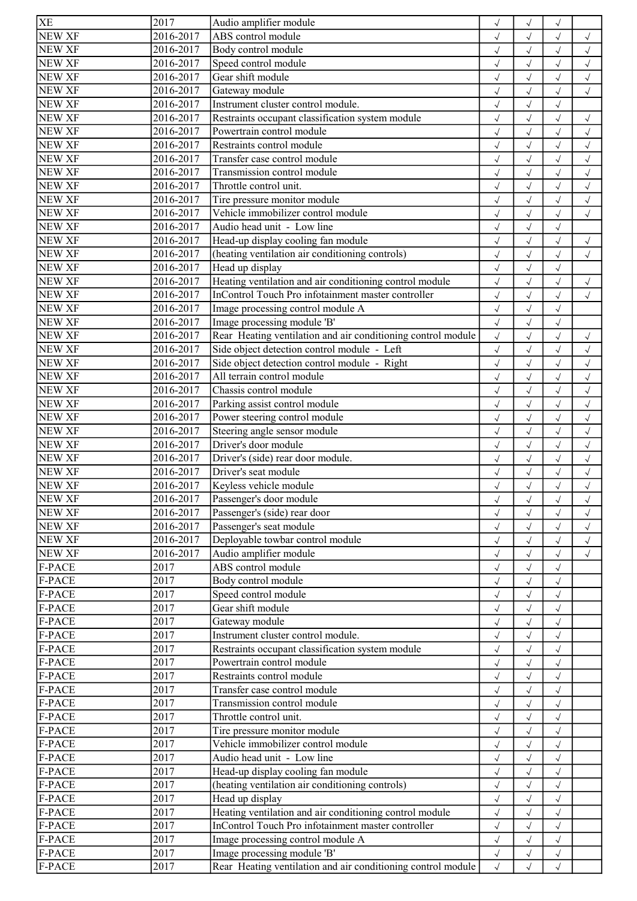| ABS control module<br><b>NEW XF</b><br>2016-2017<br>$\sqrt{}$<br>$\sqrt{}$<br>$\checkmark$<br>$\sqrt{}$<br><b>NEW XF</b><br>2016-2017<br>Body control module<br>$\sqrt{}$<br>$\sqrt{ }$<br>$\sqrt{}$<br>$\checkmark$<br><b>NEW XF</b><br>2016-2017<br>Speed control module<br>$\sqrt{}$<br>$\sqrt{ }$<br>$\checkmark$<br>$\sqrt{}$<br>Gear shift module<br><b>NEW XF</b><br>2016-2017<br>$\checkmark$<br>$\checkmark$<br>$\checkmark$<br>$\checkmark$<br>Gateway module<br>2016-2017<br>$\checkmark$<br>$\checkmark$<br>$\sqrt{}$<br>$\sqrt{ }$<br>NEW XF<br>2016-2017<br>Instrument cluster control module.<br>$\sqrt{}$<br>$\sqrt{}$<br>$\sqrt{ }$<br><b>NEW XF</b><br>2016-2017<br>Restraints occupant classification system module<br>$\sqrt{ }$<br>$\sqrt{2}$<br>$\sqrt{2}$<br>$\checkmark$<br><b>NEW XF</b><br>2016-2017<br>Powertrain control module<br>$\sqrt{2}$<br>$\sqrt{2}$<br>$\checkmark$<br>Restraints control module<br>NEW XF<br>2016-2017<br>$\checkmark$<br>$\checkmark$<br>$\sqrt{}$<br>$\sqrt{}$<br>NEW XF<br>Transfer case control module<br>2016-2017<br>$\checkmark$<br>$\sqrt{}$<br>$\sqrt{ }$<br>$\sqrt{}$<br><b>NEW XF</b><br>2016-2017<br>Transmission control module<br>$\sqrt{}$<br>$\sqrt{ }$<br>$\checkmark$<br>$\sqrt{}$<br><b>NEW XF</b><br>2016-2017<br>Throttle control unit.<br>$\sqrt{2}$<br>$\sqrt{2}$<br>$\checkmark$<br>$\sqrt{ }$<br>NEW XF<br>2016-2017<br>Tire pressure monitor module<br>$\sqrt{ }$<br>$\sqrt{ }$<br>$\sqrt{2}$<br>$\sqrt{ }$<br>NEW XF<br>2016-2017<br>Vehicle immobilizer control module<br>$\checkmark$<br>$\sqrt{}$<br>$\sqrt{}$<br>$\sqrt{ }$<br>Audio head unit - Low line<br>NEW XF<br>2016-2017<br>$\sqrt{ }$<br>$\sqrt{2}$<br>$\sqrt{}$<br><b>NEW XF</b><br>2016-2017<br>Head-up display cooling fan module<br>$\sqrt{ }$<br>$\sqrt{2}$<br>$\checkmark$<br>(heating ventilation air conditioning controls)<br><b>NEW XF</b><br>2016-2017<br>$\sqrt{2}$<br>$\checkmark$<br>$\checkmark$<br><b>NEW XF</b><br>2016-2017<br>Head up display<br>$\checkmark$<br>$\sqrt{}$<br>$\sqrt{}$<br><b>NEW XF</b><br>Heating ventilation and air conditioning control module<br>2016-2017<br>$\checkmark$<br>$\sqrt{}$<br>$\sqrt{}$<br>$\sqrt{ }$<br><b>NEW XF</b><br>InControl Touch Pro infotainment master controller<br>2016-2017<br>$\checkmark$<br>$\sqrt{ }$<br>$\checkmark$<br>$\sqrt{ }$<br><b>NEW XF</b><br>Image processing control module A<br>2016-2017<br>$\sqrt{ }$<br>$\sqrt{2}$<br>$\sqrt{ }$<br>NEW XF<br>2016-2017<br>Image processing module 'B'<br>$\sqrt{ }$<br>$\checkmark$<br>$\checkmark$<br><b>NEW XF</b><br>Rear Heating ventilation and air conditioning control module<br>2016-2017<br>$\sqrt{ }$<br>$\sqrt{2}$<br>$\sqrt{ }$<br>$\checkmark$<br>Side object detection control module - Left<br>NEW XF<br>2016-2017<br>$\sqrt{2}$<br>$\checkmark$<br>$\checkmark$<br>Side object detection control module - Right<br><b>NEW XF</b><br>2016-2017<br>$\checkmark$<br>$\checkmark$<br>$\sqrt{ }$<br>All terrain control module<br>NEW XF<br>2016-2017<br>$\checkmark$<br>$\sqrt{ }$<br>$\checkmark$<br>$\sqrt{ }$<br><b>NEW XF</b><br>2016-2017<br>Chassis control module<br>$\checkmark$<br>$\sqrt{}$<br>$\sqrt{ }$<br>$\checkmark$<br>NEW XF<br>2016-2017<br>Parking assist control module<br>$\checkmark$<br>$\checkmark$<br>$\sqrt{ }$<br>$\checkmark$<br>NEW XF<br>2016-2017<br>Power steering control module<br>$\checkmark$<br>$\checkmark$<br>$\sqrt{}$<br>$\sqrt{ }$<br>Steering angle sensor module<br><b>NEW XF</b><br>2016-2017<br>$\sqrt{}$<br>$\checkmark$<br>$\sqrt{}$<br>$\sqrt{ }$<br>NEW XF<br>Driver's door module<br>2016-2017<br>$\sqrt{}$<br>$\sqrt{}$<br>$\sqrt{ }$<br>$\checkmark$<br><b>NEW XF</b><br>2016-2017<br>Driver's (side) rear door module.<br>$\sqrt{}$<br>$\sqrt{2}$<br>$\sqrt{}$<br>$\checkmark$<br><b>NEW XF</b><br>2016-2017<br>Driver's seat module<br>$\sqrt{2}$<br>$\sqrt{ }$<br>$\sqrt{2}$<br><b>NEW XF</b><br>2016-2017<br>Keyless vehicle module<br>$\checkmark$<br>$\sqrt{}$<br>$\checkmark$<br>$\sqrt{}$<br>NEW XF<br>2016-2017<br>Passenger's door module<br>$\sqrt{ }$<br>$\sqrt{}$<br>$\sqrt{}$<br>$\sqrt{}$<br>NEW XF<br>2016-2017<br>Passenger's (side) rear door<br>$\sqrt{}$<br>$\checkmark$<br>$\sqrt{}$<br>NEW XF<br>2016-2017<br>Passenger's seat module<br>$\checkmark$<br>$\checkmark$<br>$\sqrt{ }$<br>$\sqrt{ }$<br>Deployable towbar control module<br>NEW XF<br>2016-2017<br>$\sqrt{}$<br>$\sqrt{}$<br>$\sqrt{ }$<br>$\sqrt{ }$<br>2016-2017<br>NEW XF<br>Audio amplifier module<br>$\sqrt{}$<br>$\sqrt{}$<br>$\sqrt{ }$<br>$\sqrt{\phantom{a}}$<br>2017<br>ABS control module<br>F-PACE<br>$\checkmark$<br>$\sqrt{ }$<br>$\checkmark$<br>2017<br>Body control module<br>F-PACE<br>$\sqrt{}$<br>F-PACE<br>2017<br>Speed control module<br>$\checkmark$<br>$\checkmark$<br>$\sqrt{}$<br>F-PACE<br>2017<br>Gear shift module<br>$\checkmark$<br>$\sqrt{}$<br>$\sqrt{ }$<br>F-PACE<br>2017<br>Gateway module<br>$\checkmark$<br>$\sqrt{}$<br>$\sqrt{ }$<br>2017<br>F-PACE<br>Instrument cluster control module.<br>$\sqrt{2}$<br>$\sqrt{2}$<br>$\sqrt{ }$<br>F-PACE<br>2017<br>Restraints occupant classification system module<br>$\checkmark$<br>$\sqrt{}$<br>$\sqrt{}$<br>2017<br>F-PACE<br>Powertrain control module<br>$\checkmark$<br>$\checkmark$<br>$\sqrt{2}$<br>2017<br>F-PACE<br>Restraints control module<br>$\sqrt{ }$<br>$\sqrt{2}$<br>$\sqrt{}$<br>2017<br>F-PACE<br>Transfer case control module<br>$\sqrt{2}$<br>$\checkmark$<br>F-PACE<br>2017<br>Transmission control module<br>$\sqrt{}$<br>$\checkmark$<br>$\sqrt{}$<br>2017<br>Throttle control unit.<br>F-PACE<br>$\checkmark$<br>$\checkmark$<br>$\sqrt{ }$<br>2017<br>F-PACE<br>Tire pressure monitor module<br>$\sqrt{}$<br>$\sqrt{}$<br>$\sqrt{ }$<br>2017<br>Vehicle immobilizer control module<br>F-PACE<br>$\checkmark$<br>$\checkmark$<br>$\sqrt{ }$<br>2017<br>Audio head unit - Low line<br>F-PACE<br>$\sqrt{}$<br>$\sqrt{}$<br>$\sqrt{ }$<br>2017<br>Head-up display cooling fan module<br>F-PACE<br>$\sqrt{}$<br>$\checkmark$<br>$\sqrt{ }$<br>2017<br>(heating ventilation air conditioning controls)<br>F-PACE<br>$\checkmark$<br>$\sqrt{}$<br>$\sqrt{ }$<br>2017<br>Head up display<br>F-PACE<br>$\sqrt{}$<br>$\sqrt{}$<br>$\sqrt{}$<br>2017<br>Heating ventilation and air conditioning control module<br>F-PACE<br>$\sqrt{}$<br>$\sqrt{}$<br>$\sqrt{}$<br>InControl Touch Pro infotainment master controller<br>F-PACE<br>2017<br>$\sqrt{}$<br>$\sqrt{}$<br>$\sqrt{ }$<br>2017<br>F-PACE<br>Image processing control module A<br>$\sqrt{ }$<br>$\sqrt{ }$<br>$\sqrt{}$<br>2017<br>F-PACE<br>Image processing module 'B'<br>$\sqrt{ }$<br>$\sqrt{}$<br>$\sqrt{}$<br>2017<br>F-PACE<br>Rear Heating ventilation and air conditioning control module<br>$\sqrt{}$<br>$\sqrt{2}$<br>$\sqrt{ }$ | <b>XE</b>     | 2017 | Audio amplifier module | $\checkmark$ | $\checkmark$ |  |
|---------------------------------------------------------------------------------------------------------------------------------------------------------------------------------------------------------------------------------------------------------------------------------------------------------------------------------------------------------------------------------------------------------------------------------------------------------------------------------------------------------------------------------------------------------------------------------------------------------------------------------------------------------------------------------------------------------------------------------------------------------------------------------------------------------------------------------------------------------------------------------------------------------------------------------------------------------------------------------------------------------------------------------------------------------------------------------------------------------------------------------------------------------------------------------------------------------------------------------------------------------------------------------------------------------------------------------------------------------------------------------------------------------------------------------------------------------------------------------------------------------------------------------------------------------------------------------------------------------------------------------------------------------------------------------------------------------------------------------------------------------------------------------------------------------------------------------------------------------------------------------------------------------------------------------------------------------------------------------------------------------------------------------------------------------------------------------------------------------------------------------------------------------------------------------------------------------------------------------------------------------------------------------------------------------------------------------------------------------------------------------------------------------------------------------------------------------------------------------------------------------------------------------------------------------------------------------------------------------------------------------------------------------------------------------------------------------------------------------------------------------------------------------------------------------------------------------------------------------------------------------------------------------------------------------------------------------------------------------------------------------------------------------------------------------------------------------------------------------------------------------------------------------------------------------------------------------------------------------------------------------------------------------------------------------------------------------------------------------------------------------------------------------------------------------------------------------------------------------------------------------------------------------------------------------------------------------------------------------------------------------------------------------------------------------------------------------------------------------------------------------------------------------------------------------------------------------------------------------------------------------------------------------------------------------------------------------------------------------------------------------------------------------------------------------------------------------------------------------------------------------------------------------------------------------------------------------------------------------------------------------------------------------------------------------------------------------------------------------------------------------------------------------------------------------------------------------------------------------------------------------------------------------------------------------------------------------------------------------------------------------------------------------------------------------------------------------------------------------------------------------------------------------------------------------------------------------------------------------------------------------------------------------------------------------------------------------------------------------------------------------------------------------------------------------------------------------------------------------------------------------------------------------------------------------------------------------------------------------------------------------------------------------------------------------------------------------------------------------------------------------------------------------------------------------------------------------------------------------------------------------------------------------------------------------------------------------------------------------------------------------------------------------------------------------------------------------------------------------------------------------------------------------------------------------------------------------------------------------------------------------------------------------------------------------------------------------------------------------------------------------------------------------------------------------------------------------------------------------------------------------------------------------------------------------------------------------------------------------------------------------------------------------------------------------------------------------------------------------------------------------------------------------------------------------------------------------------------------------------------------------------------------------------------------------------------------------------------------------------------------------------------------------------------------------------------------------------------------------------------------------------------------------------------------------------------------------|---------------|------|------------------------|--------------|--------------|--|
|                                                                                                                                                                                                                                                                                                                                                                                                                                                                                                                                                                                                                                                                                                                                                                                                                                                                                                                                                                                                                                                                                                                                                                                                                                                                                                                                                                                                                                                                                                                                                                                                                                                                                                                                                                                                                                                                                                                                                                                                                                                                                                                                                                                                                                                                                                                                                                                                                                                                                                                                                                                                                                                                                                                                                                                                                                                                                                                                                                                                                                                                                                                                                                                                                                                                                                                                                                                                                                                                                                                                                                                                                                                                                                                                                                                                                                                                                                                                                                                                                                                                                                                                                                                                                                                                                                                                                                                                                                                                                                                                                                                                                                                                                                                                                                                                                                                                                                                                                                                                                                                                                                                                                                                                                                                                                                                                                                                                                                                                                                                                                                                                                                                                                                                                                                                                                                                                                                                                                                                                                                                                                                                                                                                                                                                                                                                                                                                                                                                                                                                                                                                                                                                                                                                                                                                                                                 |               |      |                        |              |              |  |
|                                                                                                                                                                                                                                                                                                                                                                                                                                                                                                                                                                                                                                                                                                                                                                                                                                                                                                                                                                                                                                                                                                                                                                                                                                                                                                                                                                                                                                                                                                                                                                                                                                                                                                                                                                                                                                                                                                                                                                                                                                                                                                                                                                                                                                                                                                                                                                                                                                                                                                                                                                                                                                                                                                                                                                                                                                                                                                                                                                                                                                                                                                                                                                                                                                                                                                                                                                                                                                                                                                                                                                                                                                                                                                                                                                                                                                                                                                                                                                                                                                                                                                                                                                                                                                                                                                                                                                                                                                                                                                                                                                                                                                                                                                                                                                                                                                                                                                                                                                                                                                                                                                                                                                                                                                                                                                                                                                                                                                                                                                                                                                                                                                                                                                                                                                                                                                                                                                                                                                                                                                                                                                                                                                                                                                                                                                                                                                                                                                                                                                                                                                                                                                                                                                                                                                                                                                 |               |      |                        |              |              |  |
|                                                                                                                                                                                                                                                                                                                                                                                                                                                                                                                                                                                                                                                                                                                                                                                                                                                                                                                                                                                                                                                                                                                                                                                                                                                                                                                                                                                                                                                                                                                                                                                                                                                                                                                                                                                                                                                                                                                                                                                                                                                                                                                                                                                                                                                                                                                                                                                                                                                                                                                                                                                                                                                                                                                                                                                                                                                                                                                                                                                                                                                                                                                                                                                                                                                                                                                                                                                                                                                                                                                                                                                                                                                                                                                                                                                                                                                                                                                                                                                                                                                                                                                                                                                                                                                                                                                                                                                                                                                                                                                                                                                                                                                                                                                                                                                                                                                                                                                                                                                                                                                                                                                                                                                                                                                                                                                                                                                                                                                                                                                                                                                                                                                                                                                                                                                                                                                                                                                                                                                                                                                                                                                                                                                                                                                                                                                                                                                                                                                                                                                                                                                                                                                                                                                                                                                                                                 |               |      |                        |              |              |  |
|                                                                                                                                                                                                                                                                                                                                                                                                                                                                                                                                                                                                                                                                                                                                                                                                                                                                                                                                                                                                                                                                                                                                                                                                                                                                                                                                                                                                                                                                                                                                                                                                                                                                                                                                                                                                                                                                                                                                                                                                                                                                                                                                                                                                                                                                                                                                                                                                                                                                                                                                                                                                                                                                                                                                                                                                                                                                                                                                                                                                                                                                                                                                                                                                                                                                                                                                                                                                                                                                                                                                                                                                                                                                                                                                                                                                                                                                                                                                                                                                                                                                                                                                                                                                                                                                                                                                                                                                                                                                                                                                                                                                                                                                                                                                                                                                                                                                                                                                                                                                                                                                                                                                                                                                                                                                                                                                                                                                                                                                                                                                                                                                                                                                                                                                                                                                                                                                                                                                                                                                                                                                                                                                                                                                                                                                                                                                                                                                                                                                                                                                                                                                                                                                                                                                                                                                                                 |               |      |                        |              |              |  |
|                                                                                                                                                                                                                                                                                                                                                                                                                                                                                                                                                                                                                                                                                                                                                                                                                                                                                                                                                                                                                                                                                                                                                                                                                                                                                                                                                                                                                                                                                                                                                                                                                                                                                                                                                                                                                                                                                                                                                                                                                                                                                                                                                                                                                                                                                                                                                                                                                                                                                                                                                                                                                                                                                                                                                                                                                                                                                                                                                                                                                                                                                                                                                                                                                                                                                                                                                                                                                                                                                                                                                                                                                                                                                                                                                                                                                                                                                                                                                                                                                                                                                                                                                                                                                                                                                                                                                                                                                                                                                                                                                                                                                                                                                                                                                                                                                                                                                                                                                                                                                                                                                                                                                                                                                                                                                                                                                                                                                                                                                                                                                                                                                                                                                                                                                                                                                                                                                                                                                                                                                                                                                                                                                                                                                                                                                                                                                                                                                                                                                                                                                                                                                                                                                                                                                                                                                                 | <b>NEW XF</b> |      |                        |              |              |  |
|                                                                                                                                                                                                                                                                                                                                                                                                                                                                                                                                                                                                                                                                                                                                                                                                                                                                                                                                                                                                                                                                                                                                                                                                                                                                                                                                                                                                                                                                                                                                                                                                                                                                                                                                                                                                                                                                                                                                                                                                                                                                                                                                                                                                                                                                                                                                                                                                                                                                                                                                                                                                                                                                                                                                                                                                                                                                                                                                                                                                                                                                                                                                                                                                                                                                                                                                                                                                                                                                                                                                                                                                                                                                                                                                                                                                                                                                                                                                                                                                                                                                                                                                                                                                                                                                                                                                                                                                                                                                                                                                                                                                                                                                                                                                                                                                                                                                                                                                                                                                                                                                                                                                                                                                                                                                                                                                                                                                                                                                                                                                                                                                                                                                                                                                                                                                                                                                                                                                                                                                                                                                                                                                                                                                                                                                                                                                                                                                                                                                                                                                                                                                                                                                                                                                                                                                                                 |               |      |                        |              |              |  |
|                                                                                                                                                                                                                                                                                                                                                                                                                                                                                                                                                                                                                                                                                                                                                                                                                                                                                                                                                                                                                                                                                                                                                                                                                                                                                                                                                                                                                                                                                                                                                                                                                                                                                                                                                                                                                                                                                                                                                                                                                                                                                                                                                                                                                                                                                                                                                                                                                                                                                                                                                                                                                                                                                                                                                                                                                                                                                                                                                                                                                                                                                                                                                                                                                                                                                                                                                                                                                                                                                                                                                                                                                                                                                                                                                                                                                                                                                                                                                                                                                                                                                                                                                                                                                                                                                                                                                                                                                                                                                                                                                                                                                                                                                                                                                                                                                                                                                                                                                                                                                                                                                                                                                                                                                                                                                                                                                                                                                                                                                                                                                                                                                                                                                                                                                                                                                                                                                                                                                                                                                                                                                                                                                                                                                                                                                                                                                                                                                                                                                                                                                                                                                                                                                                                                                                                                                                 |               |      |                        |              |              |  |
|                                                                                                                                                                                                                                                                                                                                                                                                                                                                                                                                                                                                                                                                                                                                                                                                                                                                                                                                                                                                                                                                                                                                                                                                                                                                                                                                                                                                                                                                                                                                                                                                                                                                                                                                                                                                                                                                                                                                                                                                                                                                                                                                                                                                                                                                                                                                                                                                                                                                                                                                                                                                                                                                                                                                                                                                                                                                                                                                                                                                                                                                                                                                                                                                                                                                                                                                                                                                                                                                                                                                                                                                                                                                                                                                                                                                                                                                                                                                                                                                                                                                                                                                                                                                                                                                                                                                                                                                                                                                                                                                                                                                                                                                                                                                                                                                                                                                                                                                                                                                                                                                                                                                                                                                                                                                                                                                                                                                                                                                                                                                                                                                                                                                                                                                                                                                                                                                                                                                                                                                                                                                                                                                                                                                                                                                                                                                                                                                                                                                                                                                                                                                                                                                                                                                                                                                                                 |               |      |                        |              |              |  |
|                                                                                                                                                                                                                                                                                                                                                                                                                                                                                                                                                                                                                                                                                                                                                                                                                                                                                                                                                                                                                                                                                                                                                                                                                                                                                                                                                                                                                                                                                                                                                                                                                                                                                                                                                                                                                                                                                                                                                                                                                                                                                                                                                                                                                                                                                                                                                                                                                                                                                                                                                                                                                                                                                                                                                                                                                                                                                                                                                                                                                                                                                                                                                                                                                                                                                                                                                                                                                                                                                                                                                                                                                                                                                                                                                                                                                                                                                                                                                                                                                                                                                                                                                                                                                                                                                                                                                                                                                                                                                                                                                                                                                                                                                                                                                                                                                                                                                                                                                                                                                                                                                                                                                                                                                                                                                                                                                                                                                                                                                                                                                                                                                                                                                                                                                                                                                                                                                                                                                                                                                                                                                                                                                                                                                                                                                                                                                                                                                                                                                                                                                                                                                                                                                                                                                                                                                                 |               |      |                        |              |              |  |
|                                                                                                                                                                                                                                                                                                                                                                                                                                                                                                                                                                                                                                                                                                                                                                                                                                                                                                                                                                                                                                                                                                                                                                                                                                                                                                                                                                                                                                                                                                                                                                                                                                                                                                                                                                                                                                                                                                                                                                                                                                                                                                                                                                                                                                                                                                                                                                                                                                                                                                                                                                                                                                                                                                                                                                                                                                                                                                                                                                                                                                                                                                                                                                                                                                                                                                                                                                                                                                                                                                                                                                                                                                                                                                                                                                                                                                                                                                                                                                                                                                                                                                                                                                                                                                                                                                                                                                                                                                                                                                                                                                                                                                                                                                                                                                                                                                                                                                                                                                                                                                                                                                                                                                                                                                                                                                                                                                                                                                                                                                                                                                                                                                                                                                                                                                                                                                                                                                                                                                                                                                                                                                                                                                                                                                                                                                                                                                                                                                                                                                                                                                                                                                                                                                                                                                                                                                 |               |      |                        |              |              |  |
|                                                                                                                                                                                                                                                                                                                                                                                                                                                                                                                                                                                                                                                                                                                                                                                                                                                                                                                                                                                                                                                                                                                                                                                                                                                                                                                                                                                                                                                                                                                                                                                                                                                                                                                                                                                                                                                                                                                                                                                                                                                                                                                                                                                                                                                                                                                                                                                                                                                                                                                                                                                                                                                                                                                                                                                                                                                                                                                                                                                                                                                                                                                                                                                                                                                                                                                                                                                                                                                                                                                                                                                                                                                                                                                                                                                                                                                                                                                                                                                                                                                                                                                                                                                                                                                                                                                                                                                                                                                                                                                                                                                                                                                                                                                                                                                                                                                                                                                                                                                                                                                                                                                                                                                                                                                                                                                                                                                                                                                                                                                                                                                                                                                                                                                                                                                                                                                                                                                                                                                                                                                                                                                                                                                                                                                                                                                                                                                                                                                                                                                                                                                                                                                                                                                                                                                                                                 |               |      |                        |              |              |  |
|                                                                                                                                                                                                                                                                                                                                                                                                                                                                                                                                                                                                                                                                                                                                                                                                                                                                                                                                                                                                                                                                                                                                                                                                                                                                                                                                                                                                                                                                                                                                                                                                                                                                                                                                                                                                                                                                                                                                                                                                                                                                                                                                                                                                                                                                                                                                                                                                                                                                                                                                                                                                                                                                                                                                                                                                                                                                                                                                                                                                                                                                                                                                                                                                                                                                                                                                                                                                                                                                                                                                                                                                                                                                                                                                                                                                                                                                                                                                                                                                                                                                                                                                                                                                                                                                                                                                                                                                                                                                                                                                                                                                                                                                                                                                                                                                                                                                                                                                                                                                                                                                                                                                                                                                                                                                                                                                                                                                                                                                                                                                                                                                                                                                                                                                                                                                                                                                                                                                                                                                                                                                                                                                                                                                                                                                                                                                                                                                                                                                                                                                                                                                                                                                                                                                                                                                                                 |               |      |                        |              |              |  |
|                                                                                                                                                                                                                                                                                                                                                                                                                                                                                                                                                                                                                                                                                                                                                                                                                                                                                                                                                                                                                                                                                                                                                                                                                                                                                                                                                                                                                                                                                                                                                                                                                                                                                                                                                                                                                                                                                                                                                                                                                                                                                                                                                                                                                                                                                                                                                                                                                                                                                                                                                                                                                                                                                                                                                                                                                                                                                                                                                                                                                                                                                                                                                                                                                                                                                                                                                                                                                                                                                                                                                                                                                                                                                                                                                                                                                                                                                                                                                                                                                                                                                                                                                                                                                                                                                                                                                                                                                                                                                                                                                                                                                                                                                                                                                                                                                                                                                                                                                                                                                                                                                                                                                                                                                                                                                                                                                                                                                                                                                                                                                                                                                                                                                                                                                                                                                                                                                                                                                                                                                                                                                                                                                                                                                                                                                                                                                                                                                                                                                                                                                                                                                                                                                                                                                                                                                                 |               |      |                        |              |              |  |
|                                                                                                                                                                                                                                                                                                                                                                                                                                                                                                                                                                                                                                                                                                                                                                                                                                                                                                                                                                                                                                                                                                                                                                                                                                                                                                                                                                                                                                                                                                                                                                                                                                                                                                                                                                                                                                                                                                                                                                                                                                                                                                                                                                                                                                                                                                                                                                                                                                                                                                                                                                                                                                                                                                                                                                                                                                                                                                                                                                                                                                                                                                                                                                                                                                                                                                                                                                                                                                                                                                                                                                                                                                                                                                                                                                                                                                                                                                                                                                                                                                                                                                                                                                                                                                                                                                                                                                                                                                                                                                                                                                                                                                                                                                                                                                                                                                                                                                                                                                                                                                                                                                                                                                                                                                                                                                                                                                                                                                                                                                                                                                                                                                                                                                                                                                                                                                                                                                                                                                                                                                                                                                                                                                                                                                                                                                                                                                                                                                                                                                                                                                                                                                                                                                                                                                                                                                 |               |      |                        |              |              |  |
|                                                                                                                                                                                                                                                                                                                                                                                                                                                                                                                                                                                                                                                                                                                                                                                                                                                                                                                                                                                                                                                                                                                                                                                                                                                                                                                                                                                                                                                                                                                                                                                                                                                                                                                                                                                                                                                                                                                                                                                                                                                                                                                                                                                                                                                                                                                                                                                                                                                                                                                                                                                                                                                                                                                                                                                                                                                                                                                                                                                                                                                                                                                                                                                                                                                                                                                                                                                                                                                                                                                                                                                                                                                                                                                                                                                                                                                                                                                                                                                                                                                                                                                                                                                                                                                                                                                                                                                                                                                                                                                                                                                                                                                                                                                                                                                                                                                                                                                                                                                                                                                                                                                                                                                                                                                                                                                                                                                                                                                                                                                                                                                                                                                                                                                                                                                                                                                                                                                                                                                                                                                                                                                                                                                                                                                                                                                                                                                                                                                                                                                                                                                                                                                                                                                                                                                                                                 |               |      |                        |              |              |  |
|                                                                                                                                                                                                                                                                                                                                                                                                                                                                                                                                                                                                                                                                                                                                                                                                                                                                                                                                                                                                                                                                                                                                                                                                                                                                                                                                                                                                                                                                                                                                                                                                                                                                                                                                                                                                                                                                                                                                                                                                                                                                                                                                                                                                                                                                                                                                                                                                                                                                                                                                                                                                                                                                                                                                                                                                                                                                                                                                                                                                                                                                                                                                                                                                                                                                                                                                                                                                                                                                                                                                                                                                                                                                                                                                                                                                                                                                                                                                                                                                                                                                                                                                                                                                                                                                                                                                                                                                                                                                                                                                                                                                                                                                                                                                                                                                                                                                                                                                                                                                                                                                                                                                                                                                                                                                                                                                                                                                                                                                                                                                                                                                                                                                                                                                                                                                                                                                                                                                                                                                                                                                                                                                                                                                                                                                                                                                                                                                                                                                                                                                                                                                                                                                                                                                                                                                                                 |               |      |                        |              |              |  |
|                                                                                                                                                                                                                                                                                                                                                                                                                                                                                                                                                                                                                                                                                                                                                                                                                                                                                                                                                                                                                                                                                                                                                                                                                                                                                                                                                                                                                                                                                                                                                                                                                                                                                                                                                                                                                                                                                                                                                                                                                                                                                                                                                                                                                                                                                                                                                                                                                                                                                                                                                                                                                                                                                                                                                                                                                                                                                                                                                                                                                                                                                                                                                                                                                                                                                                                                                                                                                                                                                                                                                                                                                                                                                                                                                                                                                                                                                                                                                                                                                                                                                                                                                                                                                                                                                                                                                                                                                                                                                                                                                                                                                                                                                                                                                                                                                                                                                                                                                                                                                                                                                                                                                                                                                                                                                                                                                                                                                                                                                                                                                                                                                                                                                                                                                                                                                                                                                                                                                                                                                                                                                                                                                                                                                                                                                                                                                                                                                                                                                                                                                                                                                                                                                                                                                                                                                                 |               |      |                        |              |              |  |
|                                                                                                                                                                                                                                                                                                                                                                                                                                                                                                                                                                                                                                                                                                                                                                                                                                                                                                                                                                                                                                                                                                                                                                                                                                                                                                                                                                                                                                                                                                                                                                                                                                                                                                                                                                                                                                                                                                                                                                                                                                                                                                                                                                                                                                                                                                                                                                                                                                                                                                                                                                                                                                                                                                                                                                                                                                                                                                                                                                                                                                                                                                                                                                                                                                                                                                                                                                                                                                                                                                                                                                                                                                                                                                                                                                                                                                                                                                                                                                                                                                                                                                                                                                                                                                                                                                                                                                                                                                                                                                                                                                                                                                                                                                                                                                                                                                                                                                                                                                                                                                                                                                                                                                                                                                                                                                                                                                                                                                                                                                                                                                                                                                                                                                                                                                                                                                                                                                                                                                                                                                                                                                                                                                                                                                                                                                                                                                                                                                                                                                                                                                                                                                                                                                                                                                                                                                 |               |      |                        |              |              |  |
|                                                                                                                                                                                                                                                                                                                                                                                                                                                                                                                                                                                                                                                                                                                                                                                                                                                                                                                                                                                                                                                                                                                                                                                                                                                                                                                                                                                                                                                                                                                                                                                                                                                                                                                                                                                                                                                                                                                                                                                                                                                                                                                                                                                                                                                                                                                                                                                                                                                                                                                                                                                                                                                                                                                                                                                                                                                                                                                                                                                                                                                                                                                                                                                                                                                                                                                                                                                                                                                                                                                                                                                                                                                                                                                                                                                                                                                                                                                                                                                                                                                                                                                                                                                                                                                                                                                                                                                                                                                                                                                                                                                                                                                                                                                                                                                                                                                                                                                                                                                                                                                                                                                                                                                                                                                                                                                                                                                                                                                                                                                                                                                                                                                                                                                                                                                                                                                                                                                                                                                                                                                                                                                                                                                                                                                                                                                                                                                                                                                                                                                                                                                                                                                                                                                                                                                                                                 |               |      |                        |              |              |  |
|                                                                                                                                                                                                                                                                                                                                                                                                                                                                                                                                                                                                                                                                                                                                                                                                                                                                                                                                                                                                                                                                                                                                                                                                                                                                                                                                                                                                                                                                                                                                                                                                                                                                                                                                                                                                                                                                                                                                                                                                                                                                                                                                                                                                                                                                                                                                                                                                                                                                                                                                                                                                                                                                                                                                                                                                                                                                                                                                                                                                                                                                                                                                                                                                                                                                                                                                                                                                                                                                                                                                                                                                                                                                                                                                                                                                                                                                                                                                                                                                                                                                                                                                                                                                                                                                                                                                                                                                                                                                                                                                                                                                                                                                                                                                                                                                                                                                                                                                                                                                                                                                                                                                                                                                                                                                                                                                                                                                                                                                                                                                                                                                                                                                                                                                                                                                                                                                                                                                                                                                                                                                                                                                                                                                                                                                                                                                                                                                                                                                                                                                                                                                                                                                                                                                                                                                                                 |               |      |                        |              |              |  |
|                                                                                                                                                                                                                                                                                                                                                                                                                                                                                                                                                                                                                                                                                                                                                                                                                                                                                                                                                                                                                                                                                                                                                                                                                                                                                                                                                                                                                                                                                                                                                                                                                                                                                                                                                                                                                                                                                                                                                                                                                                                                                                                                                                                                                                                                                                                                                                                                                                                                                                                                                                                                                                                                                                                                                                                                                                                                                                                                                                                                                                                                                                                                                                                                                                                                                                                                                                                                                                                                                                                                                                                                                                                                                                                                                                                                                                                                                                                                                                                                                                                                                                                                                                                                                                                                                                                                                                                                                                                                                                                                                                                                                                                                                                                                                                                                                                                                                                                                                                                                                                                                                                                                                                                                                                                                                                                                                                                                                                                                                                                                                                                                                                                                                                                                                                                                                                                                                                                                                                                                                                                                                                                                                                                                                                                                                                                                                                                                                                                                                                                                                                                                                                                                                                                                                                                                                                 |               |      |                        |              |              |  |
|                                                                                                                                                                                                                                                                                                                                                                                                                                                                                                                                                                                                                                                                                                                                                                                                                                                                                                                                                                                                                                                                                                                                                                                                                                                                                                                                                                                                                                                                                                                                                                                                                                                                                                                                                                                                                                                                                                                                                                                                                                                                                                                                                                                                                                                                                                                                                                                                                                                                                                                                                                                                                                                                                                                                                                                                                                                                                                                                                                                                                                                                                                                                                                                                                                                                                                                                                                                                                                                                                                                                                                                                                                                                                                                                                                                                                                                                                                                                                                                                                                                                                                                                                                                                                                                                                                                                                                                                                                                                                                                                                                                                                                                                                                                                                                                                                                                                                                                                                                                                                                                                                                                                                                                                                                                                                                                                                                                                                                                                                                                                                                                                                                                                                                                                                                                                                                                                                                                                                                                                                                                                                                                                                                                                                                                                                                                                                                                                                                                                                                                                                                                                                                                                                                                                                                                                                                 |               |      |                        |              |              |  |
|                                                                                                                                                                                                                                                                                                                                                                                                                                                                                                                                                                                                                                                                                                                                                                                                                                                                                                                                                                                                                                                                                                                                                                                                                                                                                                                                                                                                                                                                                                                                                                                                                                                                                                                                                                                                                                                                                                                                                                                                                                                                                                                                                                                                                                                                                                                                                                                                                                                                                                                                                                                                                                                                                                                                                                                                                                                                                                                                                                                                                                                                                                                                                                                                                                                                                                                                                                                                                                                                                                                                                                                                                                                                                                                                                                                                                                                                                                                                                                                                                                                                                                                                                                                                                                                                                                                                                                                                                                                                                                                                                                                                                                                                                                                                                                                                                                                                                                                                                                                                                                                                                                                                                                                                                                                                                                                                                                                                                                                                                                                                                                                                                                                                                                                                                                                                                                                                                                                                                                                                                                                                                                                                                                                                                                                                                                                                                                                                                                                                                                                                                                                                                                                                                                                                                                                                                                 |               |      |                        |              |              |  |
|                                                                                                                                                                                                                                                                                                                                                                                                                                                                                                                                                                                                                                                                                                                                                                                                                                                                                                                                                                                                                                                                                                                                                                                                                                                                                                                                                                                                                                                                                                                                                                                                                                                                                                                                                                                                                                                                                                                                                                                                                                                                                                                                                                                                                                                                                                                                                                                                                                                                                                                                                                                                                                                                                                                                                                                                                                                                                                                                                                                                                                                                                                                                                                                                                                                                                                                                                                                                                                                                                                                                                                                                                                                                                                                                                                                                                                                                                                                                                                                                                                                                                                                                                                                                                                                                                                                                                                                                                                                                                                                                                                                                                                                                                                                                                                                                                                                                                                                                                                                                                                                                                                                                                                                                                                                                                                                                                                                                                                                                                                                                                                                                                                                                                                                                                                                                                                                                                                                                                                                                                                                                                                                                                                                                                                                                                                                                                                                                                                                                                                                                                                                                                                                                                                                                                                                                                                 |               |      |                        |              |              |  |
|                                                                                                                                                                                                                                                                                                                                                                                                                                                                                                                                                                                                                                                                                                                                                                                                                                                                                                                                                                                                                                                                                                                                                                                                                                                                                                                                                                                                                                                                                                                                                                                                                                                                                                                                                                                                                                                                                                                                                                                                                                                                                                                                                                                                                                                                                                                                                                                                                                                                                                                                                                                                                                                                                                                                                                                                                                                                                                                                                                                                                                                                                                                                                                                                                                                                                                                                                                                                                                                                                                                                                                                                                                                                                                                                                                                                                                                                                                                                                                                                                                                                                                                                                                                                                                                                                                                                                                                                                                                                                                                                                                                                                                                                                                                                                                                                                                                                                                                                                                                                                                                                                                                                                                                                                                                                                                                                                                                                                                                                                                                                                                                                                                                                                                                                                                                                                                                                                                                                                                                                                                                                                                                                                                                                                                                                                                                                                                                                                                                                                                                                                                                                                                                                                                                                                                                                                                 |               |      |                        |              |              |  |
|                                                                                                                                                                                                                                                                                                                                                                                                                                                                                                                                                                                                                                                                                                                                                                                                                                                                                                                                                                                                                                                                                                                                                                                                                                                                                                                                                                                                                                                                                                                                                                                                                                                                                                                                                                                                                                                                                                                                                                                                                                                                                                                                                                                                                                                                                                                                                                                                                                                                                                                                                                                                                                                                                                                                                                                                                                                                                                                                                                                                                                                                                                                                                                                                                                                                                                                                                                                                                                                                                                                                                                                                                                                                                                                                                                                                                                                                                                                                                                                                                                                                                                                                                                                                                                                                                                                                                                                                                                                                                                                                                                                                                                                                                                                                                                                                                                                                                                                                                                                                                                                                                                                                                                                                                                                                                                                                                                                                                                                                                                                                                                                                                                                                                                                                                                                                                                                                                                                                                                                                                                                                                                                                                                                                                                                                                                                                                                                                                                                                                                                                                                                                                                                                                                                                                                                                                                 |               |      |                        |              |              |  |
|                                                                                                                                                                                                                                                                                                                                                                                                                                                                                                                                                                                                                                                                                                                                                                                                                                                                                                                                                                                                                                                                                                                                                                                                                                                                                                                                                                                                                                                                                                                                                                                                                                                                                                                                                                                                                                                                                                                                                                                                                                                                                                                                                                                                                                                                                                                                                                                                                                                                                                                                                                                                                                                                                                                                                                                                                                                                                                                                                                                                                                                                                                                                                                                                                                                                                                                                                                                                                                                                                                                                                                                                                                                                                                                                                                                                                                                                                                                                                                                                                                                                                                                                                                                                                                                                                                                                                                                                                                                                                                                                                                                                                                                                                                                                                                                                                                                                                                                                                                                                                                                                                                                                                                                                                                                                                                                                                                                                                                                                                                                                                                                                                                                                                                                                                                                                                                                                                                                                                                                                                                                                                                                                                                                                                                                                                                                                                                                                                                                                                                                                                                                                                                                                                                                                                                                                                                 |               |      |                        |              |              |  |
|                                                                                                                                                                                                                                                                                                                                                                                                                                                                                                                                                                                                                                                                                                                                                                                                                                                                                                                                                                                                                                                                                                                                                                                                                                                                                                                                                                                                                                                                                                                                                                                                                                                                                                                                                                                                                                                                                                                                                                                                                                                                                                                                                                                                                                                                                                                                                                                                                                                                                                                                                                                                                                                                                                                                                                                                                                                                                                                                                                                                                                                                                                                                                                                                                                                                                                                                                                                                                                                                                                                                                                                                                                                                                                                                                                                                                                                                                                                                                                                                                                                                                                                                                                                                                                                                                                                                                                                                                                                                                                                                                                                                                                                                                                                                                                                                                                                                                                                                                                                                                                                                                                                                                                                                                                                                                                                                                                                                                                                                                                                                                                                                                                                                                                                                                                                                                                                                                                                                                                                                                                                                                                                                                                                                                                                                                                                                                                                                                                                                                                                                                                                                                                                                                                                                                                                                                                 |               |      |                        |              |              |  |
|                                                                                                                                                                                                                                                                                                                                                                                                                                                                                                                                                                                                                                                                                                                                                                                                                                                                                                                                                                                                                                                                                                                                                                                                                                                                                                                                                                                                                                                                                                                                                                                                                                                                                                                                                                                                                                                                                                                                                                                                                                                                                                                                                                                                                                                                                                                                                                                                                                                                                                                                                                                                                                                                                                                                                                                                                                                                                                                                                                                                                                                                                                                                                                                                                                                                                                                                                                                                                                                                                                                                                                                                                                                                                                                                                                                                                                                                                                                                                                                                                                                                                                                                                                                                                                                                                                                                                                                                                                                                                                                                                                                                                                                                                                                                                                                                                                                                                                                                                                                                                                                                                                                                                                                                                                                                                                                                                                                                                                                                                                                                                                                                                                                                                                                                                                                                                                                                                                                                                                                                                                                                                                                                                                                                                                                                                                                                                                                                                                                                                                                                                                                                                                                                                                                                                                                                                                 |               |      |                        |              |              |  |
|                                                                                                                                                                                                                                                                                                                                                                                                                                                                                                                                                                                                                                                                                                                                                                                                                                                                                                                                                                                                                                                                                                                                                                                                                                                                                                                                                                                                                                                                                                                                                                                                                                                                                                                                                                                                                                                                                                                                                                                                                                                                                                                                                                                                                                                                                                                                                                                                                                                                                                                                                                                                                                                                                                                                                                                                                                                                                                                                                                                                                                                                                                                                                                                                                                                                                                                                                                                                                                                                                                                                                                                                                                                                                                                                                                                                                                                                                                                                                                                                                                                                                                                                                                                                                                                                                                                                                                                                                                                                                                                                                                                                                                                                                                                                                                                                                                                                                                                                                                                                                                                                                                                                                                                                                                                                                                                                                                                                                                                                                                                                                                                                                                                                                                                                                                                                                                                                                                                                                                                                                                                                                                                                                                                                                                                                                                                                                                                                                                                                                                                                                                                                                                                                                                                                                                                                                                 |               |      |                        |              |              |  |
|                                                                                                                                                                                                                                                                                                                                                                                                                                                                                                                                                                                                                                                                                                                                                                                                                                                                                                                                                                                                                                                                                                                                                                                                                                                                                                                                                                                                                                                                                                                                                                                                                                                                                                                                                                                                                                                                                                                                                                                                                                                                                                                                                                                                                                                                                                                                                                                                                                                                                                                                                                                                                                                                                                                                                                                                                                                                                                                                                                                                                                                                                                                                                                                                                                                                                                                                                                                                                                                                                                                                                                                                                                                                                                                                                                                                                                                                                                                                                                                                                                                                                                                                                                                                                                                                                                                                                                                                                                                                                                                                                                                                                                                                                                                                                                                                                                                                                                                                                                                                                                                                                                                                                                                                                                                                                                                                                                                                                                                                                                                                                                                                                                                                                                                                                                                                                                                                                                                                                                                                                                                                                                                                                                                                                                                                                                                                                                                                                                                                                                                                                                                                                                                                                                                                                                                                                                 |               |      |                        |              |              |  |
|                                                                                                                                                                                                                                                                                                                                                                                                                                                                                                                                                                                                                                                                                                                                                                                                                                                                                                                                                                                                                                                                                                                                                                                                                                                                                                                                                                                                                                                                                                                                                                                                                                                                                                                                                                                                                                                                                                                                                                                                                                                                                                                                                                                                                                                                                                                                                                                                                                                                                                                                                                                                                                                                                                                                                                                                                                                                                                                                                                                                                                                                                                                                                                                                                                                                                                                                                                                                                                                                                                                                                                                                                                                                                                                                                                                                                                                                                                                                                                                                                                                                                                                                                                                                                                                                                                                                                                                                                                                                                                                                                                                                                                                                                                                                                                                                                                                                                                                                                                                                                                                                                                                                                                                                                                                                                                                                                                                                                                                                                                                                                                                                                                                                                                                                                                                                                                                                                                                                                                                                                                                                                                                                                                                                                                                                                                                                                                                                                                                                                                                                                                                                                                                                                                                                                                                                                                 |               |      |                        |              |              |  |
|                                                                                                                                                                                                                                                                                                                                                                                                                                                                                                                                                                                                                                                                                                                                                                                                                                                                                                                                                                                                                                                                                                                                                                                                                                                                                                                                                                                                                                                                                                                                                                                                                                                                                                                                                                                                                                                                                                                                                                                                                                                                                                                                                                                                                                                                                                                                                                                                                                                                                                                                                                                                                                                                                                                                                                                                                                                                                                                                                                                                                                                                                                                                                                                                                                                                                                                                                                                                                                                                                                                                                                                                                                                                                                                                                                                                                                                                                                                                                                                                                                                                                                                                                                                                                                                                                                                                                                                                                                                                                                                                                                                                                                                                                                                                                                                                                                                                                                                                                                                                                                                                                                                                                                                                                                                                                                                                                                                                                                                                                                                                                                                                                                                                                                                                                                                                                                                                                                                                                                                                                                                                                                                                                                                                                                                                                                                                                                                                                                                                                                                                                                                                                                                                                                                                                                                                                                 |               |      |                        |              |              |  |
|                                                                                                                                                                                                                                                                                                                                                                                                                                                                                                                                                                                                                                                                                                                                                                                                                                                                                                                                                                                                                                                                                                                                                                                                                                                                                                                                                                                                                                                                                                                                                                                                                                                                                                                                                                                                                                                                                                                                                                                                                                                                                                                                                                                                                                                                                                                                                                                                                                                                                                                                                                                                                                                                                                                                                                                                                                                                                                                                                                                                                                                                                                                                                                                                                                                                                                                                                                                                                                                                                                                                                                                                                                                                                                                                                                                                                                                                                                                                                                                                                                                                                                                                                                                                                                                                                                                                                                                                                                                                                                                                                                                                                                                                                                                                                                                                                                                                                                                                                                                                                                                                                                                                                                                                                                                                                                                                                                                                                                                                                                                                                                                                                                                                                                                                                                                                                                                                                                                                                                                                                                                                                                                                                                                                                                                                                                                                                                                                                                                                                                                                                                                                                                                                                                                                                                                                                                 |               |      |                        |              |              |  |
|                                                                                                                                                                                                                                                                                                                                                                                                                                                                                                                                                                                                                                                                                                                                                                                                                                                                                                                                                                                                                                                                                                                                                                                                                                                                                                                                                                                                                                                                                                                                                                                                                                                                                                                                                                                                                                                                                                                                                                                                                                                                                                                                                                                                                                                                                                                                                                                                                                                                                                                                                                                                                                                                                                                                                                                                                                                                                                                                                                                                                                                                                                                                                                                                                                                                                                                                                                                                                                                                                                                                                                                                                                                                                                                                                                                                                                                                                                                                                                                                                                                                                                                                                                                                                                                                                                                                                                                                                                                                                                                                                                                                                                                                                                                                                                                                                                                                                                                                                                                                                                                                                                                                                                                                                                                                                                                                                                                                                                                                                                                                                                                                                                                                                                                                                                                                                                                                                                                                                                                                                                                                                                                                                                                                                                                                                                                                                                                                                                                                                                                                                                                                                                                                                                                                                                                                                                 |               |      |                        |              |              |  |
|                                                                                                                                                                                                                                                                                                                                                                                                                                                                                                                                                                                                                                                                                                                                                                                                                                                                                                                                                                                                                                                                                                                                                                                                                                                                                                                                                                                                                                                                                                                                                                                                                                                                                                                                                                                                                                                                                                                                                                                                                                                                                                                                                                                                                                                                                                                                                                                                                                                                                                                                                                                                                                                                                                                                                                                                                                                                                                                                                                                                                                                                                                                                                                                                                                                                                                                                                                                                                                                                                                                                                                                                                                                                                                                                                                                                                                                                                                                                                                                                                                                                                                                                                                                                                                                                                                                                                                                                                                                                                                                                                                                                                                                                                                                                                                                                                                                                                                                                                                                                                                                                                                                                                                                                                                                                                                                                                                                                                                                                                                                                                                                                                                                                                                                                                                                                                                                                                                                                                                                                                                                                                                                                                                                                                                                                                                                                                                                                                                                                                                                                                                                                                                                                                                                                                                                                                                 |               |      |                        |              |              |  |
|                                                                                                                                                                                                                                                                                                                                                                                                                                                                                                                                                                                                                                                                                                                                                                                                                                                                                                                                                                                                                                                                                                                                                                                                                                                                                                                                                                                                                                                                                                                                                                                                                                                                                                                                                                                                                                                                                                                                                                                                                                                                                                                                                                                                                                                                                                                                                                                                                                                                                                                                                                                                                                                                                                                                                                                                                                                                                                                                                                                                                                                                                                                                                                                                                                                                                                                                                                                                                                                                                                                                                                                                                                                                                                                                                                                                                                                                                                                                                                                                                                                                                                                                                                                                                                                                                                                                                                                                                                                                                                                                                                                                                                                                                                                                                                                                                                                                                                                                                                                                                                                                                                                                                                                                                                                                                                                                                                                                                                                                                                                                                                                                                                                                                                                                                                                                                                                                                                                                                                                                                                                                                                                                                                                                                                                                                                                                                                                                                                                                                                                                                                                                                                                                                                                                                                                                                                 |               |      |                        |              |              |  |
|                                                                                                                                                                                                                                                                                                                                                                                                                                                                                                                                                                                                                                                                                                                                                                                                                                                                                                                                                                                                                                                                                                                                                                                                                                                                                                                                                                                                                                                                                                                                                                                                                                                                                                                                                                                                                                                                                                                                                                                                                                                                                                                                                                                                                                                                                                                                                                                                                                                                                                                                                                                                                                                                                                                                                                                                                                                                                                                                                                                                                                                                                                                                                                                                                                                                                                                                                                                                                                                                                                                                                                                                                                                                                                                                                                                                                                                                                                                                                                                                                                                                                                                                                                                                                                                                                                                                                                                                                                                                                                                                                                                                                                                                                                                                                                                                                                                                                                                                                                                                                                                                                                                                                                                                                                                                                                                                                                                                                                                                                                                                                                                                                                                                                                                                                                                                                                                                                                                                                                                                                                                                                                                                                                                                                                                                                                                                                                                                                                                                                                                                                                                                                                                                                                                                                                                                                                 |               |      |                        |              |              |  |
|                                                                                                                                                                                                                                                                                                                                                                                                                                                                                                                                                                                                                                                                                                                                                                                                                                                                                                                                                                                                                                                                                                                                                                                                                                                                                                                                                                                                                                                                                                                                                                                                                                                                                                                                                                                                                                                                                                                                                                                                                                                                                                                                                                                                                                                                                                                                                                                                                                                                                                                                                                                                                                                                                                                                                                                                                                                                                                                                                                                                                                                                                                                                                                                                                                                                                                                                                                                                                                                                                                                                                                                                                                                                                                                                                                                                                                                                                                                                                                                                                                                                                                                                                                                                                                                                                                                                                                                                                                                                                                                                                                                                                                                                                                                                                                                                                                                                                                                                                                                                                                                                                                                                                                                                                                                                                                                                                                                                                                                                                                                                                                                                                                                                                                                                                                                                                                                                                                                                                                                                                                                                                                                                                                                                                                                                                                                                                                                                                                                                                                                                                                                                                                                                                                                                                                                                                                 |               |      |                        |              |              |  |
|                                                                                                                                                                                                                                                                                                                                                                                                                                                                                                                                                                                                                                                                                                                                                                                                                                                                                                                                                                                                                                                                                                                                                                                                                                                                                                                                                                                                                                                                                                                                                                                                                                                                                                                                                                                                                                                                                                                                                                                                                                                                                                                                                                                                                                                                                                                                                                                                                                                                                                                                                                                                                                                                                                                                                                                                                                                                                                                                                                                                                                                                                                                                                                                                                                                                                                                                                                                                                                                                                                                                                                                                                                                                                                                                                                                                                                                                                                                                                                                                                                                                                                                                                                                                                                                                                                                                                                                                                                                                                                                                                                                                                                                                                                                                                                                                                                                                                                                                                                                                                                                                                                                                                                                                                                                                                                                                                                                                                                                                                                                                                                                                                                                                                                                                                                                                                                                                                                                                                                                                                                                                                                                                                                                                                                                                                                                                                                                                                                                                                                                                                                                                                                                                                                                                                                                                                                 |               |      |                        |              |              |  |
|                                                                                                                                                                                                                                                                                                                                                                                                                                                                                                                                                                                                                                                                                                                                                                                                                                                                                                                                                                                                                                                                                                                                                                                                                                                                                                                                                                                                                                                                                                                                                                                                                                                                                                                                                                                                                                                                                                                                                                                                                                                                                                                                                                                                                                                                                                                                                                                                                                                                                                                                                                                                                                                                                                                                                                                                                                                                                                                                                                                                                                                                                                                                                                                                                                                                                                                                                                                                                                                                                                                                                                                                                                                                                                                                                                                                                                                                                                                                                                                                                                                                                                                                                                                                                                                                                                                                                                                                                                                                                                                                                                                                                                                                                                                                                                                                                                                                                                                                                                                                                                                                                                                                                                                                                                                                                                                                                                                                                                                                                                                                                                                                                                                                                                                                                                                                                                                                                                                                                                                                                                                                                                                                                                                                                                                                                                                                                                                                                                                                                                                                                                                                                                                                                                                                                                                                                                 |               |      |                        |              |              |  |
|                                                                                                                                                                                                                                                                                                                                                                                                                                                                                                                                                                                                                                                                                                                                                                                                                                                                                                                                                                                                                                                                                                                                                                                                                                                                                                                                                                                                                                                                                                                                                                                                                                                                                                                                                                                                                                                                                                                                                                                                                                                                                                                                                                                                                                                                                                                                                                                                                                                                                                                                                                                                                                                                                                                                                                                                                                                                                                                                                                                                                                                                                                                                                                                                                                                                                                                                                                                                                                                                                                                                                                                                                                                                                                                                                                                                                                                                                                                                                                                                                                                                                                                                                                                                                                                                                                                                                                                                                                                                                                                                                                                                                                                                                                                                                                                                                                                                                                                                                                                                                                                                                                                                                                                                                                                                                                                                                                                                                                                                                                                                                                                                                                                                                                                                                                                                                                                                                                                                                                                                                                                                                                                                                                                                                                                                                                                                                                                                                                                                                                                                                                                                                                                                                                                                                                                                                                 |               |      |                        |              |              |  |
|                                                                                                                                                                                                                                                                                                                                                                                                                                                                                                                                                                                                                                                                                                                                                                                                                                                                                                                                                                                                                                                                                                                                                                                                                                                                                                                                                                                                                                                                                                                                                                                                                                                                                                                                                                                                                                                                                                                                                                                                                                                                                                                                                                                                                                                                                                                                                                                                                                                                                                                                                                                                                                                                                                                                                                                                                                                                                                                                                                                                                                                                                                                                                                                                                                                                                                                                                                                                                                                                                                                                                                                                                                                                                                                                                                                                                                                                                                                                                                                                                                                                                                                                                                                                                                                                                                                                                                                                                                                                                                                                                                                                                                                                                                                                                                                                                                                                                                                                                                                                                                                                                                                                                                                                                                                                                                                                                                                                                                                                                                                                                                                                                                                                                                                                                                                                                                                                                                                                                                                                                                                                                                                                                                                                                                                                                                                                                                                                                                                                                                                                                                                                                                                                                                                                                                                                                                 |               |      |                        |              |              |  |
|                                                                                                                                                                                                                                                                                                                                                                                                                                                                                                                                                                                                                                                                                                                                                                                                                                                                                                                                                                                                                                                                                                                                                                                                                                                                                                                                                                                                                                                                                                                                                                                                                                                                                                                                                                                                                                                                                                                                                                                                                                                                                                                                                                                                                                                                                                                                                                                                                                                                                                                                                                                                                                                                                                                                                                                                                                                                                                                                                                                                                                                                                                                                                                                                                                                                                                                                                                                                                                                                                                                                                                                                                                                                                                                                                                                                                                                                                                                                                                                                                                                                                                                                                                                                                                                                                                                                                                                                                                                                                                                                                                                                                                                                                                                                                                                                                                                                                                                                                                                                                                                                                                                                                                                                                                                                                                                                                                                                                                                                                                                                                                                                                                                                                                                                                                                                                                                                                                                                                                                                                                                                                                                                                                                                                                                                                                                                                                                                                                                                                                                                                                                                                                                                                                                                                                                                                                 |               |      |                        |              |              |  |
|                                                                                                                                                                                                                                                                                                                                                                                                                                                                                                                                                                                                                                                                                                                                                                                                                                                                                                                                                                                                                                                                                                                                                                                                                                                                                                                                                                                                                                                                                                                                                                                                                                                                                                                                                                                                                                                                                                                                                                                                                                                                                                                                                                                                                                                                                                                                                                                                                                                                                                                                                                                                                                                                                                                                                                                                                                                                                                                                                                                                                                                                                                                                                                                                                                                                                                                                                                                                                                                                                                                                                                                                                                                                                                                                                                                                                                                                                                                                                                                                                                                                                                                                                                                                                                                                                                                                                                                                                                                                                                                                                                                                                                                                                                                                                                                                                                                                                                                                                                                                                                                                                                                                                                                                                                                                                                                                                                                                                                                                                                                                                                                                                                                                                                                                                                                                                                                                                                                                                                                                                                                                                                                                                                                                                                                                                                                                                                                                                                                                                                                                                                                                                                                                                                                                                                                                                                 |               |      |                        |              |              |  |
|                                                                                                                                                                                                                                                                                                                                                                                                                                                                                                                                                                                                                                                                                                                                                                                                                                                                                                                                                                                                                                                                                                                                                                                                                                                                                                                                                                                                                                                                                                                                                                                                                                                                                                                                                                                                                                                                                                                                                                                                                                                                                                                                                                                                                                                                                                                                                                                                                                                                                                                                                                                                                                                                                                                                                                                                                                                                                                                                                                                                                                                                                                                                                                                                                                                                                                                                                                                                                                                                                                                                                                                                                                                                                                                                                                                                                                                                                                                                                                                                                                                                                                                                                                                                                                                                                                                                                                                                                                                                                                                                                                                                                                                                                                                                                                                                                                                                                                                                                                                                                                                                                                                                                                                                                                                                                                                                                                                                                                                                                                                                                                                                                                                                                                                                                                                                                                                                                                                                                                                                                                                                                                                                                                                                                                                                                                                                                                                                                                                                                                                                                                                                                                                                                                                                                                                                                                 |               |      |                        |              |              |  |
|                                                                                                                                                                                                                                                                                                                                                                                                                                                                                                                                                                                                                                                                                                                                                                                                                                                                                                                                                                                                                                                                                                                                                                                                                                                                                                                                                                                                                                                                                                                                                                                                                                                                                                                                                                                                                                                                                                                                                                                                                                                                                                                                                                                                                                                                                                                                                                                                                                                                                                                                                                                                                                                                                                                                                                                                                                                                                                                                                                                                                                                                                                                                                                                                                                                                                                                                                                                                                                                                                                                                                                                                                                                                                                                                                                                                                                                                                                                                                                                                                                                                                                                                                                                                                                                                                                                                                                                                                                                                                                                                                                                                                                                                                                                                                                                                                                                                                                                                                                                                                                                                                                                                                                                                                                                                                                                                                                                                                                                                                                                                                                                                                                                                                                                                                                                                                                                                                                                                                                                                                                                                                                                                                                                                                                                                                                                                                                                                                                                                                                                                                                                                                                                                                                                                                                                                                                 |               |      |                        |              |              |  |
|                                                                                                                                                                                                                                                                                                                                                                                                                                                                                                                                                                                                                                                                                                                                                                                                                                                                                                                                                                                                                                                                                                                                                                                                                                                                                                                                                                                                                                                                                                                                                                                                                                                                                                                                                                                                                                                                                                                                                                                                                                                                                                                                                                                                                                                                                                                                                                                                                                                                                                                                                                                                                                                                                                                                                                                                                                                                                                                                                                                                                                                                                                                                                                                                                                                                                                                                                                                                                                                                                                                                                                                                                                                                                                                                                                                                                                                                                                                                                                                                                                                                                                                                                                                                                                                                                                                                                                                                                                                                                                                                                                                                                                                                                                                                                                                                                                                                                                                                                                                                                                                                                                                                                                                                                                                                                                                                                                                                                                                                                                                                                                                                                                                                                                                                                                                                                                                                                                                                                                                                                                                                                                                                                                                                                                                                                                                                                                                                                                                                                                                                                                                                                                                                                                                                                                                                                                 |               |      |                        |              |              |  |
|                                                                                                                                                                                                                                                                                                                                                                                                                                                                                                                                                                                                                                                                                                                                                                                                                                                                                                                                                                                                                                                                                                                                                                                                                                                                                                                                                                                                                                                                                                                                                                                                                                                                                                                                                                                                                                                                                                                                                                                                                                                                                                                                                                                                                                                                                                                                                                                                                                                                                                                                                                                                                                                                                                                                                                                                                                                                                                                                                                                                                                                                                                                                                                                                                                                                                                                                                                                                                                                                                                                                                                                                                                                                                                                                                                                                                                                                                                                                                                                                                                                                                                                                                                                                                                                                                                                                                                                                                                                                                                                                                                                                                                                                                                                                                                                                                                                                                                                                                                                                                                                                                                                                                                                                                                                                                                                                                                                                                                                                                                                                                                                                                                                                                                                                                                                                                                                                                                                                                                                                                                                                                                                                                                                                                                                                                                                                                                                                                                                                                                                                                                                                                                                                                                                                                                                                                                 |               |      |                        |              |              |  |
|                                                                                                                                                                                                                                                                                                                                                                                                                                                                                                                                                                                                                                                                                                                                                                                                                                                                                                                                                                                                                                                                                                                                                                                                                                                                                                                                                                                                                                                                                                                                                                                                                                                                                                                                                                                                                                                                                                                                                                                                                                                                                                                                                                                                                                                                                                                                                                                                                                                                                                                                                                                                                                                                                                                                                                                                                                                                                                                                                                                                                                                                                                                                                                                                                                                                                                                                                                                                                                                                                                                                                                                                                                                                                                                                                                                                                                                                                                                                                                                                                                                                                                                                                                                                                                                                                                                                                                                                                                                                                                                                                                                                                                                                                                                                                                                                                                                                                                                                                                                                                                                                                                                                                                                                                                                                                                                                                                                                                                                                                                                                                                                                                                                                                                                                                                                                                                                                                                                                                                                                                                                                                                                                                                                                                                                                                                                                                                                                                                                                                                                                                                                                                                                                                                                                                                                                                                 |               |      |                        |              |              |  |
|                                                                                                                                                                                                                                                                                                                                                                                                                                                                                                                                                                                                                                                                                                                                                                                                                                                                                                                                                                                                                                                                                                                                                                                                                                                                                                                                                                                                                                                                                                                                                                                                                                                                                                                                                                                                                                                                                                                                                                                                                                                                                                                                                                                                                                                                                                                                                                                                                                                                                                                                                                                                                                                                                                                                                                                                                                                                                                                                                                                                                                                                                                                                                                                                                                                                                                                                                                                                                                                                                                                                                                                                                                                                                                                                                                                                                                                                                                                                                                                                                                                                                                                                                                                                                                                                                                                                                                                                                                                                                                                                                                                                                                                                                                                                                                                                                                                                                                                                                                                                                                                                                                                                                                                                                                                                                                                                                                                                                                                                                                                                                                                                                                                                                                                                                                                                                                                                                                                                                                                                                                                                                                                                                                                                                                                                                                                                                                                                                                                                                                                                                                                                                                                                                                                                                                                                                                 |               |      |                        |              |              |  |
|                                                                                                                                                                                                                                                                                                                                                                                                                                                                                                                                                                                                                                                                                                                                                                                                                                                                                                                                                                                                                                                                                                                                                                                                                                                                                                                                                                                                                                                                                                                                                                                                                                                                                                                                                                                                                                                                                                                                                                                                                                                                                                                                                                                                                                                                                                                                                                                                                                                                                                                                                                                                                                                                                                                                                                                                                                                                                                                                                                                                                                                                                                                                                                                                                                                                                                                                                                                                                                                                                                                                                                                                                                                                                                                                                                                                                                                                                                                                                                                                                                                                                                                                                                                                                                                                                                                                                                                                                                                                                                                                                                                                                                                                                                                                                                                                                                                                                                                                                                                                                                                                                                                                                                                                                                                                                                                                                                                                                                                                                                                                                                                                                                                                                                                                                                                                                                                                                                                                                                                                                                                                                                                                                                                                                                                                                                                                                                                                                                                                                                                                                                                                                                                                                                                                                                                                                                 |               |      |                        |              |              |  |
|                                                                                                                                                                                                                                                                                                                                                                                                                                                                                                                                                                                                                                                                                                                                                                                                                                                                                                                                                                                                                                                                                                                                                                                                                                                                                                                                                                                                                                                                                                                                                                                                                                                                                                                                                                                                                                                                                                                                                                                                                                                                                                                                                                                                                                                                                                                                                                                                                                                                                                                                                                                                                                                                                                                                                                                                                                                                                                                                                                                                                                                                                                                                                                                                                                                                                                                                                                                                                                                                                                                                                                                                                                                                                                                                                                                                                                                                                                                                                                                                                                                                                                                                                                                                                                                                                                                                                                                                                                                                                                                                                                                                                                                                                                                                                                                                                                                                                                                                                                                                                                                                                                                                                                                                                                                                                                                                                                                                                                                                                                                                                                                                                                                                                                                                                                                                                                                                                                                                                                                                                                                                                                                                                                                                                                                                                                                                                                                                                                                                                                                                                                                                                                                                                                                                                                                                                                 |               |      |                        |              |              |  |
|                                                                                                                                                                                                                                                                                                                                                                                                                                                                                                                                                                                                                                                                                                                                                                                                                                                                                                                                                                                                                                                                                                                                                                                                                                                                                                                                                                                                                                                                                                                                                                                                                                                                                                                                                                                                                                                                                                                                                                                                                                                                                                                                                                                                                                                                                                                                                                                                                                                                                                                                                                                                                                                                                                                                                                                                                                                                                                                                                                                                                                                                                                                                                                                                                                                                                                                                                                                                                                                                                                                                                                                                                                                                                                                                                                                                                                                                                                                                                                                                                                                                                                                                                                                                                                                                                                                                                                                                                                                                                                                                                                                                                                                                                                                                                                                                                                                                                                                                                                                                                                                                                                                                                                                                                                                                                                                                                                                                                                                                                                                                                                                                                                                                                                                                                                                                                                                                                                                                                                                                                                                                                                                                                                                                                                                                                                                                                                                                                                                                                                                                                                                                                                                                                                                                                                                                                                 |               |      |                        |              |              |  |
|                                                                                                                                                                                                                                                                                                                                                                                                                                                                                                                                                                                                                                                                                                                                                                                                                                                                                                                                                                                                                                                                                                                                                                                                                                                                                                                                                                                                                                                                                                                                                                                                                                                                                                                                                                                                                                                                                                                                                                                                                                                                                                                                                                                                                                                                                                                                                                                                                                                                                                                                                                                                                                                                                                                                                                                                                                                                                                                                                                                                                                                                                                                                                                                                                                                                                                                                                                                                                                                                                                                                                                                                                                                                                                                                                                                                                                                                                                                                                                                                                                                                                                                                                                                                                                                                                                                                                                                                                                                                                                                                                                                                                                                                                                                                                                                                                                                                                                                                                                                                                                                                                                                                                                                                                                                                                                                                                                                                                                                                                                                                                                                                                                                                                                                                                                                                                                                                                                                                                                                                                                                                                                                                                                                                                                                                                                                                                                                                                                                                                                                                                                                                                                                                                                                                                                                                                                 |               |      |                        |              |              |  |
|                                                                                                                                                                                                                                                                                                                                                                                                                                                                                                                                                                                                                                                                                                                                                                                                                                                                                                                                                                                                                                                                                                                                                                                                                                                                                                                                                                                                                                                                                                                                                                                                                                                                                                                                                                                                                                                                                                                                                                                                                                                                                                                                                                                                                                                                                                                                                                                                                                                                                                                                                                                                                                                                                                                                                                                                                                                                                                                                                                                                                                                                                                                                                                                                                                                                                                                                                                                                                                                                                                                                                                                                                                                                                                                                                                                                                                                                                                                                                                                                                                                                                                                                                                                                                                                                                                                                                                                                                                                                                                                                                                                                                                                                                                                                                                                                                                                                                                                                                                                                                                                                                                                                                                                                                                                                                                                                                                                                                                                                                                                                                                                                                                                                                                                                                                                                                                                                                                                                                                                                                                                                                                                                                                                                                                                                                                                                                                                                                                                                                                                                                                                                                                                                                                                                                                                                                                 |               |      |                        |              |              |  |
|                                                                                                                                                                                                                                                                                                                                                                                                                                                                                                                                                                                                                                                                                                                                                                                                                                                                                                                                                                                                                                                                                                                                                                                                                                                                                                                                                                                                                                                                                                                                                                                                                                                                                                                                                                                                                                                                                                                                                                                                                                                                                                                                                                                                                                                                                                                                                                                                                                                                                                                                                                                                                                                                                                                                                                                                                                                                                                                                                                                                                                                                                                                                                                                                                                                                                                                                                                                                                                                                                                                                                                                                                                                                                                                                                                                                                                                                                                                                                                                                                                                                                                                                                                                                                                                                                                                                                                                                                                                                                                                                                                                                                                                                                                                                                                                                                                                                                                                                                                                                                                                                                                                                                                                                                                                                                                                                                                                                                                                                                                                                                                                                                                                                                                                                                                                                                                                                                                                                                                                                                                                                                                                                                                                                                                                                                                                                                                                                                                                                                                                                                                                                                                                                                                                                                                                                                                 |               |      |                        |              |              |  |
|                                                                                                                                                                                                                                                                                                                                                                                                                                                                                                                                                                                                                                                                                                                                                                                                                                                                                                                                                                                                                                                                                                                                                                                                                                                                                                                                                                                                                                                                                                                                                                                                                                                                                                                                                                                                                                                                                                                                                                                                                                                                                                                                                                                                                                                                                                                                                                                                                                                                                                                                                                                                                                                                                                                                                                                                                                                                                                                                                                                                                                                                                                                                                                                                                                                                                                                                                                                                                                                                                                                                                                                                                                                                                                                                                                                                                                                                                                                                                                                                                                                                                                                                                                                                                                                                                                                                                                                                                                                                                                                                                                                                                                                                                                                                                                                                                                                                                                                                                                                                                                                                                                                                                                                                                                                                                                                                                                                                                                                                                                                                                                                                                                                                                                                                                                                                                                                                                                                                                                                                                                                                                                                                                                                                                                                                                                                                                                                                                                                                                                                                                                                                                                                                                                                                                                                                                                 |               |      |                        |              |              |  |
|                                                                                                                                                                                                                                                                                                                                                                                                                                                                                                                                                                                                                                                                                                                                                                                                                                                                                                                                                                                                                                                                                                                                                                                                                                                                                                                                                                                                                                                                                                                                                                                                                                                                                                                                                                                                                                                                                                                                                                                                                                                                                                                                                                                                                                                                                                                                                                                                                                                                                                                                                                                                                                                                                                                                                                                                                                                                                                                                                                                                                                                                                                                                                                                                                                                                                                                                                                                                                                                                                                                                                                                                                                                                                                                                                                                                                                                                                                                                                                                                                                                                                                                                                                                                                                                                                                                                                                                                                                                                                                                                                                                                                                                                                                                                                                                                                                                                                                                                                                                                                                                                                                                                                                                                                                                                                                                                                                                                                                                                                                                                                                                                                                                                                                                                                                                                                                                                                                                                                                                                                                                                                                                                                                                                                                                                                                                                                                                                                                                                                                                                                                                                                                                                                                                                                                                                                                 |               |      |                        |              |              |  |
|                                                                                                                                                                                                                                                                                                                                                                                                                                                                                                                                                                                                                                                                                                                                                                                                                                                                                                                                                                                                                                                                                                                                                                                                                                                                                                                                                                                                                                                                                                                                                                                                                                                                                                                                                                                                                                                                                                                                                                                                                                                                                                                                                                                                                                                                                                                                                                                                                                                                                                                                                                                                                                                                                                                                                                                                                                                                                                                                                                                                                                                                                                                                                                                                                                                                                                                                                                                                                                                                                                                                                                                                                                                                                                                                                                                                                                                                                                                                                                                                                                                                                                                                                                                                                                                                                                                                                                                                                                                                                                                                                                                                                                                                                                                                                                                                                                                                                                                                                                                                                                                                                                                                                                                                                                                                                                                                                                                                                                                                                                                                                                                                                                                                                                                                                                                                                                                                                                                                                                                                                                                                                                                                                                                                                                                                                                                                                                                                                                                                                                                                                                                                                                                                                                                                                                                                                                 |               |      |                        |              |              |  |
|                                                                                                                                                                                                                                                                                                                                                                                                                                                                                                                                                                                                                                                                                                                                                                                                                                                                                                                                                                                                                                                                                                                                                                                                                                                                                                                                                                                                                                                                                                                                                                                                                                                                                                                                                                                                                                                                                                                                                                                                                                                                                                                                                                                                                                                                                                                                                                                                                                                                                                                                                                                                                                                                                                                                                                                                                                                                                                                                                                                                                                                                                                                                                                                                                                                                                                                                                                                                                                                                                                                                                                                                                                                                                                                                                                                                                                                                                                                                                                                                                                                                                                                                                                                                                                                                                                                                                                                                                                                                                                                                                                                                                                                                                                                                                                                                                                                                                                                                                                                                                                                                                                                                                                                                                                                                                                                                                                                                                                                                                                                                                                                                                                                                                                                                                                                                                                                                                                                                                                                                                                                                                                                                                                                                                                                                                                                                                                                                                                                                                                                                                                                                                                                                                                                                                                                                                                 |               |      |                        |              |              |  |
|                                                                                                                                                                                                                                                                                                                                                                                                                                                                                                                                                                                                                                                                                                                                                                                                                                                                                                                                                                                                                                                                                                                                                                                                                                                                                                                                                                                                                                                                                                                                                                                                                                                                                                                                                                                                                                                                                                                                                                                                                                                                                                                                                                                                                                                                                                                                                                                                                                                                                                                                                                                                                                                                                                                                                                                                                                                                                                                                                                                                                                                                                                                                                                                                                                                                                                                                                                                                                                                                                                                                                                                                                                                                                                                                                                                                                                                                                                                                                                                                                                                                                                                                                                                                                                                                                                                                                                                                                                                                                                                                                                                                                                                                                                                                                                                                                                                                                                                                                                                                                                                                                                                                                                                                                                                                                                                                                                                                                                                                                                                                                                                                                                                                                                                                                                                                                                                                                                                                                                                                                                                                                                                                                                                                                                                                                                                                                                                                                                                                                                                                                                                                                                                                                                                                                                                                                                 |               |      |                        |              |              |  |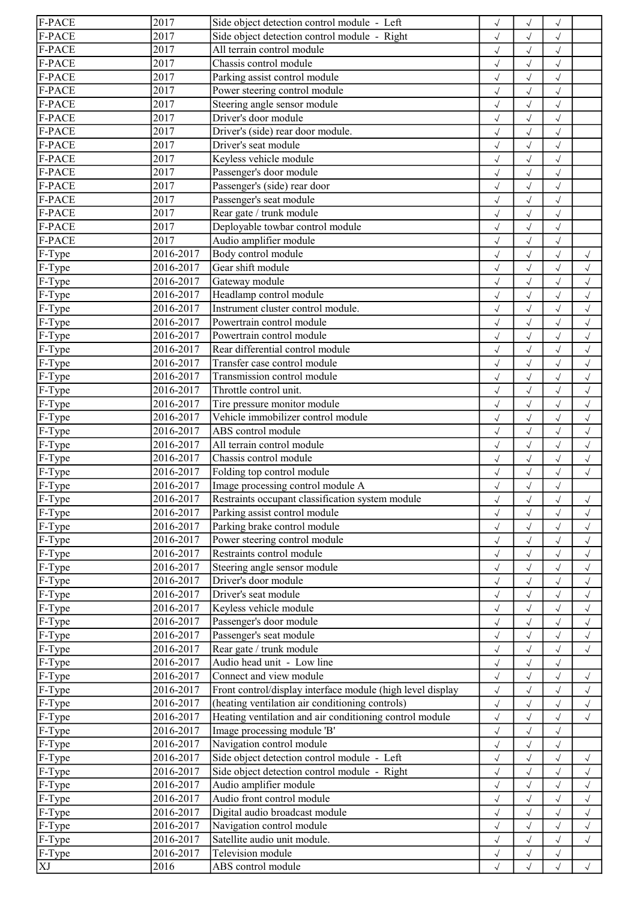| F-PACE               | 2017      | Side object detection control module - Left                | $\checkmark$ | $\checkmark$ | $\checkmark$ |              |
|----------------------|-----------|------------------------------------------------------------|--------------|--------------|--------------|--------------|
| F-PACE               | 2017      | Side object detection control module - Right               | $\sqrt{}$    | $\sqrt{ }$   | $\sqrt{ }$   |              |
| <b>F-PACE</b>        | 2017      | All terrain control module                                 | $\sqrt{}$    | $\sqrt{ }$   | $\sqrt{ }$   |              |
| F-PACE               | 2017      | Chassis control module                                     | $\sqrt{ }$   | $\sqrt{ }$   | $\sqrt{2}$   |              |
| F-PACE               | 2017      | Parking assist control module                              | $\checkmark$ | $\checkmark$ | $\checkmark$ |              |
| F-PACE               | 2017      | Power steering control module                              | $\sqrt{ }$   | $\sqrt{}$    | $\sqrt{ }$   |              |
| F-PACE               | 2017      | Steering angle sensor module                               | $\sqrt{ }$   | $\sqrt{}$    | $\sqrt{ }$   |              |
| F-PACE               | 2017      | Driver's door module                                       |              |              |              |              |
|                      |           |                                                            | $\sqrt{}$    | $\sqrt{2}$   | $\checkmark$ |              |
| F-PACE               | 2017      | Driver's (side) rear door module.                          | $\sqrt{2}$   | $\sqrt{2}$   | $\checkmark$ |              |
| F-PACE               | 2017      | Driver's seat module                                       | $\sqrt{}$    | $\sqrt{}$    | $\sqrt{ }$   |              |
| F-PACE               | 2017      | Keyless vehicle module                                     | $\sqrt{}$    | $\sqrt{}$    | $\sqrt{ }$   |              |
| <b>F-PACE</b>        | 2017      | Passenger's door module                                    | $\sqrt{}$    | $\sqrt{}$    | $\sqrt{ }$   |              |
| F-PACE               | 2017      | Passenger's (side) rear door                               | $\sqrt{2}$   | $\checkmark$ | $\sqrt{ }$   |              |
| F-PACE               | 2017      | Passenger's seat module                                    | $\sqrt{ }$   | $\sqrt{}$    | $\sqrt{ }$   |              |
| F-PACE               | 2017      | Rear gate / trunk module                                   | $\sqrt{ }$   | $\sqrt{ }$   | $\checkmark$ |              |
| F-PACE               | 2017      | Deployable towbar control module                           | $\checkmark$ | $\sqrt{2}$   | $\checkmark$ |              |
| F-PACE               | 2017      | Audio amplifier module                                     | $\sqrt{}$    | $\checkmark$ |              |              |
| F-Type               | 2016-2017 | Body control module                                        | $\sqrt{}$    | $\sqrt{2}$   |              | $\checkmark$ |
| F-Type               | 2016-2017 | Gear shift module                                          | $\sqrt{}$    | $\sqrt{ }$   | $\sqrt{ }$   | $\sqrt{}$    |
| F-Type               | 2016-2017 | Gateway module                                             |              | $\sqrt{}$    |              |              |
|                      | 2016-2017 |                                                            | $\checkmark$ |              |              | $\sqrt{}$    |
| $F-Type$             |           | Headlamp control module                                    | $\sqrt{2}$   | $\sqrt{ }$   | $\sqrt{}$    | $\sqrt{ }$   |
| F-Type               | 2016-2017 | Instrument cluster control module.                         | $\checkmark$ | $\sqrt{}$    | $\checkmark$ | $\sqrt{ }$   |
| $\sqrt{F-T}$ ype     | 2016-2017 | Powertrain control module                                  | $\checkmark$ | $\sqrt{}$    | $\sqrt{ }$   | $\sqrt{ }$   |
| F-Type               | 2016-2017 | Powertrain control module                                  | $\checkmark$ | $\checkmark$ |              | $\checkmark$ |
| F-Type               | 2016-2017 | Rear differential control module                           | $\sqrt{2}$   | $\checkmark$ |              | $\sqrt{2}$   |
| F-Type               | 2016-2017 | Transfer case control module                               | $\sqrt{ }$   | $\checkmark$ |              | $\checkmark$ |
| F-Type               | 2016-2017 | Transmission control module                                | $\sqrt{}$    | $\checkmark$ | $\sqrt{ }$   | $\sqrt{ }$   |
| F-Type               | 2016-2017 | Throttle control unit.                                     | $\checkmark$ | $\sqrt{ }$   | $\sqrt{ }$   | $\checkmark$ |
| $F-Type$             | 2016-2017 | Tire pressure monitor module                               | $\checkmark$ | $\sqrt{}$    | $\sqrt{2}$   | $\checkmark$ |
| $\sqrt{F-Type}$      | 2016-2017 | Vehicle immobilizer control module                         | $\checkmark$ | $\checkmark$ | $\sqrt{ }$   | $\checkmark$ |
| $F-Type$             | 2016-2017 | ABS control module                                         | $\sqrt{ }$   | $\sqrt{}$    | $\sqrt{ }$   | $\sqrt{ }$   |
| $\overline{F-T}$ ype | 2016-2017 | All terrain control module                                 | $\sqrt{}$    | $\sqrt{}$    | $\sqrt{ }$   | $\checkmark$ |
| F-Type               | 2016-2017 | Chassis control module                                     | $\sqrt{}$    | $\sqrt{2}$   | $\sqrt{}$    | $\checkmark$ |
|                      | 2016-2017 |                                                            |              |              |              |              |
| $F-Type$             |           | Folding top control module                                 | $\sqrt{ }$   | $\checkmark$ | $\checkmark$ | $\checkmark$ |
| F-Type               | 2016-2017 | Image processing control module A                          | $\sqrt{}$    | $\sqrt{}$    | $\sqrt{ }$   |              |
| $F-Type$             | 2016-2017 | Restraints occupant classification system module           | $\sqrt{}$    | $\sqrt{ }$   | $\sqrt{}$    | $\sqrt{}$    |
| F-Type               | 2016-2017 | Parking assist control module                              | $\sqrt{ }$   | $\sqrt{}$    |              | $\sqrt{}$    |
| F-Type               | 2016-2017 | Parking brake control module                               | $\checkmark$ | $\sqrt{ }$   | $\sqrt{ }$   | $\sqrt{ }$   |
| $\sqrt{F}$ -Type     | 2016-2017 | Power steering control module                              | $\sqrt{ }$   | $\sqrt{}$    | $\sqrt{ }$   | $\sqrt{}$    |
| F-Type               | 2016-2017 | Restraints control module                                  | $\sqrt{}$    | $\sqrt{}$    | $\sqrt{ }$   | $\sqrt{ }$   |
| F-Type               | 2016-2017 | Steering angle sensor module                               | $\checkmark$ | $\checkmark$ |              | $\checkmark$ |
| F-Type               | 2016-2017 | Driver's door module                                       |              | $\sqrt{2}$   |              | $\sqrt{2}$   |
| F-Type               | 2016-2017 | Driver's seat module                                       | $\sqrt{}$    | $\checkmark$ |              | $\checkmark$ |
| F-Type               | 2016-2017 | Keyless vehicle module                                     | $\sqrt{}$    | $\sqrt{}$    |              | $\sqrt{}$    |
| F-Type               | 2016-2017 | Passenger's door module                                    | $\sqrt{}$    | $\sqrt{}$    |              | $\sqrt{}$    |
| F-Type               | 2016-2017 | Passenger's seat module                                    | $\sqrt{2}$   | $\checkmark$ |              | $\sqrt{ }$   |
| F-Type               | 2016-2017 | Rear gate / trunk module                                   | $\sqrt{}$    | $\sqrt{2}$   |              | $\checkmark$ |
| F-Type               | 2016-2017 | Audio head unit - Low line                                 |              |              |              |              |
|                      |           |                                                            | $\sqrt{}$    | $\sqrt{}$    | $\sqrt{ }$   |              |
| F-Type               | 2016-2017 | Connect and view module                                    | $\checkmark$ | $\sqrt{2}$   | $\checkmark$ | $\checkmark$ |
| F-Type               | 2016-2017 | Front control/display interface module (high level display | $\sqrt{}$    | $\sqrt{2}$   |              | $\sqrt{2}$   |
| F-Type               | 2016-2017 | (heating ventilation air conditioning controls)            | $\sqrt{ }$   |              |              | $\checkmark$ |
| F-Type               | 2016-2017 | Heating ventilation and air conditioning control module    | $\sqrt{}$    | $\sqrt{}$    | $\sqrt{ }$   | $\sqrt{}$    |
| F-Type               | 2016-2017 | Image processing module 'B'                                | $\checkmark$ | $\sqrt{}$    | $\sqrt{ }$   |              |
| $\sqrt{F-Type}$      | 2016-2017 | Navigation control module                                  | $\sqrt{}$    | $\sqrt{}$    | $\sqrt{ }$   |              |
| $\sqrt{F-T}$ ype     | 2016-2017 | Side object detection control module - Left                | $\sqrt{}$    | $\sqrt{}$    | $\sqrt{ }$   | $\checkmark$ |
| $\sqrt{F-T}$ ype     | 2016-2017 | Side object detection control module - Right               | $\sqrt{}$    | $\checkmark$ | $\sqrt{ }$   | $\sqrt{}$    |
| F-Type               | 2016-2017 | Audio amplifier module                                     | $\sqrt{}$    | $\sqrt{}$    | $\sqrt{ }$   | $\sqrt{}$    |
| F-Type               | 2016-2017 | Audio front control module                                 | $\sqrt{}$    | $\sqrt{}$    |              | $\checkmark$ |
| F-Type               | 2016-2017 | Digital audio broadcast module                             | $\sqrt{}$    | $\sqrt{}$    |              | $\checkmark$ |
| F-Type               | 2016-2017 | Navigation control module                                  | $\sqrt{}$    | $\sqrt{}$    | $\sqrt{ }$   | $\sqrt{}$    |
| F-Type               | 2016-2017 | Satellite audio unit module.                               |              |              |              |              |
|                      |           |                                                            | $\sqrt{}$    | $\sqrt{}$    | $\sqrt{ }$   | $\sqrt{}$    |
| F-Type               | 2016-2017 | Television module                                          | $\sqrt{}$    | $\sqrt{}$    | $\sqrt{ }$   |              |
| XJ                   | 2016      | ABS control module                                         | $\sqrt{ }$   | $\sqrt{}$    | $\sqrt{ }$   | $\sqrt{}$    |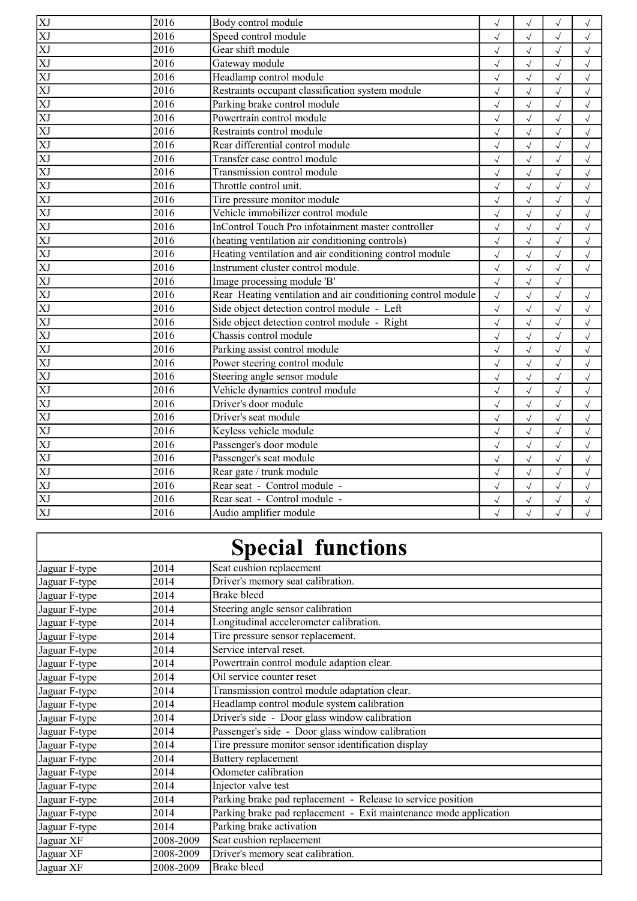| 지지지 지지 지지지지 지지 시 시 시 지지                   | 2016              | Body control module                                          | $\sqrt{ }$ | $\sqrt{}$    | $\sqrt{}$    | $\sqrt{}$  |
|-------------------------------------------|-------------------|--------------------------------------------------------------|------------|--------------|--------------|------------|
|                                           | 2016              | Speed control module                                         | $\sqrt{ }$ | $\sqrt{}$    | $\sqrt{ }$   | $\sqrt{ }$ |
|                                           | 2016              | Gear shift module                                            | $\sqrt{ }$ | $\sqrt{}$    | $\sqrt{ }$   | $\sqrt{ }$ |
|                                           | 2016              | Gateway module                                               | $\sqrt{ }$ | $\sqrt{}$    | $\sqrt{ }$   | $\sqrt{ }$ |
|                                           | 2016              | Headlamp control module                                      | $\sqrt{ }$ | $\sqrt{ }$   | $\sqrt{ }$   | $\sqrt{ }$ |
|                                           | 2016              | Restraints occupant classification system module             | $\sqrt{ }$ | $\sqrt{}$    | $\sqrt{}$    | $\sqrt{ }$ |
|                                           | 2016              | Parking brake control module                                 | $\sqrt{ }$ | $\sqrt{}$    | $\sqrt{ }$   | $\sqrt{ }$ |
|                                           | 2016              | Powertrain control module                                    | $\sqrt{ }$ | $\sqrt{}$    | $\sqrt{}$    | $\sqrt{ }$ |
|                                           | 2016              | Restraints control module                                    | $\sqrt{2}$ | $\sqrt{}$    | $\sqrt{}$    | $\sqrt{ }$ |
|                                           | 2016              | Rear differential control module                             | $\sqrt{2}$ | $\sqrt{}$    | $\sqrt{}$    | $\sqrt{ }$ |
|                                           | 2016              | Transfer case control module                                 | $\sqrt{ }$ | $\checkmark$ | $\checkmark$ | $\sqrt{ }$ |
|                                           | 2016              | Transmission control module                                  | $\sqrt{ }$ | $\sqrt{}$    | $\sqrt{}$    | $\sqrt{2}$ |
|                                           | 2016              | Throttle control unit.                                       | $\sqrt{ }$ | $\sqrt{}$    | $\sqrt{}$    | $\sqrt{ }$ |
|                                           | 2016              | Tire pressure monitor module                                 | $\sqrt{ }$ | $\sqrt{}$    | $\sqrt{}$    | $\sqrt{}$  |
|                                           | 2016              | Vehicle immobilizer control module                           | $\sqrt{ }$ | $\sqrt{}$    | $\sqrt{}$    | $\sqrt{ }$ |
|                                           | 2016              | InControl Touch Pro infotainment master controller           | $\sqrt{ }$ | $\sqrt{}$    | $\sqrt{}$    | $\sqrt{}$  |
|                                           | 2016              | (heating ventilation air conditioning controls)              | $\sqrt{ }$ | $\sqrt{2}$   | $\sqrt{}$    | $\sqrt{ }$ |
|                                           | 2016              | Heating ventilation and air conditioning control module      | $\sqrt{ }$ | $\sqrt{}$    | $\sqrt{}$    | $\sqrt{ }$ |
|                                           | 2016              | Instrument cluster control module.                           | $\sqrt{ }$ | $\sqrt{}$    | $\sqrt{ }$   | $\sqrt{ }$ |
|                                           | 2016              | Image processing module 'B'                                  | $\sqrt{ }$ | $\sqrt{}$    | $\sqrt{ }$   |            |
|                                           | 2016              | Rear Heating ventilation and air conditioning control module | $\sqrt{ }$ | $\sqrt{}$    | $\sqrt{}$    | $\sqrt{}$  |
|                                           | 2016              | Side object detection control module - Left                  | $\sqrt{ }$ | $\checkmark$ | $\sqrt{}$    | $\sqrt{ }$ |
| $\overline{\text{XJ}}$                    | 2016              | Side object detection control module - Right                 | $\sqrt{ }$ | $\checkmark$ | $\sqrt{2}$   | $\sqrt{ }$ |
| $\overline{\text{XJ}}$                    | 2016              | Chassis control module                                       | $\sqrt{ }$ | $\sqrt{}$    | $\sqrt{}$    | $\sqrt{ }$ |
| $\overline{\mathrm{XJ}}$                  | $\sqrt{2016}$     | Parking assist control module                                | $\sqrt{ }$ | $\sqrt{}$    | $\sqrt{}$    | $\sqrt{ }$ |
|                                           | $\sqrt{2016}$     | Power steering control module                                | $\sqrt{ }$ | $\sqrt{}$    | $\sqrt{}$    | $\sqrt{ }$ |
|                                           | 2016              | Steering angle sensor module                                 | $\sqrt{2}$ | $\sqrt{}$    | $\sqrt{}$    | $\sqrt{ }$ |
|                                           | $\overline{2016}$ | Vehicle dynamics control module                              | $\sqrt{ }$ | $\sqrt{2}$   | $\sqrt{2}$   | $\sqrt{ }$ |
|                                           | 2016              | Driver's door module                                         | $\sqrt{2}$ | $\sqrt{}$    | $\sqrt{2}$   | $\sqrt{2}$ |
|                                           | 2016              | Driver's seat module                                         | $\sqrt{2}$ | $\sqrt{ }$   | $\sqrt{2}$   | $\sqrt{2}$ |
|                                           | $\sqrt{2016}$     | Keyless vehicle module                                       | $\sqrt{2}$ | $\sqrt{ }$   | $\sqrt{2}$   | $\sqrt{2}$ |
|                                           | $\sqrt{2016}$     | Passenger's door module                                      | $\sqrt{ }$ | $\sqrt{ }$   | $\sqrt{}$    | $\sqrt{ }$ |
|                                           | 2016              | Passenger's seat module                                      | $\sqrt{ }$ | $\sqrt{2}$   | $\sqrt{ }$   | $\sqrt{2}$ |
| KI XI XI XI<br>XI XI XI XI<br>XI XI XI XI | 2016              | Rear gate / trunk module                                     | $\sqrt{ }$ | $\sqrt{}$    | $\sqrt{2}$   | $\sqrt{2}$ |
|                                           | $\sqrt{2016}$     | Rear seat - Control module -                                 | $\sqrt{ }$ | $\sqrt{ }$   | $\sqrt{ }$   | $\sqrt{2}$ |
| $\overline{XJ}$                           | 2016              | Rear seat - Control module -                                 | $\sqrt{ }$ | $\sqrt{}$    | $\sqrt{}$    | $\sqrt{}$  |
| $\overline{XJ}$                           | 2016              | Audio amplifier module                                       |            |              |              |            |

## Special functions

 $\overline{\phantom{a}}$ 

| Jaguar F-type | 2014      | Seat cushion replacement                                          |
|---------------|-----------|-------------------------------------------------------------------|
| Jaguar F-type | 2014      | Driver's memory seat calibration.                                 |
| Jaguar F-type | 2014      | <b>Brake bleed</b>                                                |
| Jaguar F-type | 2014      | Steering angle sensor calibration                                 |
| Jaguar F-type | 2014      | Longitudinal accelerometer calibration.                           |
| Jaguar F-type | 2014      | Tire pressure sensor replacement.                                 |
| Jaguar F-type | 2014      | Service interval reset.                                           |
| Jaguar F-type | 2014      | Powertrain control module adaption clear.                         |
| Jaguar F-type | 2014      | Oil service counter reset                                         |
| Jaguar F-type | 2014      | Transmission control module adaptation clear.                     |
| Jaguar F-type | 2014      | Headlamp control module system calibration                        |
| Jaguar F-type | 2014      | Driver's side - Door glass window calibration                     |
| Jaguar F-type | 2014      | Passenger's side - Door glass window calibration                  |
| Jaguar F-type | 2014      | Tire pressure monitor sensor identification display               |
| Jaguar F-type | 2014      | Battery replacement                                               |
| Jaguar F-type | 2014      | Odometer calibration                                              |
| Jaguar F-type | 2014      | Injector valve test                                               |
| Jaguar F-type | 2014      | Parking brake pad replacement - Release to service position       |
| Jaguar F-type | 2014      | Parking brake pad replacement - Exit maintenance mode application |
| Jaguar F-type | 2014      | Parking brake activation                                          |
| Jaguar XF     | 2008-2009 | Seat cushion replacement                                          |
| Jaguar XF     | 2008-2009 | Driver's memory seat calibration.                                 |
| Jaguar XF     | 2008-2009 | Brake bleed                                                       |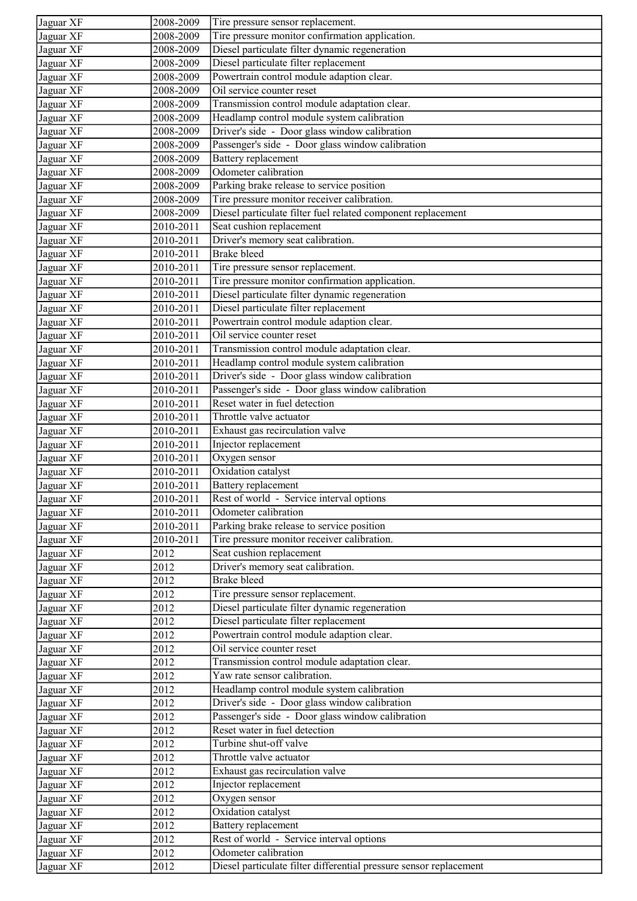| Jaguar XF | 2008-2009 | Tire pressure sensor replacement.                                                   |
|-----------|-----------|-------------------------------------------------------------------------------------|
| Jaguar XF | 2008-2009 | Tire pressure monitor confirmation application.                                     |
| Jaguar XF | 2008-2009 | Diesel particulate filter dynamic regeneration                                      |
| Jaguar XF | 2008-2009 | Diesel particulate filter replacement                                               |
| Jaguar XF | 2008-2009 | Powertrain control module adaption clear.                                           |
| Jaguar XF | 2008-2009 | Oil service counter reset                                                           |
| Jaguar XF | 2008-2009 | Transmission control module adaptation clear.                                       |
| Jaguar XF | 2008-2009 | Headlamp control module system calibration                                          |
| Jaguar XF | 2008-2009 | Driver's side - Door glass window calibration                                       |
| Jaguar XF | 2008-2009 | Passenger's side - Door glass window calibration                                    |
| Jaguar XF | 2008-2009 | Battery replacement                                                                 |
| Jaguar XF | 2008-2009 | Odometer calibration                                                                |
| Jaguar XF | 2008-2009 | Parking brake release to service position                                           |
| Jaguar XF | 2008-2009 | Tire pressure monitor receiver calibration.                                         |
| Jaguar XF | 2008-2009 | Diesel particulate filter fuel related component replacement                        |
| Jaguar XF | 2010-2011 | Seat cushion replacement                                                            |
| Jaguar XF | 2010-2011 | Driver's memory seat calibration.                                                   |
| Jaguar XF | 2010-2011 | <b>Brake bleed</b>                                                                  |
| Jaguar XF | 2010-2011 | Tire pressure sensor replacement.                                                   |
| Jaguar XF | 2010-2011 | Tire pressure monitor confirmation application.                                     |
| Jaguar XF | 2010-2011 | Diesel particulate filter dynamic regeneration                                      |
| Jaguar XF | 2010-2011 | Diesel particulate filter replacement                                               |
| Jaguar XF | 2010-2011 | Powertrain control module adaption clear.                                           |
| Jaguar XF | 2010-2011 | Oil service counter reset                                                           |
| Jaguar XF | 2010-2011 | Transmission control module adaptation clear.                                       |
| Jaguar XF | 2010-2011 | Headlamp control module system calibration                                          |
| Jaguar XF | 2010-2011 | Driver's side - Door glass window calibration                                       |
| Jaguar XF | 2010-2011 | Passenger's side - Door glass window calibration                                    |
| Jaguar XF | 2010-2011 | Reset water in fuel detection                                                       |
| Jaguar XF | 2010-2011 | Throttle valve actuator                                                             |
| Jaguar XF | 2010-2011 | Exhaust gas recirculation valve                                                     |
| Jaguar XF | 2010-2011 | Injector replacement                                                                |
| Jaguar XF | 2010-2011 | Oxygen sensor                                                                       |
| Jaguar XF | 2010-2011 | Oxidation catalyst                                                                  |
| Jaguar XF | 2010-2011 | <b>Battery</b> replacement                                                          |
| Jaguar XF | 2010-2011 | Rest of world - Service interval options                                            |
| Jaguar XF | 2010-2011 | Odometer calibration                                                                |
| Jaguar XF | 2010-2011 | Parking brake release to service position                                           |
| Jaguar XF | 2010-2011 | Tire pressure monitor receiver calibration.                                         |
| Jaguar XF | 2012      | Seat cushion replacement                                                            |
|           | 2012      | Driver's memory seat calibration.                                                   |
| Jaguar XF |           | <b>Brake bleed</b>                                                                  |
| Jaguar XF | 2012      |                                                                                     |
| Jaguar XF | 2012      | Tire pressure sensor replacement.<br>Diesel particulate filter dynamic regeneration |
| Jaguar XF | 2012      |                                                                                     |
| Jaguar XF | 2012      | Diesel particulate filter replacement                                               |
| Jaguar XF | 2012      | Powertrain control module adaption clear.<br>Oil service counter reset              |
| Jaguar XF | 2012      |                                                                                     |
| Jaguar XF | 2012      | Transmission control module adaptation clear.<br>Yaw rate sensor calibration.       |
| Jaguar XF | 2012      |                                                                                     |
| Jaguar XF | 2012      | Headlamp control module system calibration                                          |
| Jaguar XF | 2012      | Driver's side - Door glass window calibration                                       |
| Jaguar XF | 2012      | Passenger's side - Door glass window calibration                                    |
| Jaguar XF | 2012      | Reset water in fuel detection<br>Turbine shut-off valve                             |
| Jaguar XF | 2012      |                                                                                     |
| Jaguar XF | 2012      | Throttle valve actuator                                                             |
| Jaguar XF | 2012      | Exhaust gas recirculation valve                                                     |
| Jaguar XF | 2012      | Injector replacement                                                                |
| Jaguar XF | 2012      | Oxygen sensor                                                                       |
| Jaguar XF | 2012      | Oxidation catalyst                                                                  |
| Jaguar XF | 2012      | Battery replacement                                                                 |
| Jaguar XF | 2012      | Rest of world - Service interval options                                            |
| Jaguar XF | 2012      | Odometer calibration                                                                |
| Jaguar XF | 2012      | Diesel particulate filter differential pressure sensor replacement                  |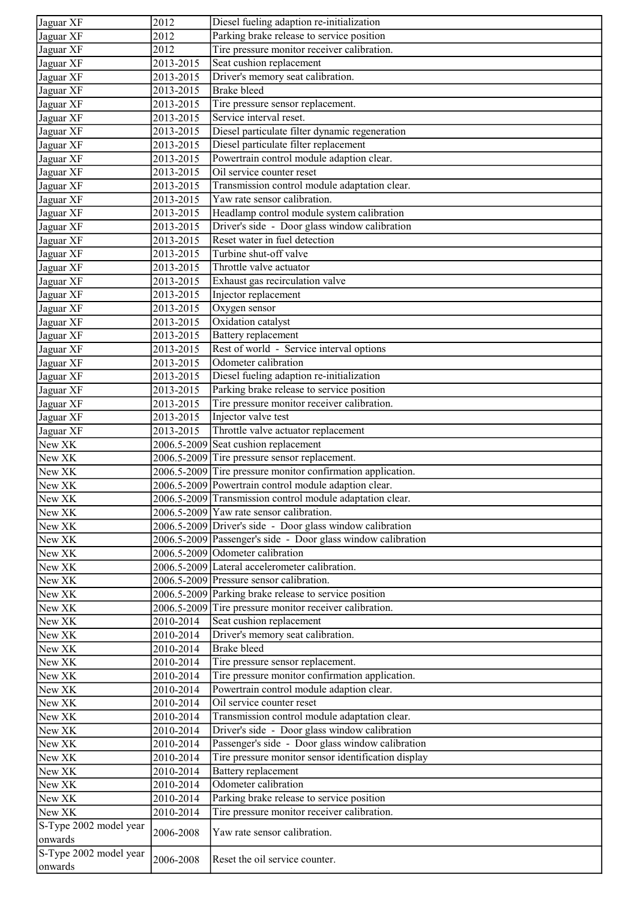| Jaguar XF              | 2012                     | Diesel fueling adaption re-initialization                                              |
|------------------------|--------------------------|----------------------------------------------------------------------------------------|
| Jaguar XF              | 2012                     | Parking brake release to service position                                              |
| Jaguar XF              | 2012                     | Tire pressure monitor receiver calibration.                                            |
| Jaguar XF              | 2013-2015                | Seat cushion replacement                                                               |
| Jaguar XF              | $\overline{2013 - 2015}$ | Driver's memory seat calibration.                                                      |
| Jaguar XF              | 2013-2015                | <b>Brake bleed</b>                                                                     |
| Jaguar XF              | 2013-2015                | Tire pressure sensor replacement.                                                      |
| Jaguar XF              | 2013-2015                | Service interval reset.                                                                |
| Jaguar XF              | 2013-2015                | Diesel particulate filter dynamic regeneration                                         |
| Jaguar XF              | 2013-2015                | Diesel particulate filter replacement                                                  |
| Jaguar XF              | 2013-2015                | Powertrain control module adaption clear.                                              |
| Jaguar XF              | 2013-2015                | Oil service counter reset                                                              |
| Jaguar XF              | 2013-2015                | Transmission control module adaptation clear.                                          |
| Jaguar XF              | 2013-2015                | Yaw rate sensor calibration.                                                           |
| Jaguar XF              | 2013-2015                | Headlamp control module system calibration                                             |
| Jaguar XF              | 2013-2015                | Driver's side - Door glass window calibration                                          |
| Jaguar XF              | 2013-2015                | Reset water in fuel detection                                                          |
| Jaguar XF              | 2013-2015                | Turbine shut-off valve                                                                 |
| Jaguar XF              | 2013-2015                | Throttle valve actuator                                                                |
| Jaguar XF              | 2013-2015                | Exhaust gas recirculation valve                                                        |
| Jaguar XF              | 2013-2015                | Injector replacement                                                                   |
| Jaguar XF              | 2013-2015                |                                                                                        |
| Jaguar XF              |                          | Oxygen sensor<br>Oxidation catalyst                                                    |
| Jaguar XF              | 2013-2015<br>2013-2015   | <b>Battery</b> replacement                                                             |
|                        |                          | Rest of world - Service interval options                                               |
| Jaguar XF              | 2013-2015                | Odometer calibration                                                                   |
| Jaguar XF              | 2013-2015                |                                                                                        |
| Jaguar XF              | 2013-2015                | Diesel fueling adaption re-initialization<br>Parking brake release to service position |
| Jaguar XF              | 2013-2015                | Tire pressure monitor receiver calibration.                                            |
| Jaguar XF              | 2013-2015                | Injector valve test                                                                    |
| Jaguar XF              | 2013-2015                |                                                                                        |
| Jaguar XF              | 2013-2015                | Throttle valve actuator replacement                                                    |
| New XK                 |                          | 2006.5-2009 Seat cushion replacement<br>2006.5-2009 Tire pressure sensor replacement.  |
| New XK                 |                          | 2006.5-2009 Tire pressure monitor confirmation application.                            |
| New XK                 |                          |                                                                                        |
| New XK                 |                          | 2006.5-2009 Powertrain control module adaption clear.                                  |
| New XK                 |                          | 2006.5-2009 Transmission control module adaptation clear.                              |
| New XK                 |                          | 2006.5-2009 Yaw rate sensor calibration.                                               |
| New XK                 |                          | 2006.5-2009 Driver's side - Door glass window calibration                              |
| New XK                 |                          | 2006.5-2009 Passenger's side - Door glass window calibration                           |
| New XK                 |                          | 2006.5-2009 Odometer calibration                                                       |
| New XK                 |                          | 2006.5-2009 Lateral accelerometer calibration.                                         |
| New XK                 |                          | 2006.5-2009 Pressure sensor calibration.                                               |
| New XK                 |                          | 2006.5-2009 Parking brake release to service position                                  |
| New XK                 |                          | 2006.5-2009 Tire pressure monitor receiver calibration.                                |
| New XK                 | 2010-2014                | Seat cushion replacement                                                               |
| New XK                 | 2010-2014                | Driver's memory seat calibration.                                                      |
| New XK                 | 2010-2014                | <b>Brake</b> bleed                                                                     |
| New XK                 | 2010-2014                | Tire pressure sensor replacement.                                                      |
| New XK                 | 2010-2014                | Tire pressure monitor confirmation application.                                        |
| New XK                 | 2010-2014                | Powertrain control module adaption clear.                                              |
| New XK                 | 2010-2014                | Oil service counter reset                                                              |
| New XK                 | 2010-2014                | Transmission control module adaptation clear.                                          |
| New XK                 | 2010-2014                | Driver's side - Door glass window calibration                                          |
| New XK                 | 2010-2014                | Passenger's side - Door glass window calibration                                       |
| New XK                 | 2010-2014                | Tire pressure monitor sensor identification display                                    |
| New XK                 | 2010-2014                | Battery replacement                                                                    |
| New XK                 | 2010-2014                | Odometer calibration                                                                   |
| New XK                 | 2010-2014                | Parking brake release to service position                                              |
| New XK                 | 2010-2014                | Tire pressure monitor receiver calibration.                                            |
| S-Type 2002 model year | 2006-2008                | Yaw rate sensor calibration.                                                           |
| onwards                |                          |                                                                                        |
| S-Type 2002 model year | 2006-2008                | Reset the oil service counter.                                                         |
| onwards                |                          |                                                                                        |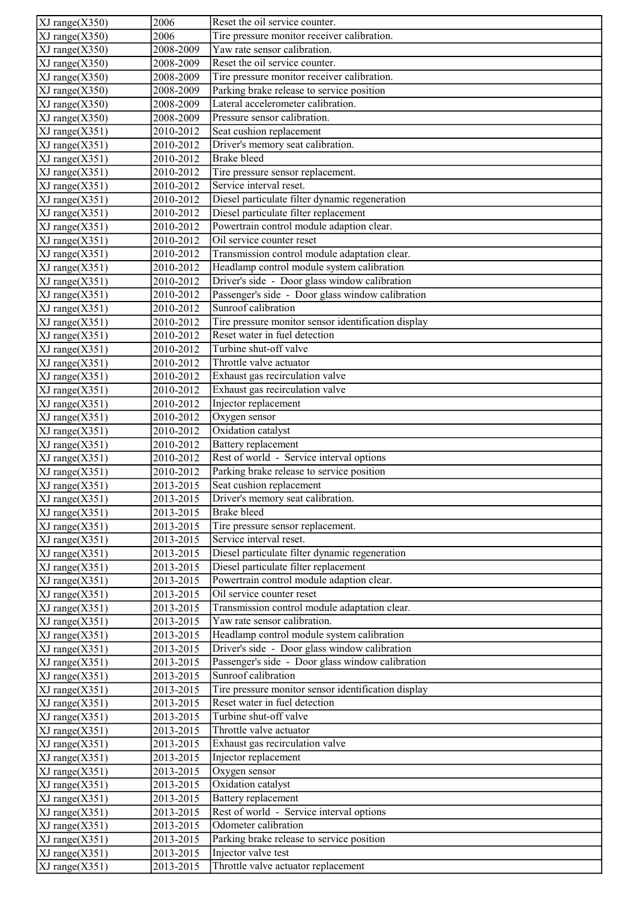| $\overline{XJ}$ range $(X350)$ | 2006                                  | Reset the oil service counter.                                                       |
|--------------------------------|---------------------------------------|--------------------------------------------------------------------------------------|
| $XJ$ range $(X350)$            | 2006                                  | Tire pressure monitor receiver calibration.                                          |
| $XJ$ range $(X350)$            | 2008-2009                             | Yaw rate sensor calibration.                                                         |
| $XJ$ range $(X350)$            | 2008-2009                             | Reset the oil service counter.                                                       |
| XJ range(X350)                 | 2008-2009                             | Tire pressure monitor receiver calibration.                                          |
| $XJ$ range $(X350)$            | 2008-2009                             | Parking brake release to service position                                            |
| $XJ$ range $(X350)$            | 2008-2009                             | Lateral accelerometer calibration.                                                   |
| $XJ$ range $(X350)$            | 2008-2009                             | Pressure sensor calibration.                                                         |
| $XJ$ range $(X351)$            | 2010-2012                             | Seat cushion replacement                                                             |
| $XJ$ range $(X351)$            | 2010-2012                             | Driver's memory seat calibration.                                                    |
| $XJ$ range $(X351)$            | 2010-2012                             | <b>Brake bleed</b>                                                                   |
| $XJ$ range $(X351)$            | 2010-2012                             | Tire pressure sensor replacement.                                                    |
| $XJ$ range $(X351)$            | 2010-2012                             | Service interval reset.                                                              |
| $XJ$ range $(X351)$            | 2010-2012                             | Diesel particulate filter dynamic regeneration                                       |
| $XJ$ range $(X351)$            | 2010-2012                             | Diesel particulate filter replacement                                                |
| $XJ$ range $(X351)$            | 2010-2012                             | Powertrain control module adaption clear.                                            |
| $XJ$ range $(X351)$            | 2010-2012                             | Oil service counter reset                                                            |
| $XJ$ range $(X351)$            | 2010-2012                             | Transmission control module adaptation clear.                                        |
| $XJ$ range $(X351)$            | 2010-2012                             | Headlamp control module system calibration                                           |
| XJ range(X351)                 | 2010-2012                             | Driver's side - Door glass window calibration                                        |
| $XJ$ range $(X351)$            | 2010-2012                             | Passenger's side - Door glass window calibration                                     |
| $XJ$ range $(X351)$            | 2010-2012                             | Sunroof calibration                                                                  |
| $XJ$ range $(X351)$            | 2010-2012                             | Tire pressure monitor sensor identification display                                  |
| $XJ$ range $(X351)$            | 2010-2012                             | Reset water in fuel detection                                                        |
| $XJ$ range $(X351)$            | 2010-2012                             | Turbine shut-off valve                                                               |
| $XJ$ range $(X351)$            | 2010-2012                             | Throttle valve actuator                                                              |
| $XJ$ range $(X351)$            | 2010-2012                             | Exhaust gas recirculation valve                                                      |
| $XJ$ range $(X351)$            | 2010-2012                             | Exhaust gas recirculation valve                                                      |
| $XJ$ range $(X351)$            | 2010-2012                             | Injector replacement                                                                 |
| $XJ$ range $(X351)$            | 2010-2012                             | Oxygen sensor                                                                        |
| $\overline{XJ}$ range(X351)    | 2010-2012                             | Oxidation catalyst                                                                   |
| $XJ$ range $(X351)$            | 2010-2012                             | <b>Battery</b> replacement                                                           |
| $\overline{XJ}$ range $(X351)$ | 2010-2012                             | Rest of world - Service interval options                                             |
| $XJ$ range $(X351)$            | 2010-2012                             | Parking brake release to service position                                            |
| $XJ$ range $(X351)$            | 2013-2015                             | Seat cushion replacement                                                             |
| $XJ$ range $(X351)$            | 2013-2015                             | Driver's memory seat calibration.                                                    |
| $XJ$ range $(X351)$            | 2013-2015                             | <b>Brake bleed</b>                                                                   |
| XJ range(X351)                 | 2013-2015                             | Tire pressure sensor replacement.                                                    |
| $XJ$ range $(X351)$            | 2013-2015                             | Service interval reset.                                                              |
| $XJ$ range $(X351)$            | 2013-2015                             | Diesel particulate filter dynamic regeneration                                       |
| XJ range(X351)                 | 2013-2015                             | Diesel particulate filter replacement                                                |
| $XJ$ range $(X351)$            | 2013-2015                             | Powertrain control module adaption clear.                                            |
| $XJ$ range $(X351)$            | 2013-2015                             | Oil service counter reset                                                            |
| $XJ$ range $(X351)$            | 2013-2015                             | Transmission control module adaptation clear.                                        |
| $XJ$ range $(X351)$            | 2013-2015                             | Yaw rate sensor calibration.                                                         |
| $XJ$ range $(X351)$            | 2013-2015                             | Headlamp control module system calibration                                           |
| $XJ$ range $(X351)$            | 2013-2015                             | Driver's side - Door glass window calibration                                        |
| $XJ$ range $(X351)$            | 2013-2015                             | Passenger's side - Door glass window calibration                                     |
| $XJ$ range $(X351)$            | 2013-2015                             | Sunroof calibration                                                                  |
| $XJ$ range $(X351)$            | 2013-2015                             | Tire pressure monitor sensor identification display<br>Reset water in fuel detection |
| $XJ$ range $(X351)$            | 2013-2015                             | Turbine shut-off valve                                                               |
| $XJ$ range $(X351)$            | 2013-2015                             | Throttle valve actuator                                                              |
| $XJ$ range $(X351)$            | 2013-2015                             | Exhaust gas recirculation valve                                                      |
| $XJ$ range $(X351)$            | 2013-2015                             | Injector replacement                                                                 |
| $XJ$ range $(X351)$            | 2013-2015                             |                                                                                      |
| $XJ$ range $(X351)$            | 2013-2015                             | Oxygen sensor<br>Oxidation catalyst                                                  |
| $XJ$ range $(X351)$            | 2013-2015                             | Battery replacement                                                                  |
| $XJ$ range $(X351)$            | 2013-2015                             | Rest of world - Service interval options                                             |
| $XJ$ range $(X351)$            | 2013-2015                             | Odometer calibration                                                                 |
| $XJ$ range $(X351)$            | 2013-2015<br>$\overline{2013} - 2015$ | Parking brake release to service position                                            |
| $XJ$ range $(X351)$            |                                       | Injector valve test                                                                  |
| $XJ$ range $(X351)$            | 2013-2015                             |                                                                                      |
| $XJ$ range $(X351)$            | 2013-2015                             | Throttle valve actuator replacement                                                  |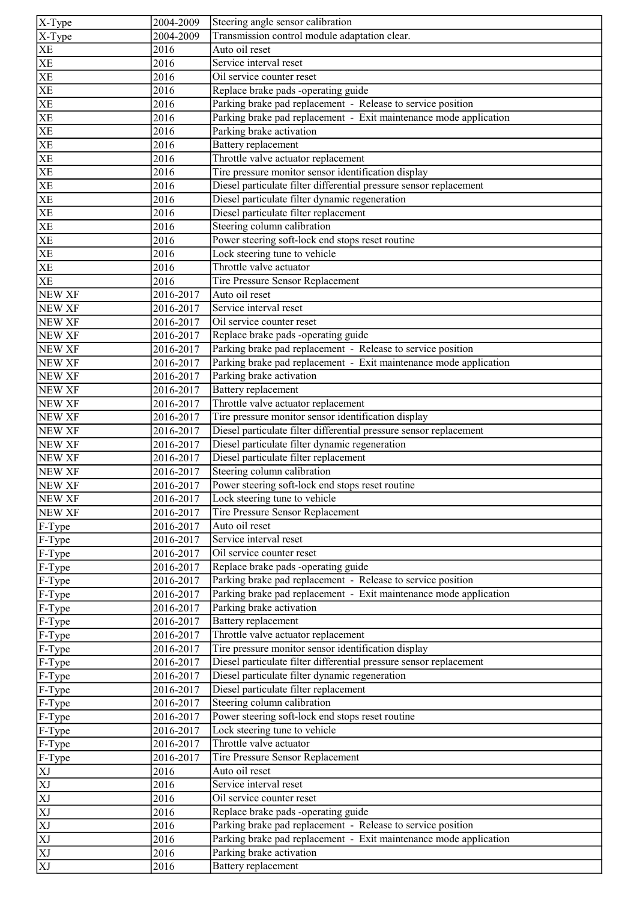| $\sqrt{X-Type}$            | 2004-2009 | Steering angle sensor calibration                                  |
|----------------------------|-----------|--------------------------------------------------------------------|
| X-Type                     | 2004-2009 | Transmission control module adaptation clear.                      |
| <b>XE</b>                  | 2016      | Auto oil reset                                                     |
| <b>XE</b>                  | 2016      | Service interval reset                                             |
| $\overline{\text{XE}}$     | 2016      | Oil service counter reset                                          |
| $\ensuremath{\mathbf{XE}}$ | 2016      | Replace brake pads -operating guide                                |
| XE                         | 2016      | Parking brake pad replacement - Release to service position        |
| $\overline{\text{XE}}$     | 2016      | Parking brake pad replacement - Exit maintenance mode application  |
| $\overline{\text{XE}}$     | 2016      | Parking brake activation                                           |
| <b>XE</b>                  | 2016      | <b>Battery</b> replacement                                         |
| <b>XE</b>                  | 2016      | Throttle valve actuator replacement                                |
| $\overline{\text{XE}}$     | 2016      | Tire pressure monitor sensor identification display                |
| $\mathbf{X}\mathbf{E}$     | 2016      | Diesel particulate filter differential pressure sensor replacement |
| <b>XE</b>                  | 2016      | Diesel particulate filter dynamic regeneration                     |
| $\overline{\text{XE}}$     | 2016      | Diesel particulate filter replacement                              |
| XE                         | 2016      | Steering column calibration                                        |
| <b>XE</b>                  | 2016      | Power steering soft-lock end stops reset routine                   |
| <b>XE</b>                  | 2016      | Lock steering tune to vehicle                                      |
| <b>XE</b>                  | 2016      | Throttle valve actuator                                            |
| <b>XE</b>                  | 2016      | Tire Pressure Sensor Replacement                                   |
|                            |           |                                                                    |
| NEW XF                     | 2016-2017 | Auto oil reset<br>Service interval reset                           |
| NEW XF                     | 2016-2017 |                                                                    |
| NEW XF                     | 2016-2017 | Oil service counter reset                                          |
| <b>NEW XF</b>              | 2016-2017 | Replace brake pads -operating guide                                |
| NEW XF                     | 2016-2017 | Parking brake pad replacement - Release to service position        |
| NEW XF                     | 2016-2017 | Parking brake pad replacement - Exit maintenance mode application  |
| <b>NEW XF</b>              | 2016-2017 | Parking brake activation                                           |
| NEW XF                     | 2016-2017 | Battery replacement                                                |
| <b>NEW XF</b>              | 2016-2017 | Throttle valve actuator replacement                                |
| NEW XF                     | 2016-2017 | Tire pressure monitor sensor identification display                |
| <b>NEW XF</b>              | 2016-2017 | Diesel particulate filter differential pressure sensor replacement |
| <b>NEW XF</b>              | 2016-2017 | Diesel particulate filter dynamic regeneration                     |
| <b>NEW XF</b>              | 2016-2017 | Diesel particulate filter replacement                              |
| NEW XF                     | 2016-2017 | Steering column calibration                                        |
| <b>NEW XF</b>              | 2016-2017 | Power steering soft-lock end stops reset routine                   |
| NEW XF                     | 2016-2017 | Lock steering tune to vehicle                                      |
| NEW XF                     | 2016-2017 | Tire Pressure Sensor Replacement                                   |
| F-Type                     | 2016-2017 | Auto oil reset                                                     |
| F-Type                     | 2016-2017 | Service interval reset                                             |
| F-Type                     | 2016-2017 | Oil service counter reset                                          |
| F-Type                     | 2016-2017 | Replace brake pads -operating guide                                |
| F-Type                     | 2016-2017 | Parking brake pad replacement - Release to service position        |
| F-Type                     | 2016-2017 | Parking brake pad replacement - Exit maintenance mode application  |
| F-Type                     | 2016-2017 | Parking brake activation                                           |
| F-Type                     | 2016-2017 | <b>Battery</b> replacement                                         |
| F-Type                     | 2016-2017 | Throttle valve actuator replacement                                |
| F-Type                     | 2016-2017 | Tire pressure monitor sensor identification display                |
| F-Type                     | 2016-2017 | Diesel particulate filter differential pressure sensor replacement |
| F-Type                     | 2016-2017 | Diesel particulate filter dynamic regeneration                     |
| F-Type                     | 2016-2017 | Diesel particulate filter replacement                              |
| F-Type                     | 2016-2017 | Steering column calibration                                        |
| F-Type                     | 2016-2017 | Power steering soft-lock end stops reset routine                   |
| F-Type                     | 2016-2017 | Lock steering tune to vehicle                                      |
| F-Type                     | 2016-2017 | Throttle valve actuator                                            |
| F-Type                     | 2016-2017 | Tire Pressure Sensor Replacement                                   |
| $\mathbf{X}\mathbf{J}$     | 2016      | Auto oil reset                                                     |
| XJ                         | 2016      | Service interval reset                                             |
| XJ                         | 2016      | Oil service counter reset                                          |
| $\overline{XJ}$            | 2016      | Replace brake pads -operating guide                                |
| $\overline{\text{XJ}}$     | 2016      | Parking brake pad replacement - Release to service position        |
| $\overline{XJ}$            | 2016      | Parking brake pad replacement - Exit maintenance mode application  |
| XJ                         | 2016      | Parking brake activation                                           |
| $\overline{XJ}$            | 2016      | Battery replacement                                                |
|                            |           |                                                                    |